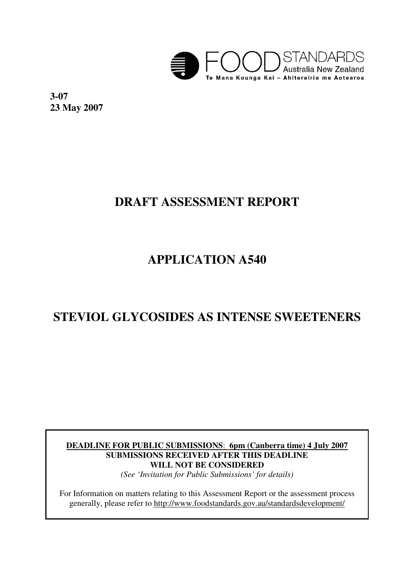

**3-07 23 May 2007** 

# **DRAFT ASSESSMENT REPORT**

# **APPLICATION A540**

# **STEVIOL GLYCOSIDES AS INTENSE SWEETENERS**

**DEADLINE FOR PUBLIC SUBMISSIONS**: **6pm (Canberra time) 4 July 2007 SUBMISSIONS RECEIVED AFTER THIS DEADLINE WILL NOT BE CONSIDERED** 

*(See 'Invitation for Public Submissions' for details)* 

For Information on matters relating to this Assessment Report or the assessment process generally, please refer to http://www.foodstandards.gov.au/standardsdevelopment/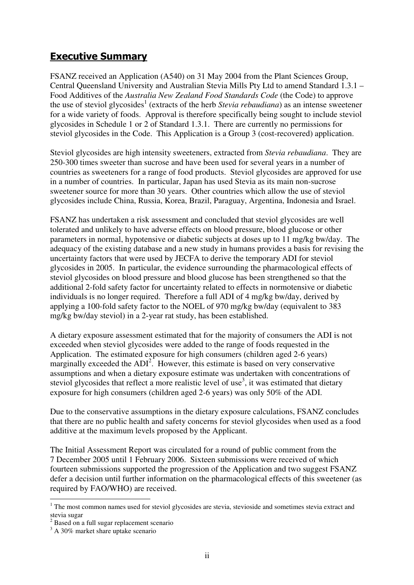### Executive Summary

FSANZ received an Application (A540) on 31 May 2004 from the Plant Sciences Group, Central Queensland University and Australian Stevia Mills Pty Ltd to amend Standard 1.3.1 – Food Additives of the *Australia New Zealand Food Standards Code* (the Code) to approve the use of steviol glycosides<sup>1</sup> (extracts of the herb *Stevia rebaudiana*) as an intense sweetener for a wide variety of foods. Approval is therefore specifically being sought to include steviol glycosides in Schedule 1 or 2 of Standard 1.3.1. There are currently no permissions for steviol glycosides in the Code. This Application is a Group 3 (cost-recovered) application.

Steviol glycosides are high intensity sweeteners, extracted from *Stevia rebaudiana*. They are 250-300 times sweeter than sucrose and have been used for several years in a number of countries as sweeteners for a range of food products. Steviol glycosides are approved for use in a number of countries. In particular, Japan has used Stevia as its main non-sucrose sweetener source for more than 30 years. Other countries which allow the use of steviol glycosides include China, Russia, Korea, Brazil, Paraguay, Argentina, Indonesia and Israel.

FSANZ has undertaken a risk assessment and concluded that steviol glycosides are well tolerated and unlikely to have adverse effects on blood pressure, blood glucose or other parameters in normal, hypotensive or diabetic subjects at doses up to 11 mg/kg bw/day. The adequacy of the existing database and a new study in humans provides a basis for revising the uncertainty factors that were used by JECFA to derive the temporary ADI for steviol glycosides in 2005. In particular, the evidence surrounding the pharmacological effects of steviol glycosides on blood pressure and blood glucose has been strengthened so that the additional 2-fold safety factor for uncertainty related to effects in normotensive or diabetic individuals is no longer required. Therefore a full ADI of 4 mg/kg bw/day, derived by applying a 100-fold safety factor to the NOEL of 970 mg/kg bw/day (equivalent to 383 mg/kg bw/day steviol) in a 2-year rat study, has been established.

A dietary exposure assessment estimated that for the majority of consumers the ADI is not exceeded when steviol glycosides were added to the range of foods requested in the Application. The estimated exposure for high consumers (children aged 2-6 years) marginally exceeded the  $ADI<sup>2</sup>$ . However, this estimate is based on very conservative assumptions and when a dietary exposure estimate was undertaken with concentrations of steviol glycosides that reflect a more realistic level of use<sup>3</sup>, it was estimated that dietary exposure for high consumers (children aged 2-6 years) was only 50% of the ADI.

Due to the conservative assumptions in the dietary exposure calculations, FSANZ concludes that there are no public health and safety concerns for steviol glycosides when used as a food additive at the maximum levels proposed by the Applicant.

The Initial Assessment Report was circulated for a round of public comment from the 7 December 2005 until 1 February 2006. Sixteen submissions were received of which fourteen submissions supported the progression of the Application and two suggest FSANZ defer a decision until further information on the pharmacological effects of this sweetener (as required by FAO/WHO) are received.

 $\overline{a}$ 

<sup>1</sup> The most common names used for steviol glycosides are stevia, stevioside and sometimes stevia extract and stevia sugar

<sup>&</sup>lt;sup>2</sup> Based on a full sugar replacement scenario

<sup>&</sup>lt;sup>3</sup> A 30% market share uptake scenario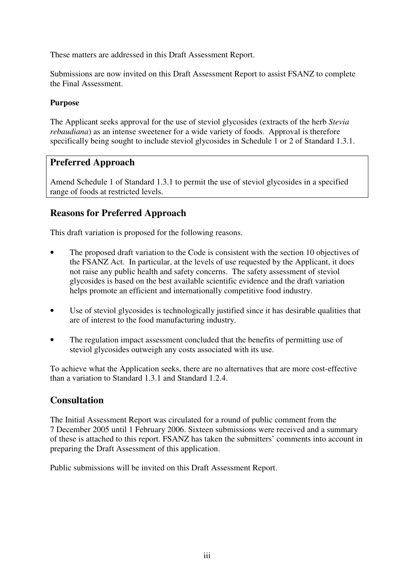These matters are addressed in this Draft Assessment Report.

Submissions are now invited on this Draft Assessment Report to assist FSANZ to complete the Final Assessment.

#### **Purpose**

The Applicant seeks approval for the use of steviol glycosides (extracts of the herb *Stevia rebaudiana*) as an intense sweetener for a wide variety of foods. Approval is therefore specifically being sought to include steviol glycosides in Schedule 1 or 2 of Standard 1.3.1.

### **Preferred Approach**

Amend Schedule 1 of Standard 1.3.1 to permit the use of steviol glycosides in a specified range of foods at restricted levels.

### **Reasons for Preferred Approach**

This draft variation is proposed for the following reasons.

- The proposed draft variation to the Code is consistent with the section 10 objectives of the FSANZ Act. In particular, at the levels of use requested by the Applicant, it does not raise any public health and safety concerns. The safety assessment of steviol glycosides is based on the best available scientific evidence and the draft variation helps promote an efficient and internationally competitive food industry.
- Use of steviol glycosides is technologically justified since it has desirable qualities that are of interest to the food manufacturing industry.
- The regulation impact assessment concluded that the benefits of permitting use of steviol glycosides outweigh any costs associated with its use.

To achieve what the Application seeks, there are no alternatives that are more cost-effective than a variation to Standard 1.3.1 and Standard 1.2.4.

### **Consultation**

The Initial Assessment Report was circulated for a round of public comment from the 7 December 2005 until 1 February 2006. Sixteen submissions were received and a summary of these is attached to this report. FSANZ has taken the submitters' comments into account in preparing the Draft Assessment of this application.

Public submissions will be invited on this Draft Assessment Report.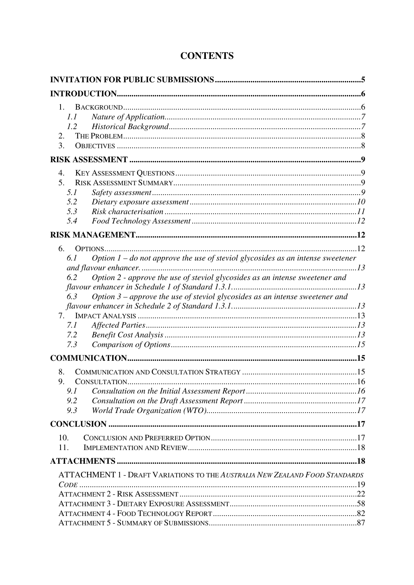| $\mathbf{1}$ .<br>1.1<br>1.2<br>2.<br>3.                                                                                                                                                                                                                                                                                            |  |
|-------------------------------------------------------------------------------------------------------------------------------------------------------------------------------------------------------------------------------------------------------------------------------------------------------------------------------------|--|
|                                                                                                                                                                                                                                                                                                                                     |  |
| 4.<br>5.<br>5.1<br>5.2<br>5.3<br>5.4                                                                                                                                                                                                                                                                                                |  |
|                                                                                                                                                                                                                                                                                                                                     |  |
| 6.<br>Option $1$ – do not approve the use of steviol glycosides as an intense sweetener<br>6.1<br>Option 2 - approve the use of steviol glycosides as an intense sweetener and<br>6.2<br>Option $3$ – approve the use of steviol glycosides as an intense sweetener and<br>6.3<br>7.<br>7.1<br>7.2<br>7.3<br>8.<br>9.<br>9.1<br>9.2 |  |
| 9.3                                                                                                                                                                                                                                                                                                                                 |  |
| 10.<br>11.                                                                                                                                                                                                                                                                                                                          |  |
|                                                                                                                                                                                                                                                                                                                                     |  |
| ATTACHMENT 1 - DRAFT VARIATIONS TO THE AUSTRALIA NEW ZEALAND FOOD STANDARDS                                                                                                                                                                                                                                                         |  |

# **CONTENTS**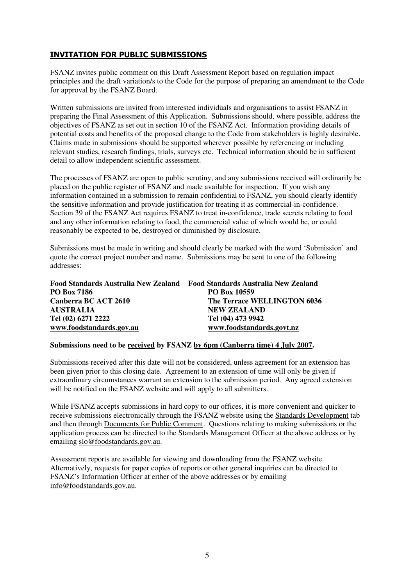### INVITATION FOR PUBLIC SUBMISSIONS

FSANZ invites public comment on this Draft Assessment Report based on regulation impact principles and the draft variation/s to the Code for the purpose of preparing an amendment to the Code for approval by the FSANZ Board.

Written submissions are invited from interested individuals and organisations to assist FSANZ in preparing the Final Assessment of this Application. Submissions should, where possible, address the objectives of FSANZ as set out in section 10 of the FSANZ Act. Information providing details of potential costs and benefits of the proposed change to the Code from stakeholders is highly desirable. Claims made in submissions should be supported wherever possible by referencing or including relevant studies, research findings, trials, surveys etc. Technical information should be in sufficient detail to allow independent scientific assessment.

The processes of FSANZ are open to public scrutiny, and any submissions received will ordinarily be placed on the public register of FSANZ and made available for inspection. If you wish any information contained in a submission to remain confidential to FSANZ, you should clearly identify the sensitive information and provide justification for treating it as commercial-in-confidence. Section 39 of the FSANZ Act requires FSANZ to treat in-confidence, trade secrets relating to food and any other information relating to food, the commercial value of which would be, or could reasonably be expected to be, destroyed or diminished by disclosure.

Submissions must be made in writing and should clearly be marked with the word 'Submission' and quote the correct project number and name. Submissions may be sent to one of the following addresses:

| Food Standards Australia New Zealand | <b>Food Standards Australia New Zealand</b> |
|--------------------------------------|---------------------------------------------|
| <b>PO Box 7186</b>                   | <b>PO Box 10559</b>                         |
| Canberra BC ACT 2610                 | The Terrace WELLINGTON 6036                 |
| <b>AUSTRALIA</b>                     | <b>NEW ZEALAND</b>                          |
| Tel (02) 6271 2222                   | Tel (04) 473 9942                           |
| www.foodstandards.gov.au             | www.foodstandards.govt.nz                   |

#### **Submissions need to be received by FSANZ by 6pm (Canberra time) 4 July 2007.**

Submissions received after this date will not be considered, unless agreement for an extension has been given prior to this closing date. Agreement to an extension of time will only be given if extraordinary circumstances warrant an extension to the submission period. Any agreed extension will be notified on the FSANZ website and will apply to all submitters.

While FSANZ accepts submissions in hard copy to our offices, it is more convenient and quicker to receive submissions electronically through the FSANZ website using the Standards Development tab and then through Documents for Public Comment. Questions relating to making submissions or the application process can be directed to the Standards Management Officer at the above address or by emailing slo@foodstandards.gov.au.

Assessment reports are available for viewing and downloading from the FSANZ website. Alternatively, requests for paper copies of reports or other general inquiries can be directed to FSANZ's Information Officer at either of the above addresses or by emailing info@foodstandards.gov.au.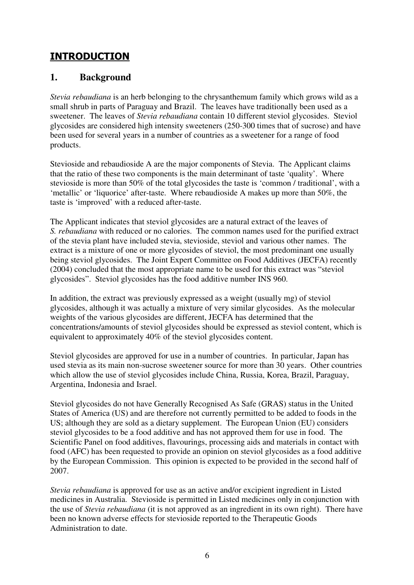# INTRODUCTION

### **1. Background**

*Stevia rebaudiana* is an herb belonging to the chrysanthemum family which grows wild as a small shrub in parts of Paraguay and Brazil. The leaves have traditionally been used as a sweetener. The leaves of *Stevia rebaudiana* contain 10 different steviol glycosides. Steviol glycosides are considered high intensity sweeteners (250-300 times that of sucrose) and have been used for several years in a number of countries as a sweetener for a range of food products.

Stevioside and rebaudioside A are the major components of Stevia. The Applicant claims that the ratio of these two components is the main determinant of taste 'quality'. Where stevioside is more than 50% of the total glycosides the taste is 'common / traditional', with a 'metallic' or 'liquorice' after-taste. Where rebaudioside A makes up more than 50%, the taste is 'improved' with a reduced after-taste.

The Applicant indicates that steviol glycosides are a natural extract of the leaves of *S. rebaudiana* with reduced or no calories. The common names used for the purified extract of the stevia plant have included stevia, stevioside, steviol and various other names. The extract is a mixture of one or more glycosides of steviol, the most predominant one usually being steviol glycosides. The Joint Expert Committee on Food Additives (JECFA) recently (2004) concluded that the most appropriate name to be used for this extract was "steviol glycosides". Steviol glycosides has the food additive number INS 960.

In addition, the extract was previously expressed as a weight (usually mg) of steviol glycosides, although it was actually a mixture of very similar glycosides. As the molecular weights of the various glycosides are different, JECFA has determined that the concentrations/amounts of steviol glycosides should be expressed as steviol content, which is equivalent to approximately 40% of the steviol glycosides content.

Steviol glycosides are approved for use in a number of countries. In particular, Japan has used stevia as its main non-sucrose sweetener source for more than 30 years. Other countries which allow the use of steviol glycosides include China, Russia, Korea, Brazil, Paraguay, Argentina, Indonesia and Israel.

Steviol glycosides do not have Generally Recognised As Safe (GRAS) status in the United States of America (US) and are therefore not currently permitted to be added to foods in the US; although they are sold as a dietary supplement. The European Union (EU) considers steviol glycosides to be a food additive and has not approved them for use in food. The Scientific Panel on food additives, flavourings, processing aids and materials in contact with food (AFC) has been requested to provide an opinion on steviol glycosides as a food additive by the European Commission. This opinion is expected to be provided in the second half of 2007.

*Stevia rebaudiana* is approved for use as an active and/or excipient ingredient in Listed medicines in Australia. Stevioside is permitted in Listed medicines only in conjunction with the use of *Stevia rebaudiana* (it is not approved as an ingredient in its own right). There have been no known adverse effects for stevioside reported to the Therapeutic Goods Administration to date.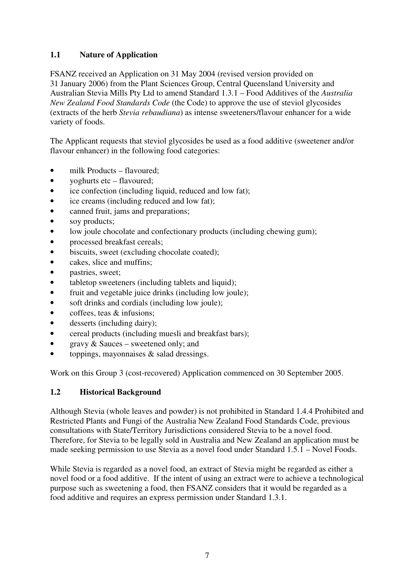### **1.1 Nature of Application**

FSANZ received an Application on 31 May 2004 (revised version provided on 31 January 2006) from the Plant Sciences Group, Central Queensland University and Australian Stevia Mills Pty Ltd to amend Standard 1.3.1 – Food Additives of the *Australia New Zealand Food Standards Code* (the Code) to approve the use of steviol glycosides (extracts of the herb *Stevia rebaudiana*) as intense sweeteners/flavour enhancer for a wide variety of foods.

The Applicant requests that steviol glycosides be used as a food additive (sweetener and/or flavour enhancer) in the following food categories:

- milk Products flavoured;
- yoghurts etc flavoured;
- ice confection (including liquid, reduced and low fat);
- ice creams (including reduced and low fat);
- canned fruit, jams and preparations;
- soy products;
- low joule chocolate and confectionary products (including chewing gum);
- processed breakfast cereals:
- biscuits, sweet (excluding chocolate coated);
- cakes, slice and muffins;
- pastries, sweet;
- tabletop sweeteners (including tablets and liquid);
- fruit and vegetable juice drinks (including low joule);
- soft drinks and cordials (including low joule);
- coffees, teas & infusions;
- desserts (including dairy);
- cereal products (including muesli and breakfast bars);
- gravy & Sauces sweetened only; and
- toppings, mayonnaises  $\&$  salad dressings.

Work on this Group 3 (cost-recovered) Application commenced on 30 September 2005.

#### **1.2 Historical Background**

Although Stevia (whole leaves and powder) is not prohibited in Standard 1.4.4 Prohibited and Restricted Plants and Fungi of the Australia New Zealand Food Standards Code, previous consultations with State/Territory Jurisdictions considered Stevia to be a novel food. Therefore, for Stevia to be legally sold in Australia and New Zealand an application must be made seeking permission to use Stevia as a novel food under Standard 1.5.1 – Novel Foods.

While Stevia is regarded as a novel food, an extract of Stevia might be regarded as either a novel food or a food additive. If the intent of using an extract were to achieve a technological purpose such as sweetening a food, then FSANZ considers that it would be regarded as a food additive and requires an express permission under Standard 1.3.1.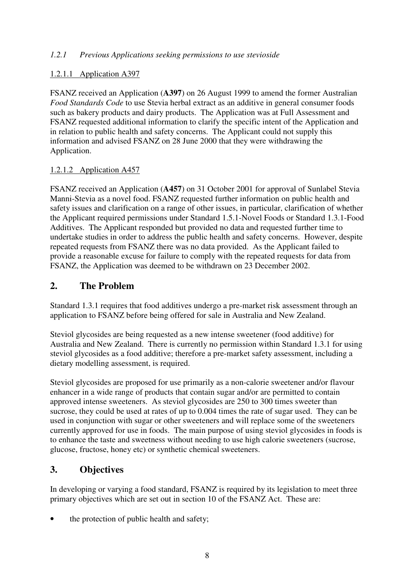#### *1.2.1 Previous Applications seeking permissions to use stevioside*

### 1.2.1.1 Application A397

FSANZ received an Application (**A397**) on 26 August 1999 to amend the former Australian *Food Standards Code* to use Stevia herbal extract as an additive in general consumer foods such as bakery products and dairy products. The Application was at Full Assessment and FSANZ requested additional information to clarify the specific intent of the Application and in relation to public health and safety concerns. The Applicant could not supply this information and advised FSANZ on 28 June 2000 that they were withdrawing the Application.

### 1.2.1.2 Application A457

FSANZ received an Application (**A457**) on 31 October 2001 for approval of Sunlabel Stevia Manni-Stevia as a novel food. FSANZ requested further information on public health and safety issues and clarification on a range of other issues, in particular, clarification of whether the Applicant required permissions under Standard 1.5.1-Novel Foods or Standard 1.3.1-Food Additives. The Applicant responded but provided no data and requested further time to undertake studies in order to address the public health and safety concerns. However, despite repeated requests from FSANZ there was no data provided. As the Applicant failed to provide a reasonable excuse for failure to comply with the repeated requests for data from FSANZ, the Application was deemed to be withdrawn on 23 December 2002.

### **2. The Problem**

Standard 1.3.1 requires that food additives undergo a pre-market risk assessment through an application to FSANZ before being offered for sale in Australia and New Zealand.

Steviol glycosides are being requested as a new intense sweetener (food additive) for Australia and New Zealand. There is currently no permission within Standard 1.3.1 for using steviol glycosides as a food additive; therefore a pre-market safety assessment, including a dietary modelling assessment, is required.

Steviol glycosides are proposed for use primarily as a non-calorie sweetener and/or flavour enhancer in a wide range of products that contain sugar and/or are permitted to contain approved intense sweeteners. As steviol glycosides are 250 to 300 times sweeter than sucrose, they could be used at rates of up to 0.004 times the rate of sugar used. They can be used in conjunction with sugar or other sweeteners and will replace some of the sweeteners currently approved for use in foods. The main purpose of using steviol glycosides in foods is to enhance the taste and sweetness without needing to use high calorie sweeteners (sucrose, glucose, fructose, honey etc) or synthetic chemical sweeteners.

### **3. Objectives**

In developing or varying a food standard, FSANZ is required by its legislation to meet three primary objectives which are set out in section 10 of the FSANZ Act. These are:

the protection of public health and safety;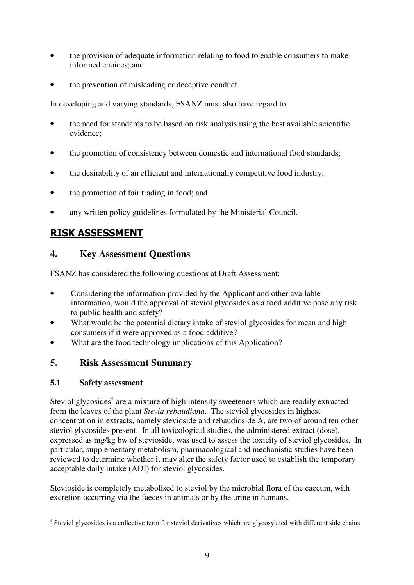- the provision of adequate information relating to food to enable consumers to make informed choices; and
- the prevention of misleading or deceptive conduct.

In developing and varying standards, FSANZ must also have regard to:

- the need for standards to be based on risk analysis using the best available scientific evidence;
- the promotion of consistency between domestic and international food standards;
- the desirability of an efficient and internationally competitive food industry;
- the promotion of fair trading in food; and
- any written policy guidelines formulated by the Ministerial Council.

# RISK ASSESSMENT

### **4. Key Assessment Questions**

FSANZ has considered the following questions at Draft Assessment:

- Considering the information provided by the Applicant and other available information, would the approval of steviol glycosides as a food additive pose any risk to public health and safety?
- What would be the potential dietary intake of steviol glycosides for mean and high consumers if it were approved as a food additive?
- What are the food technology implications of this Application?

### **5. Risk Assessment Summary**

### **5.1 Safety assessment**

Steviol glycosides<sup>4</sup> are a mixture of high intensity sweeteners which are readily extracted from the leaves of the plant *Stevia rebaudiana*. The steviol glycosides in highest concentration in extracts, namely stevioside and rebaudioside A, are two of around ten other steviol glycosides present. In all toxicological studies, the administered extract (dose), expressed as mg/kg bw of stevioside, was used to assess the toxicity of steviol glycosides. In particular, supplementary metabolism, pharmacological and mechanistic studies have been reviewed to determine whether it may alter the safety factor used to establish the temporary acceptable daily intake (ADI) for steviol glycosides.

Stevioside is completely metabolised to steviol by the microbial flora of the caecum, with excretion occurring via the faeces in animals or by the urine in humans.

<sup>4&</sup>lt;br><sup>4</sup> Steviol glycosides is a collective term for steviol derivatives which are glycosylated with different side chains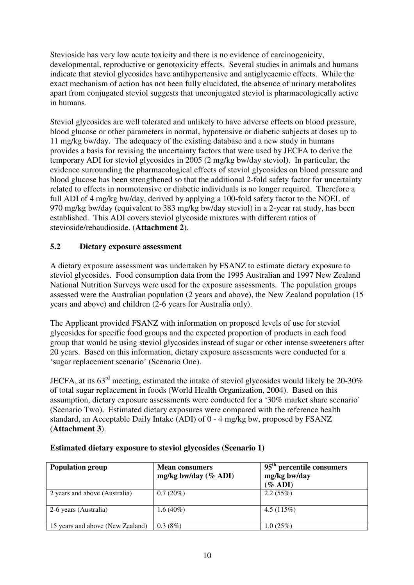Stevioside has very low acute toxicity and there is no evidence of carcinogenicity, developmental, reproductive or genotoxicity effects. Several studies in animals and humans indicate that steviol glycosides have antihypertensive and antiglycaemic effects. While the exact mechanism of action has not been fully elucidated, the absence of urinary metabolites apart from conjugated steviol suggests that unconjugated steviol is pharmacologically active in humans.

Steviol glycosides are well tolerated and unlikely to have adverse effects on blood pressure, blood glucose or other parameters in normal, hypotensive or diabetic subjects at doses up to 11 mg/kg bw/day. The adequacy of the existing database and a new study in humans provides a basis for revising the uncertainty factors that were used by JECFA to derive the temporary ADI for steviol glycosides in 2005 (2 mg/kg bw/day steviol). In particular, the evidence surrounding the pharmacological effects of steviol glycosides on blood pressure and blood glucose has been strengthened so that the additional 2-fold safety factor for uncertainty related to effects in normotensive or diabetic individuals is no longer required. Therefore a full ADI of 4 mg/kg bw/day, derived by applying a 100-fold safety factor to the NOEL of 970 mg/kg bw/day (equivalent to 383 mg/kg bw/day steviol) in a 2-year rat study, has been established. This ADI covers steviol glycoside mixtures with different ratios of stevioside/rebaudioside. (**Attachment 2**).

### **5.2 Dietary exposure assessment**

A dietary exposure assessment was undertaken by FSANZ to estimate dietary exposure to steviol glycosides. Food consumption data from the 1995 Australian and 1997 New Zealand National Nutrition Surveys were used for the exposure assessments. The population groups assessed were the Australian population (2 years and above), the New Zealand population (15 years and above) and children (2-6 years for Australia only).

The Applicant provided FSANZ with information on proposed levels of use for steviol glycosides for specific food groups and the expected proportion of products in each food group that would be using steviol glycosides instead of sugar or other intense sweeteners after 20 years. Based on this information, dietary exposure assessments were conducted for a 'sugar replacement scenario' (Scenario One).

JECFA, at its 63rd meeting, estimated the intake of steviol glycosides would likely be 20-30% of total sugar replacement in foods (World Health Organization, 2004). Based on this assumption, dietary exposure assessments were conducted for a '30% market share scenario' (Scenario Two). Estimated dietary exposures were compared with the reference health standard, an Acceptable Daily Intake (ADI) of 0 - 4 mg/kg bw, proposed by FSANZ (**Attachment 3**).

| <b>Population group</b>          | <b>Mean consumers</b><br>mg/kg bw/day $(\%$ ADI) | 95 <sup>th</sup> percentile consumers<br>mg/kg bw/day<br>$(\%$ ADI) |
|----------------------------------|--------------------------------------------------|---------------------------------------------------------------------|
| 2 years and above (Australia)    | $0.7(20\%)$                                      | 2.2(55%)                                                            |
| 2-6 years (Australia)            | $1.6(40\%)$                                      | 4.5(115%)                                                           |
| 15 years and above (New Zealand) | 0.3(8%)                                          | 1.0(25%)                                                            |

#### **Estimated dietary exposure to steviol glycosides (Scenario 1)**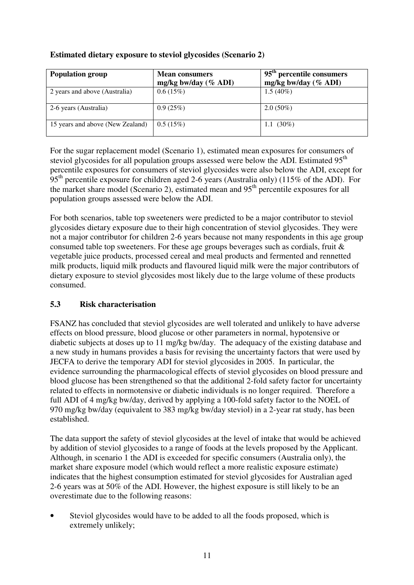### **Estimated dietary exposure to steviol glycosides (Scenario 2)**

| <b>Population group</b>          | <b>Mean consumers</b><br>mg/kg bw/day $(\%$ ADI) | 95 <sup>th</sup> percentile consumers<br>mg/kg bw/day $(\%$ ADI) |
|----------------------------------|--------------------------------------------------|------------------------------------------------------------------|
| 2 years and above (Australia)    | 0.6(15%)                                         | $1.5(40\%)$                                                      |
| 2-6 years (Australia)            | 0.9(25%)                                         | $2.0(50\%)$                                                      |
| 15 years and above (New Zealand) | 0.5(15%)                                         | 1.1 $(30\%)$                                                     |

For the sugar replacement model (Scenario 1), estimated mean exposures for consumers of steviol glycosides for all population groups assessed were below the ADI. Estimated 95<sup>th</sup> percentile exposures for consumers of steviol glycosides were also below the ADI, except for 95<sup>th</sup> percentile exposure for children aged 2-6 years (Australia only) (115% of the ADI). For the market share model (Scenario 2), estimated mean and  $95<sup>th</sup>$  percentile exposures for all population groups assessed were below the ADI.

For both scenarios, table top sweeteners were predicted to be a major contributor to steviol glycosides dietary exposure due to their high concentration of steviol glycosides. They were not a major contributor for children 2-6 years because not many respondents in this age group consumed table top sweeteners. For these age groups beverages such as cordials, fruit & vegetable juice products, processed cereal and meal products and fermented and rennetted milk products, liquid milk products and flavoured liquid milk were the major contributors of dietary exposure to steviol glycosides most likely due to the large volume of these products consumed.

### **5.3 Risk characterisation**

FSANZ has concluded that steviol glycosides are well tolerated and unlikely to have adverse effects on blood pressure, blood glucose or other parameters in normal, hypotensive or diabetic subjects at doses up to 11 mg/kg bw/day. The adequacy of the existing database and a new study in humans provides a basis for revising the uncertainty factors that were used by JECFA to derive the temporary ADI for steviol glycosides in 2005. In particular, the evidence surrounding the pharmacological effects of steviol glycosides on blood pressure and blood glucose has been strengthened so that the additional 2-fold safety factor for uncertainty related to effects in normotensive or diabetic individuals is no longer required. Therefore a full ADI of 4 mg/kg bw/day, derived by applying a 100-fold safety factor to the NOEL of 970 mg/kg bw/day (equivalent to 383 mg/kg bw/day steviol) in a 2-year rat study, has been established.

The data support the safety of steviol glycosides at the level of intake that would be achieved by addition of steviol glycosides to a range of foods at the levels proposed by the Applicant. Although, in scenario 1 the ADI is exceeded for specific consumers (Australia only), the market share exposure model (which would reflect a more realistic exposure estimate) indicates that the highest consumption estimated for steviol glycosides for Australian aged 2-6 years was at 50% of the ADI. However, the highest exposure is still likely to be an overestimate due to the following reasons:

Steviol glycosides would have to be added to all the foods proposed, which is extremely unlikely;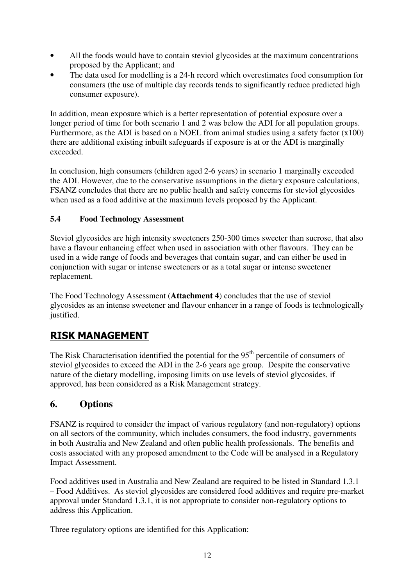- All the foods would have to contain steviol glycosides at the maximum concentrations proposed by the Applicant; and
- The data used for modelling is a 24-h record which overestimates food consumption for consumers (the use of multiple day records tends to significantly reduce predicted high consumer exposure).

In addition, mean exposure which is a better representation of potential exposure over a longer period of time for both scenario 1 and 2 was below the ADI for all population groups. Furthermore, as the ADI is based on a NOEL from animal studies using a safety factor (x100) there are additional existing inbuilt safeguards if exposure is at or the ADI is marginally exceeded.

In conclusion, high consumers (children aged 2-6 years) in scenario 1 marginally exceeded the ADI. However, due to the conservative assumptions in the dietary exposure calculations, FSANZ concludes that there are no public health and safety concerns for steviol glycosides when used as a food additive at the maximum levels proposed by the Applicant.

### **5.4 Food Technology Assessment**

Steviol glycosides are high intensity sweeteners 250-300 times sweeter than sucrose, that also have a flavour enhancing effect when used in association with other flavours. They can be used in a wide range of foods and beverages that contain sugar, and can either be used in conjunction with sugar or intense sweeteners or as a total sugar or intense sweetener replacement.

The Food Technology Assessment (**Attachment 4**) concludes that the use of steviol glycosides as an intense sweetener and flavour enhancer in a range of foods is technologically justified.

# RISK MANAGEMENT

The Risk Characterisation identified the potential for the  $95<sup>th</sup>$  percentile of consumers of steviol glycosides to exceed the ADI in the 2-6 years age group. Despite the conservative nature of the dietary modelling, imposing limits on use levels of steviol glycosides, if approved, has been considered as a Risk Management strategy.

### **6. Options**

FSANZ is required to consider the impact of various regulatory (and non-regulatory) options on all sectors of the community, which includes consumers, the food industry, governments in both Australia and New Zealand and often public health professionals. The benefits and costs associated with any proposed amendment to the Code will be analysed in a Regulatory Impact Assessment.

Food additives used in Australia and New Zealand are required to be listed in Standard 1.3.1 – Food Additives. As steviol glycosides are considered food additives and require pre-market approval under Standard 1.3.1, it is not appropriate to consider non-regulatory options to address this Application.

Three regulatory options are identified for this Application: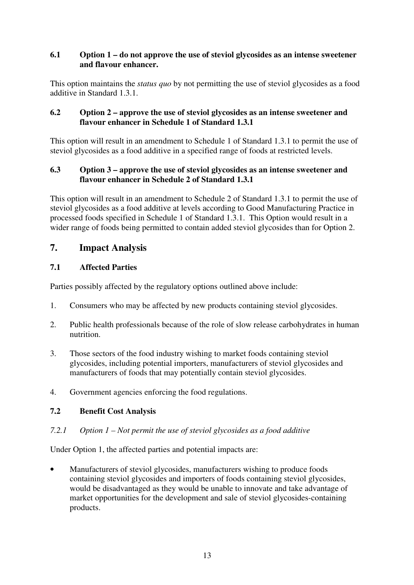#### **6.1 Option 1 – do not approve the use of steviol glycosides as an intense sweetener and flavour enhancer.**

This option maintains the *status quo* by not permitting the use of steviol glycosides as a food additive in Standard 1.3.1.

#### **6.2 Option 2 – approve the use of steviol glycosides as an intense sweetener and flavour enhancer in Schedule 1 of Standard 1.3.1**

This option will result in an amendment to Schedule 1 of Standard 1.3.1 to permit the use of steviol glycosides as a food additive in a specified range of foods at restricted levels.

#### **6.3 Option 3 – approve the use of steviol glycosides as an intense sweetener and flavour enhancer in Schedule 2 of Standard 1.3.1**

This option will result in an amendment to Schedule 2 of Standard 1.3.1 to permit the use of steviol glycosides as a food additive at levels according to Good Manufacturing Practice in processed foods specified in Schedule 1 of Standard 1.3.1. This Option would result in a wider range of foods being permitted to contain added steviol glycosides than for Option 2.

### **7. Impact Analysis**

### **7.1 Affected Parties**

Parties possibly affected by the regulatory options outlined above include:

- 1. Consumers who may be affected by new products containing steviol glycosides.
- 2. Public health professionals because of the role of slow release carbohydrates in human nutrition.
- 3. Those sectors of the food industry wishing to market foods containing steviol glycosides, including potential importers, manufacturers of steviol glycosides and manufacturers of foods that may potentially contain steviol glycosides.
- 4. Government agencies enforcing the food regulations.

#### **7.2 Benefit Cost Analysis**

#### *7.2.1 Option 1 – Not permit the use of steviol glycosides as a food additive*

Under Option 1, the affected parties and potential impacts are:

• Manufacturers of steviol glycosides, manufacturers wishing to produce foods containing steviol glycosides and importers of foods containing steviol glycosides, would be disadvantaged as they would be unable to innovate and take advantage of market opportunities for the development and sale of steviol glycosides-containing products.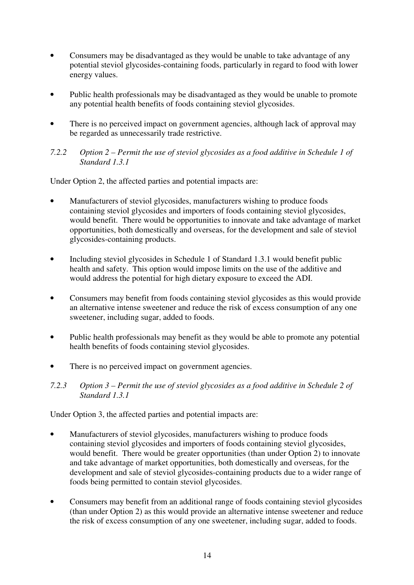- Consumers may be disadvantaged as they would be unable to take advantage of any potential steviol glycosides-containing foods, particularly in regard to food with lower energy values.
- Public health professionals may be disadvantaged as they would be unable to promote any potential health benefits of foods containing steviol glycosides.
- There is no perceived impact on government agencies, although lack of approval may be regarded as unnecessarily trade restrictive.

#### *7.2.2 Option 2 – Permit the use of steviol glycosides as a food additive in Schedule 1 of Standard 1.3.1*

Under Option 2, the affected parties and potential impacts are:

- Manufacturers of steviol glycosides, manufacturers wishing to produce foods containing steviol glycosides and importers of foods containing steviol glycosides, would benefit. There would be opportunities to innovate and take advantage of market opportunities, both domestically and overseas, for the development and sale of steviol glycosides-containing products.
- Including steviol glycosides in Schedule 1 of Standard 1.3.1 would benefit public health and safety. This option would impose limits on the use of the additive and would address the potential for high dietary exposure to exceed the ADI.
- Consumers may benefit from foods containing steviol glycosides as this would provide an alternative intense sweetener and reduce the risk of excess consumption of any one sweetener, including sugar, added to foods.
- Public health professionals may benefit as they would be able to promote any potential health benefits of foods containing steviol glycosides.
- There is no perceived impact on government agencies.
- *7.2.3 Option 3 Permit the use of steviol glycosides as a food additive in Schedule 2 of Standard 1.3.1*

Under Option 3, the affected parties and potential impacts are:

- Manufacturers of steviol glycosides, manufacturers wishing to produce foods containing steviol glycosides and importers of foods containing steviol glycosides, would benefit. There would be greater opportunities (than under Option 2) to innovate and take advantage of market opportunities, both domestically and overseas, for the development and sale of steviol glycosides-containing products due to a wider range of foods being permitted to contain steviol glycosides.
- Consumers may benefit from an additional range of foods containing steviol glycosides (than under Option 2) as this would provide an alternative intense sweetener and reduce the risk of excess consumption of any one sweetener, including sugar, added to foods.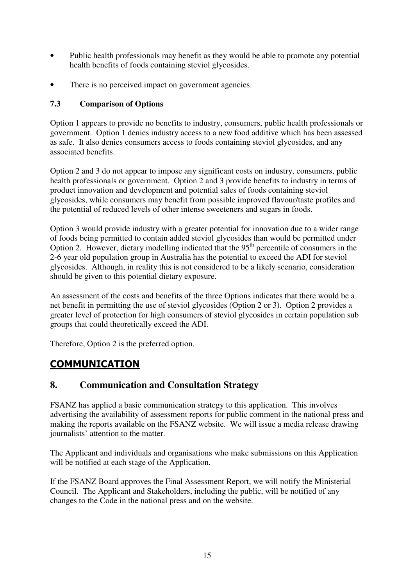- Public health professionals may benefit as they would be able to promote any potential health benefits of foods containing steviol glycosides.
- There is no perceived impact on government agencies.

### **7.3 Comparison of Options**

Option 1 appears to provide no benefits to industry, consumers, public health professionals or government. Option 1 denies industry access to a new food additive which has been assessed as safe. It also denies consumers access to foods containing steviol glycosides, and any associated benefits.

Option 2 and 3 do not appear to impose any significant costs on industry, consumers, public health professionals or government. Option 2 and 3 provide benefits to industry in terms of product innovation and development and potential sales of foods containing steviol glycosides, while consumers may benefit from possible improved flavour/taste profiles and the potential of reduced levels of other intense sweeteners and sugars in foods.

Option 3 would provide industry with a greater potential for innovation due to a wider range of foods being permitted to contain added steviol glycosides than would be permitted under Option 2. However, dietary modelling indicated that the  $95<sup>th</sup>$  percentile of consumers in the 2-6 year old population group in Australia has the potential to exceed the ADI for steviol glycosides. Although, in reality this is not considered to be a likely scenario, consideration should be given to this potential dietary exposure.

An assessment of the costs and benefits of the three Options indicates that there would be a net benefit in permitting the use of steviol glycosides (Option 2 or 3). Option 2 provides a greater level of protection for high consumers of steviol glycosides in certain population sub groups that could theoretically exceed the ADI.

Therefore, Option 2 is the preferred option.

# **COMMUNICATION**

### **8. Communication and Consultation Strategy**

FSANZ has applied a basic communication strategy to this application. This involves advertising the availability of assessment reports for public comment in the national press and making the reports available on the FSANZ website. We will issue a media release drawing journalists' attention to the matter.

The Applicant and individuals and organisations who make submissions on this Application will be notified at each stage of the Application.

If the FSANZ Board approves the Final Assessment Report, we will notify the Ministerial Council. The Applicant and Stakeholders, including the public, will be notified of any changes to the Code in the national press and on the website.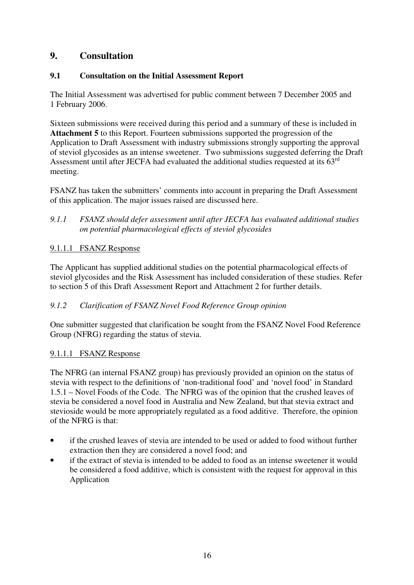### **9. Consultation**

### **9.1 Consultation on the Initial Assessment Report**

The Initial Assessment was advertised for public comment between 7 December 2005 and 1 February 2006.

Sixteen submissions were received during this period and a summary of these is included in **Attachment 5** to this Report. Fourteen submissions supported the progression of the Application to Draft Assessment with industry submissions strongly supporting the approval of steviol glycosides as an intense sweetener. Two submissions suggested deferring the Draft Assessment until after JECFA had evaluated the additional studies requested at its 63<sup>rd</sup> meeting.

FSANZ has taken the submitters' comments into account in preparing the Draft Assessment of this application. The major issues raised are discussed here.

*9.1.1 FSANZ should defer assessment until after JECFA has evaluated additional studies on potential pharmacological effects of steviol glycosides* 

### 9.1.1.1 FSANZ Response

The Applicant has supplied additional studies on the potential pharmacological effects of steviol glycosides and the Risk Assessment has included consideration of these studies. Refer to section 5 of this Draft Assessment Report and Attachment 2 for further details.

### *9.1.2 Clarification of FSANZ Novel Food Reference Group opinion*

One submitter suggested that clarification be sought from the FSANZ Novel Food Reference Group (NFRG) regarding the status of stevia.

### 9.1.1.1 FSANZ Response

The NFRG (an internal FSANZ group) has previously provided an opinion on the status of stevia with respect to the definitions of 'non-traditional food' and 'novel food' in Standard 1.5.1 – Novel Foods of the Code. The NFRG was of the opinion that the crushed leaves of stevia be considered a novel food in Australia and New Zealand, but that stevia extract and stevioside would be more appropriately regulated as a food additive. Therefore, the opinion of the NFRG is that:

- if the crushed leaves of stevia are intended to be used or added to food without further extraction then they are considered a novel food; and
- if the extract of stevia is intended to be added to food as an intense sweetener it would be considered a food additive, which is consistent with the request for approval in this Application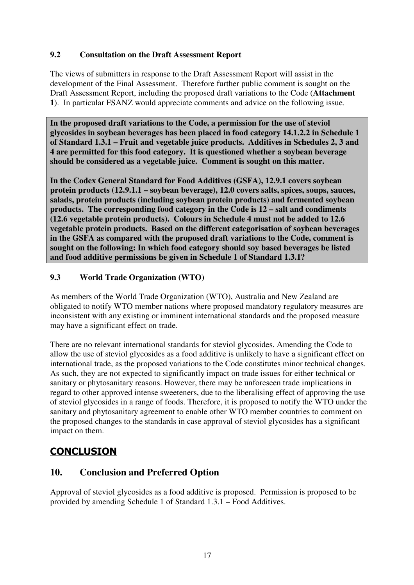#### **9.2 Consultation on the Draft Assessment Report**

The views of submitters in response to the Draft Assessment Report will assist in the development of the Final Assessment. Therefore further public comment is sought on the Draft Assessment Report, including the proposed draft variations to the Code (**Attachment 1**). In particular FSANZ would appreciate comments and advice on the following issue.

**In the proposed draft variations to the Code, a permission for the use of steviol glycosides in soybean beverages has been placed in food category 14.1.2.2 in Schedule 1 of Standard 1.3.1 – Fruit and vegetable juice products. Additives in Schedules 2, 3 and 4 are permitted for this food category. It is questioned whether a soybean beverage should be considered as a vegetable juice. Comment is sought on this matter.** 

**In the Codex General Standard for Food Additives (GSFA), 12.9.1 covers soybean protein products (12.9.1.1 – soybean beverage), 12.0 covers salts, spices, soups, sauces, salads, protein products (including soybean protein products) and fermented soybean products. The corresponding food category in the Code is 12 – salt and condiments (12.6 vegetable protein products). Colours in Schedule 4 must not be added to 12.6 vegetable protein products. Based on the different categorisation of soybean beverages in the GSFA as compared with the proposed draft variations to the Code, comment is sought on the following: In which food category should soy based beverages be listed and food additive permissions be given in Schedule 1 of Standard 1.3.1?** 

### **9.3 World Trade Organization (WTO)**

As members of the World Trade Organization (WTO), Australia and New Zealand are obligated to notify WTO member nations where proposed mandatory regulatory measures are inconsistent with any existing or imminent international standards and the proposed measure may have a significant effect on trade.

There are no relevant international standards for steviol glycosides. Amending the Code to allow the use of steviol glycosides as a food additive is unlikely to have a significant effect on international trade, as the proposed variations to the Code constitutes minor technical changes. As such, they are not expected to significantly impact on trade issues for either technical or sanitary or phytosanitary reasons. However, there may be unforeseen trade implications in regard to other approved intense sweeteners, due to the liberalising effect of approving the use of steviol glycosides in a range of foods. Therefore, it is proposed to notify the WTO under the sanitary and phytosanitary agreement to enable other WTO member countries to comment on the proposed changes to the standards in case approval of steviol glycosides has a significant impact on them.

# **CONCLUSION**

### **10. Conclusion and Preferred Option**

Approval of steviol glycosides as a food additive is proposed. Permission is proposed to be provided by amending Schedule 1 of Standard 1.3.1 – Food Additives.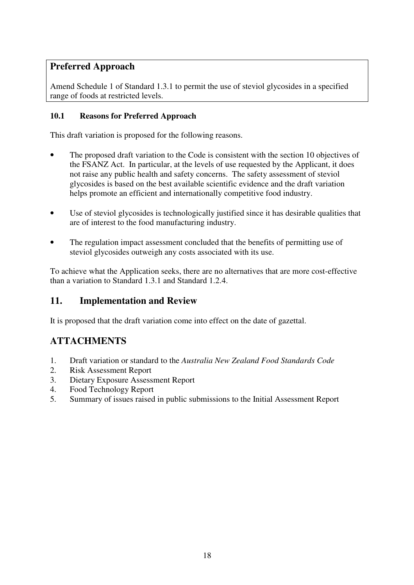### **Preferred Approach**

Amend Schedule 1 of Standard 1.3.1 to permit the use of steviol glycosides in a specified range of foods at restricted levels.

### **10.1 Reasons for Preferred Approach**

This draft variation is proposed for the following reasons.

- The proposed draft variation to the Code is consistent with the section 10 objectives of the FSANZ Act. In particular, at the levels of use requested by the Applicant, it does not raise any public health and safety concerns. The safety assessment of steviol glycosides is based on the best available scientific evidence and the draft variation helps promote an efficient and internationally competitive food industry.
- Use of steviol glycosides is technologically justified since it has desirable qualities that are of interest to the food manufacturing industry.
- The regulation impact assessment concluded that the benefits of permitting use of steviol glycosides outweigh any costs associated with its use.

To achieve what the Application seeks, there are no alternatives that are more cost-effective than a variation to Standard 1.3.1 and Standard 1.2.4.

### **11. Implementation and Review**

It is proposed that the draft variation come into effect on the date of gazettal.

# **ATTACHMENTS**

- 1. Draft variation or standard to the *Australia New Zealand Food Standards Code*
- 2. Risk Assessment Report
- 3. Dietary Exposure Assessment Report
- 4. Food Technology Report
- 5. Summary of issues raised in public submissions to the Initial Assessment Report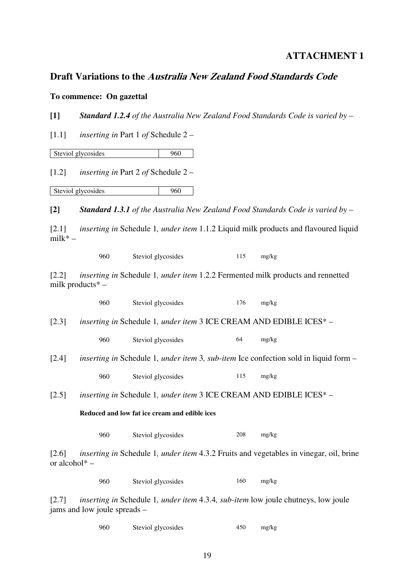### **ATTACHMENT 1**

### **Draft Variations to the Australia New Zealand Food Standards Code**

#### **To commence: On gazettal**

**[1]** *Standard 1.2.4 of the Australia New Zealand Food Standards Code is varied by* –

[1.1] *inserting in* Part 1 *of* Schedule 2 –

Steviol glycosides 960

[1.2] *inserting in* Part 2 *of* Schedule 2 –

Steviol glycosides 960

**[2]** *Standard 1.3.1 of the Australia New Zealand Food Standards Code is varied by* –

[2.1] *inserting in* Schedule 1*, under item* 1.1.2 Liquid milk products and flavoured liquid milk\* –

960 Steviol glycosides 115 mg/kg

[2.2] *inserting in* Schedule 1*, under item* 1.2.2 Fermented milk products and rennetted milk products\* –

|                                               | 960 | Steviol glycosides                                                                           | 176 | mg/kg                                                                                                     |
|-----------------------------------------------|-----|----------------------------------------------------------------------------------------------|-----|-----------------------------------------------------------------------------------------------------------|
| [2.3]                                         |     | inserting in Schedule 1, under item 3 ICE CREAM AND EDIBLE ICES* -                           |     |                                                                                                           |
|                                               | 960 | Steviol glycosides                                                                           | 64  | mg/kg                                                                                                     |
| $\left[2.4\right]$                            |     |                                                                                              |     | <i>inserting in</i> Schedule 1, <i>under item</i> 3, <i>sub-item</i> Ice confection sold in liquid form – |
|                                               | 960 | Steviol glycosides                                                                           | 115 | mg/kg                                                                                                     |
| $\left[2.5\right]$                            |     | <i>inserting in</i> Schedule 1, <i>under item</i> 3 ICE CREAM AND EDIBLE ICES <sup>*</sup> – |     |                                                                                                           |
| Reduced and low fat ice cream and edible ices |     |                                                                                              |     |                                                                                                           |
|                                               | 960 | Steviol glycosides                                                                           | 208 | mg/kg                                                                                                     |
| $\lceil 2.6 \rceil$<br>or alcohol $*$ –       |     |                                                                                              |     | <i>inserting in</i> Schedule 1, <i>under item</i> 4.3.2 Fruits and vegetables in vinegar, oil, brine      |
|                                               | 960 | Steviol glycosides                                                                           | 160 | mg/kg                                                                                                     |

[2.7] *inserting in* Schedule 1*, under item* 4.3.4*, sub-item* low joule chutneys, low joule jams and low joule spreads –

960 Steviol glycosides 450 mg/kg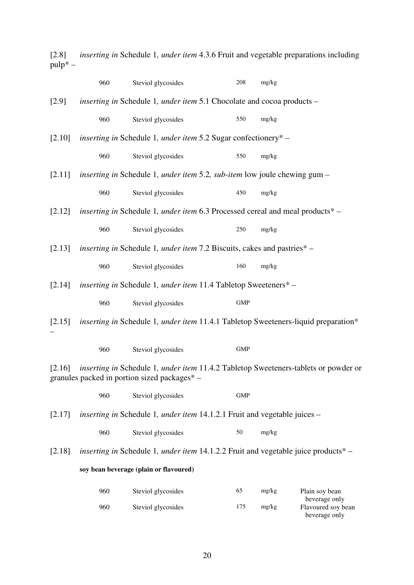[2.8] *inserting in* Schedule 1*, under item* 4.3.6 Fruit and vegetable preparations including  $pulp^* -$ 

|        | 960 | Steviol glycosides                                                                                                                  | 208        | mg/kg |                                     |
|--------|-----|-------------------------------------------------------------------------------------------------------------------------------------|------------|-------|-------------------------------------|
| [2.9]  |     | inserting in Schedule 1, under item 5.1 Chocolate and cocoa products -                                                              |            |       |                                     |
|        | 960 | Steviol glycosides                                                                                                                  | 550        | mg/kg |                                     |
| [2.10] |     | <i>inserting in</i> Schedule 1, <i>under item</i> 5.2 Sugar confectionery* –                                                        |            |       |                                     |
|        | 960 | Steviol glycosides                                                                                                                  | 550        | mg/kg |                                     |
| [2.11] |     | <i>inserting in</i> Schedule 1, <i>under item</i> 5.2, <i>sub-item</i> low joule chewing gum –                                      |            |       |                                     |
|        | 960 | Steviol glycosides                                                                                                                  | 450        | mg/kg |                                     |
| [2.12] |     | inserting in Schedule 1, under item 6.3 Processed cereal and meal products* -                                                       |            |       |                                     |
|        | 960 | Steviol glycosides                                                                                                                  | 250        | mg/kg |                                     |
| [2.13] |     | <i>inserting in</i> Schedule 1, <i>under item</i> 7.2 Biscuits, cakes and pastries* –                                               |            |       |                                     |
|        | 960 | Steviol glycosides                                                                                                                  | 160        | mg/kg |                                     |
| [2.14] |     | <i>inserting in</i> Schedule 1, <i>under item</i> 11.4 Tabletop Sweeteners* -                                                       |            |       |                                     |
|        | 960 | Steviol glycosides                                                                                                                  | <b>GMP</b> |       |                                     |
| [2.15] |     | <i>inserting in Schedule 1, under item 11.4.1 Tabletop Sweeteners-liquid preparation*</i>                                           |            |       |                                     |
|        | 960 | Steviol glycosides                                                                                                                  | <b>GMP</b> |       |                                     |
| [2.16] |     | inserting in Schedule 1, under item 11.4.2 Tabletop Sweeteners-tablets or powder or<br>granules packed in portion sized packages* - |            |       |                                     |
|        | 960 | Steviol glycosides                                                                                                                  | <b>GMP</b> |       |                                     |
| [2.17] |     | <i>inserting in</i> Schedule 1, <i>under item</i> 14.1.2.1 Fruit and vegetable juices –                                             |            |       |                                     |
|        | 960 | Steviol glycosides                                                                                                                  | 50         | mg/kg |                                     |
| [2.18] |     | <i>inserting in</i> Schedule 1, <i>under item</i> 14.1.2.2 Fruit and vegetable juice products <sup>*</sup> –                        |            |       |                                     |
|        |     | soy bean beverage (plain or flavoured)                                                                                              |            |       |                                     |
|        | 960 | Steviol glycosides                                                                                                                  | 65         | mg/kg | Plain soy bean<br>beverage only     |
|        | 960 | Steviol glycosides                                                                                                                  | 175        | mg/kg | Flavoured soy bean<br>beverage only |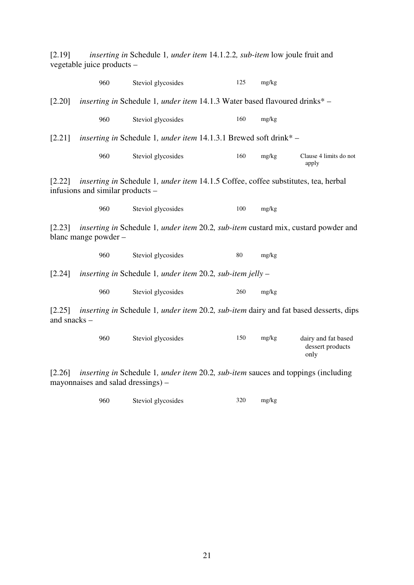[2.19] *inserting in* Schedule 1*, under item* 14.1.2.2*, sub-item* low joule fruit and vegetable juice products –

|                                                                                                                                        | 960                              | Steviol glycosides                                                                                      | 125    | mg/kg |                                 |
|----------------------------------------------------------------------------------------------------------------------------------------|----------------------------------|---------------------------------------------------------------------------------------------------------|--------|-------|---------------------------------|
| [2.20]                                                                                                                                 |                                  | inserting in Schedule 1, under item 14.1.3 Water based flavoured drinks* -                              |        |       |                                 |
|                                                                                                                                        | 960                              | Steviol glycosides                                                                                      | 160    | mg/kg |                                 |
| [2.21]                                                                                                                                 |                                  | <i>inserting in</i> Schedule 1, <i>under item</i> 14.1.3.1 Brewed soft drink* $-$                       |        |       |                                 |
|                                                                                                                                        | 960                              | Steviol glycosides                                                                                      | 160    | mg/kg | Clause 4 limits do not<br>apply |
|                                                                                                                                        | infusions and similar products – | [2.22] <i>inserting in</i> Schedule 1, <i>under item</i> 14.1.5 Coffee, coffee substitutes, tea, herbal |        |       |                                 |
|                                                                                                                                        | 960                              | Steviol glycosides                                                                                      | 100    | mg/kg |                                 |
| [2.23] <i>inserting in</i> Schedule 1, <i>under item</i> 20.2, <i>sub-item</i> custard mix, custard powder and<br>blanc mange powder – |                                  |                                                                                                         |        |       |                                 |
|                                                                                                                                        | 960                              | Steviol glycosides                                                                                      | $80\,$ | mg/kg |                                 |
| [2.24]                                                                                                                                 |                                  | inserting in Schedule 1, under item 20.2, sub-item jelly $-$                                            |        |       |                                 |
|                                                                                                                                        | 960                              | Steviol glycosides                                                                                      | 260    | mg/kg |                                 |
| [2.25]                                                                                                                                 |                                  | inserting in Schedule 1, under item 20.2, sub-item dairy and fat based desserts, dips                   |        |       |                                 |

and snacks –

| 960 | Steviol glycosides | 150 | mg/kg | dairy and fat based |
|-----|--------------------|-----|-------|---------------------|
|     |                    |     |       | dessert products    |
|     |                    |     |       | only                |

[2.26] *inserting in* Schedule 1*, under item* 20.2*, sub-item* sauces and toppings (including mayonnaises and salad dressings) –

960 Steviol glycosides 320 mg/kg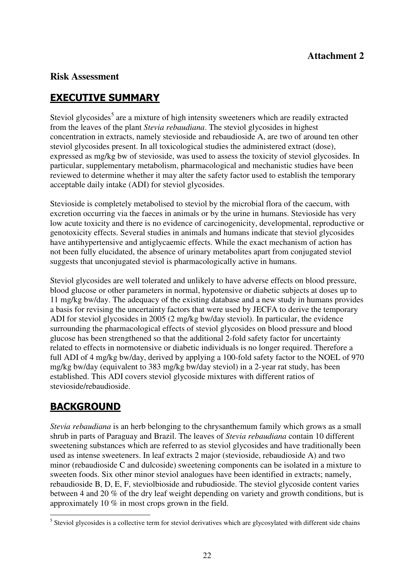### **Risk Assessment**

# EXECUTIVE SUMMARY

Steviol glycosides<sup>5</sup> are a mixture of high intensity sweeteners which are readily extracted from the leaves of the plant *Stevia rebaudiana*. The steviol glycosides in highest concentration in extracts, namely stevioside and rebaudioside A, are two of around ten other steviol glycosides present. In all toxicological studies the administered extract (dose), expressed as mg/kg bw of stevioside, was used to assess the toxicity of steviol glycosides. In particular, supplementary metabolism, pharmacological and mechanistic studies have been reviewed to determine whether it may alter the safety factor used to establish the temporary acceptable daily intake (ADI) for steviol glycosides.

Stevioside is completely metabolised to steviol by the microbial flora of the caecum, with excretion occurring via the faeces in animals or by the urine in humans. Stevioside has very low acute toxicity and there is no evidence of carcinogenicity, developmental, reproductive or genotoxicity effects. Several studies in animals and humans indicate that steviol glycosides have antihypertensive and antiglycaemic effects. While the exact mechanism of action has not been fully elucidated, the absence of urinary metabolites apart from conjugated steviol suggests that unconjugated steviol is pharmacologically active in humans.

Steviol glycosides are well tolerated and unlikely to have adverse effects on blood pressure, blood glucose or other parameters in normal, hypotensive or diabetic subjects at doses up to 11 mg/kg bw/day. The adequacy of the existing database and a new study in humans provides a basis for revising the uncertainty factors that were used by JECFA to derive the temporary ADI for steviol glycosides in 2005 (2 mg/kg bw/day steviol). In particular, the evidence surrounding the pharmacological effects of steviol glycosides on blood pressure and blood glucose has been strengthened so that the additional 2-fold safety factor for uncertainty related to effects in normotensive or diabetic individuals is no longer required. Therefore a full ADI of 4 mg/kg bw/day, derived by applying a 100-fold safety factor to the NOEL of 970 mg/kg bw/day (equivalent to 383 mg/kg bw/day steviol) in a 2-year rat study, has been established. This ADI covers steviol glycoside mixtures with different ratios of stevioside/rebaudioside.

# BACKGROUND

*Stevia rebaudiana* is an herb belonging to the chrysanthemum family which grows as a small shrub in parts of Paraguay and Brazil. The leaves of *Stevia rebaudiana* contain 10 different sweetening substances which are referred to as steviol glycosides and have traditionally been used as intense sweeteners. In leaf extracts 2 major (stevioside, rebaudioside A) and two minor (rebaudioside C and dulcoside) sweetening components can be isolated in a mixture to sweeten foods. Six other minor steviol analogues have been identified in extracts; namely, rebaudioside B, D, E, F, steviolbioside and rubudioside. The steviol glycoside content varies between 4 and 20 % of the dry leaf weight depending on variety and growth conditions, but is approximately 10 % in most crops grown in the field.

<sup>&</sup>lt;sup>5</sup> Steviol glycosides is a collective term for steviol derivatives which are glycosylated with different side chains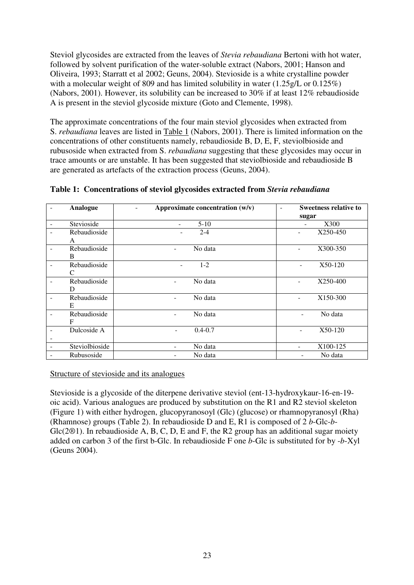Steviol glycosides are extracted from the leaves of *Stevia rebaudiana* Bertoni with hot water, followed by solvent purification of the water-soluble extract (Nabors, 2001; Hanson and Oliveira, 1993; Starratt et al 2002; Geuns, 2004). Stevioside is a white crystalline powder with a molecular weight of 809 and has limited solubility in water (1.25g/L or 0.125%) (Nabors, 2001). However, its solubility can be increased to 30% if at least 12% rebaudioside A is present in the steviol glycoside mixture (Goto and Clemente, 1998).

The approximate concentrations of the four main steviol glycosides when extracted from S. *rebaudiana* leaves are listed in Table 1 (Nabors, 2001). There is limited information on the concentrations of other constituents namely, rebaudioside B, D, E, F, steviolbioside and rubusoside when extracted from S. *rebaudiana* suggesting that these glycosides may occur in trace amounts or are unstable. It has been suggested that steviolbioside and rebaudioside B are generated as artefacts of the extraction process (Geuns, 2004).

|                          | <b>Analogue</b> | Approximate concentration $(w/v)$       | <b>Sweetness relative to</b><br>٠    |
|--------------------------|-----------------|-----------------------------------------|--------------------------------------|
|                          |                 |                                         | sugar                                |
|                          | Stevioside      | $5-10$<br>÷                             | X300<br>$\overline{\phantom{a}}$     |
|                          | Rebaudioside    | $2 - 4$                                 | X250-450                             |
|                          | A               |                                         |                                      |
| $\overline{\phantom{a}}$ | Rebaudioside    | No data<br>$\sim$                       | X300-350<br>$\overline{\phantom{a}}$ |
|                          | B               |                                         |                                      |
|                          | Rebaudioside    | $1 - 2$<br>-                            | X50-120<br>÷,                        |
|                          | C               |                                         |                                      |
|                          | Rebaudioside    | No data                                 | X250-400                             |
|                          | D               |                                         |                                      |
|                          | Rebaudioside    | No data                                 | X150-300                             |
|                          | E               |                                         |                                      |
|                          | Rebaudioside    | No data<br>Ξ.                           | No data<br>-                         |
|                          | $\mathbf F$     |                                         |                                      |
|                          | Dulcoside A     | $0.4 - 0.7$<br>$\overline{\phantom{0}}$ | X50-120                              |
|                          |                 |                                         |                                      |
|                          | Steviolbioside  | No data                                 | X100-125<br>÷                        |
|                          | Rubusoside      | No data                                 | No data                              |

**Table 1: Concentrations of steviol glycosides extracted from** *Stevia rebaudiana*

Structure of stevioside and its analogues

Stevioside is a glycoside of the diterpene derivative steviol (ent-13-hydroxykaur-16-en-19 oic acid). Various analogues are produced by substitution on the R1 and R2 steviol skeleton (Figure 1) with either hydrogen, glucopyranosoyl (Glc) (glucose) or rhamnopyranosyl (Rha) (Rhamnose) groups (Table 2). In rebaudioside D and E, R1 is composed of 2 *b*-Glc-*b*- $Glc(2<sup>®1</sup>)$ . In rebaudioside A, B, C, D, E and F, the R2 group has an additional sugar moiety added on carbon 3 of the first b-Glc. In rebaudioside F one *b*-Glc is substituted for by -*b*-Xyl (Geuns 2004).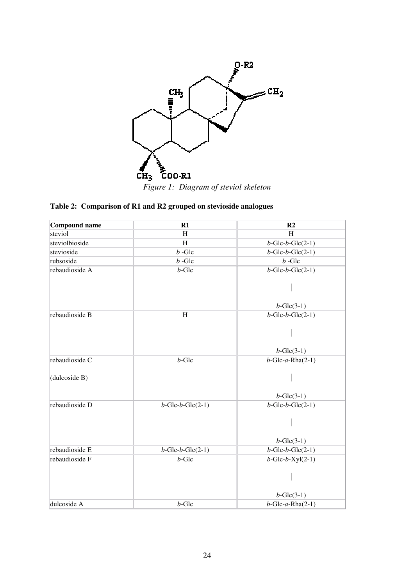

### **Table 2: Comparison of R1 and R2 grouped on stevioside analogues**

| Compound name  | $R1$                       | R <sub>2</sub>                     |
|----------------|----------------------------|------------------------------------|
| steviol        | H                          | H                                  |
| steviolbioside | H                          | $b$ -Glc- $b$ -Glc $(2-1)$         |
| stevioside     | $\overline{b}$ -Glc        | $b$ -Glc- $b$ -Glc $(2-1)$         |
| rubsoside      | $b$ -Glc                   | $b$ -Glc                           |
| rebaudioside A | $b$ -Glc                   | $\overline{b}$ -Glc- $b$ -Glc(2-1) |
|                |                            |                                    |
|                |                            | $b$ -Glc $(3-1)$                   |
| rebaudioside B | $\boldsymbol{\mathrm{H}}$  | $b$ -Glc- $b$ -Glc $(2-1)$         |
|                |                            |                                    |
|                |                            | $b$ -Glc $(3-1)$                   |
| rebaudioside C | $b$ -Glc                   | $\overline{b}$ -Glc-a-Rha(2-1)     |
| (dulcoside B)  |                            |                                    |
|                |                            | $b$ -Glc $(3-1)$                   |
| rebaudioside D | $b$ -Glc- $b$ -Glc $(2-1)$ | $b$ -Glc- $b$ -Glc $(2-1)$         |
|                |                            |                                    |
|                |                            | $b$ -Glc $(3-1)$                   |
| rebaudioside E | $b$ -Glc- $b$ -Glc $(2-1)$ | $b$ -Glc- $b$ -Glc $(2-1)$         |
| rebaudioside F | $b$ -Glc                   | $b$ -Glc- $b$ -Xyl $(2-1)$         |
|                |                            |                                    |
|                |                            | $b$ -Glc $(3-1)$                   |
| dulcoside A    | $b$ -Glc                   | $b$ -Glc-a-Rha $(2-1)$             |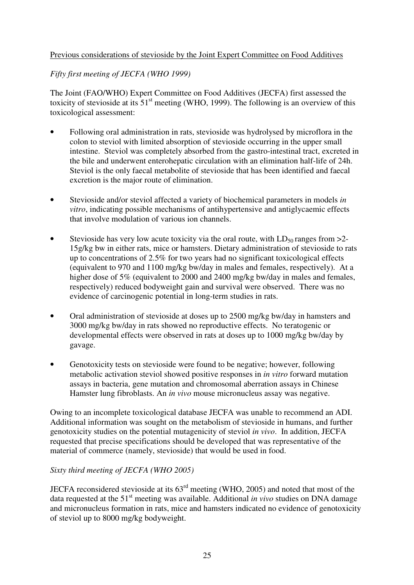#### Previous considerations of stevioside by the Joint Expert Committee on Food Additives

#### *Fifty first meeting of JECFA (WHO 1999)*

The Joint (FAO/WHO) Expert Committee on Food Additives (JECFA) first assessed the toxicity of stevioside at its  $51<sup>st</sup>$  meeting (WHO, 1999). The following is an overview of this toxicological assessment:

- Following oral administration in rats, stevioside was hydrolysed by microflora in the colon to steviol with limited absorption of stevioside occurring in the upper small intestine. Steviol was completely absorbed from the gastro-intestinal tract, excreted in the bile and underwent enterohepatic circulation with an elimination half-life of 24h. Steviol is the only faecal metabolite of stevioside that has been identified and faecal excretion is the major route of elimination.
- Stevioside and/or steviol affected a variety of biochemical parameters in models *in vitro*, indicating possible mechanisms of antihypertensive and antiglycaemic effects that involve modulation of various ion channels.
- Stevioside has very low acute toxicity via the oral route, with  $LD_{50}$  ranges from  $>2$ -15g/kg bw in either rats, mice or hamsters. Dietary administration of stevioside to rats up to concentrations of 2.5% for two years had no significant toxicological effects (equivalent to 970 and 1100 mg/kg bw/day in males and females, respectively). At a higher dose of 5% (equivalent to 2000 and 2400 mg/kg bw/day in males and females, respectively) reduced bodyweight gain and survival were observed. There was no evidence of carcinogenic potential in long-term studies in rats.
- Oral administration of stevioside at doses up to 2500 mg/kg bw/day in hamsters and 3000 mg/kg bw/day in rats showed no reproductive effects. No teratogenic or developmental effects were observed in rats at doses up to 1000 mg/kg bw/day by gavage.
- Genotoxicity tests on stevioside were found to be negative; however, following metabolic activation steviol showed positive responses in *in vitro* forward mutation assays in bacteria, gene mutation and chromosomal aberration assays in Chinese Hamster lung fibroblasts. An *in vivo* mouse micronucleus assay was negative.

Owing to an incomplete toxicological database JECFA was unable to recommend an ADI. Additional information was sought on the metabolism of stevioside in humans, and further genotoxicity studies on the potential mutagenicity of steviol *in vivo*. In addition, JECFA requested that precise specifications should be developed that was representative of the material of commerce (namely, stevioside) that would be used in food.

#### *Sixty third meeting of JECFA (WHO 2005)*

JECFA reconsidered stevioside at its 63rd meeting (WHO, 2005) and noted that most of the data requested at the 51<sup>st</sup> meeting was available. Additional *in vivo* studies on DNA damage and micronucleus formation in rats, mice and hamsters indicated no evidence of genotoxicity of steviol up to 8000 mg/kg bodyweight.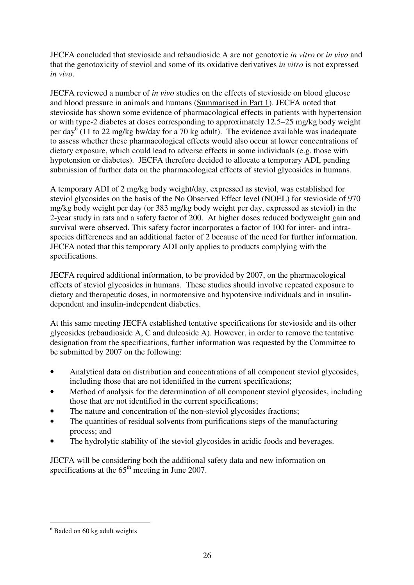JECFA concluded that stevioside and rebaudioside A are not genotoxic *in vitro* or *in vivo* and that the genotoxicity of steviol and some of its oxidative derivatives *in vitro* is not expressed *in vivo*.

JECFA reviewed a number of *in vivo* studies on the effects of stevioside on blood glucose and blood pressure in animals and humans (Summarised in Part 1). JECFA noted that stevioside has shown some evidence of pharmacological effects in patients with hypertension or with type-2 diabetes at doses corresponding to approximately 12.5–25 mg/kg body weight per day<sup>6</sup> (11 to 22 mg/kg bw/day for a 70 kg adult). The evidence available was inadequate to assess whether these pharmacological effects would also occur at lower concentrations of dietary exposure, which could lead to adverse effects in some individuals (e.g. those with hypotension or diabetes). JECFA therefore decided to allocate a temporary ADI, pending submission of further data on the pharmacological effects of steviol glycosides in humans.

A temporary ADI of 2 mg/kg body weight/day, expressed as steviol, was established for steviol glycosides on the basis of the No Observed Effect level (NOEL) for stevioside of 970 mg/kg body weight per day (or 383 mg/kg body weight per day, expressed as steviol) in the 2-year study in rats and a safety factor of 200. At higher doses reduced bodyweight gain and survival were observed. This safety factor incorporates a factor of 100 for inter- and intraspecies differences and an additional factor of 2 because of the need for further information. JECFA noted that this temporary ADI only applies to products complying with the specifications.

JECFA required additional information, to be provided by 2007, on the pharmacological effects of steviol glycosides in humans. These studies should involve repeated exposure to dietary and therapeutic doses, in normotensive and hypotensive individuals and in insulindependent and insulin-independent diabetics.

At this same meeting JECFA established tentative specifications for stevioside and its other glycosides (rebaudioside A, C and dulcoside A). However, in order to remove the tentative designation from the specifications, further information was requested by the Committee to be submitted by 2007 on the following:

- Analytical data on distribution and concentrations of all component steviol glycosides, including those that are not identified in the current specifications;
- Method of analysis for the determination of all component steviol glycosides, including those that are not identified in the current specifications;
- The nature and concentration of the non-steviol glycosides fractions;
- The quantities of residual solvents from purifications steps of the manufacturing process; and
- The hydrolytic stability of the steviol glycosides in acidic foods and beverages.

JECFA will be considering both the additional safety data and new information on specifications at the  $65<sup>th</sup>$  meeting in June 2007.

 $\overline{a}$ <sup>6</sup> Baded on 60 kg adult weights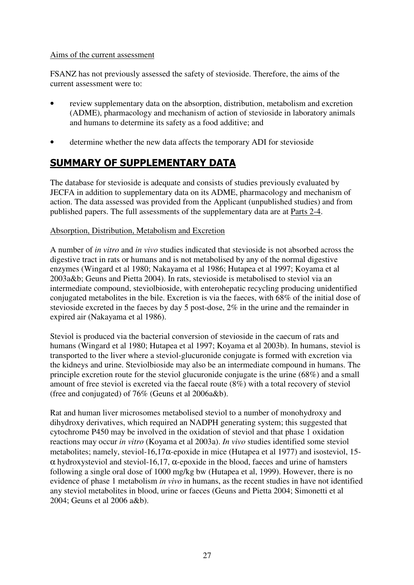#### Aims of the current assessment

FSANZ has not previously assessed the safety of stevioside. Therefore, the aims of the current assessment were to:

- review supplementary data on the absorption, distribution, metabolism and excretion (ADME), pharmacology and mechanism of action of stevioside in laboratory animals and humans to determine its safety as a food additive; and
- determine whether the new data affects the temporary ADI for stevioside

# SUMMARY OF SUPPLEMENTARY DATA

The database for stevioside is adequate and consists of studies previously evaluated by JECFA in addition to supplementary data on its ADME, pharmacology and mechanism of action. The data assessed was provided from the Applicant (unpublished studies) and from published papers. The full assessments of the supplementary data are at Parts 2-4.

#### Absorption, Distribution, Metabolism and Excretion

A number of *in vitro* and *in vivo* studies indicated that stevioside is not absorbed across the digestive tract in rats or humans and is not metabolised by any of the normal digestive enzymes (Wingard et al 1980; Nakayama et al 1986; Hutapea et al 1997; Koyama et al 2003a&b; Geuns and Pietta 2004). In rats, stevioside is metabolised to steviol via an intermediate compound, steviolbioside, with enterohepatic recycling producing unidentified conjugated metabolites in the bile. Excretion is via the faeces, with 68% of the initial dose of stevioside excreted in the faeces by day 5 post-dose, 2% in the urine and the remainder in expired air (Nakayama et al 1986).

Steviol is produced via the bacterial conversion of stevioside in the caecum of rats and humans (Wingard et al 1980; Hutapea et al 1997; Koyama et al 2003b). In humans, steviol is transported to the liver where a steviol-glucuronide conjugate is formed with excretion via the kidneys and urine. Steviolbioside may also be an intermediate compound in humans. The principle excretion route for the steviol glucuronide conjugate is the urine (68%) and a small amount of free steviol is excreted via the faecal route (8%) with a total recovery of steviol (free and conjugated) of 76% (Geuns et al 2006a&b).

Rat and human liver microsomes metabolised steviol to a number of monohydroxy and dihydroxy derivatives, which required an NADPH generating system; this suggested that cytochrome P450 may be involved in the oxidation of steviol and that phase 1 oxidation reactions may occur *in vitro* (Koyama et al 2003a). *In vivo* studies identified some steviol metabolites; namely, steviol-16,17α-epoxide in mice (Hutapea et al 1977) and isosteviol, 15-  $\alpha$  hydroxysteviol and steviol-16,17,  $\alpha$ -epoxide in the blood, faeces and urine of hamsters following a single oral dose of 1000 mg/kg bw (Hutapea et al, 1999). However, there is no evidence of phase 1 metabolism *in vivo* in humans, as the recent studies in have not identified any steviol metabolites in blood, urine or faeces (Geuns and Pietta 2004; Simonetti et al 2004; Geuns et al 2006 a&b).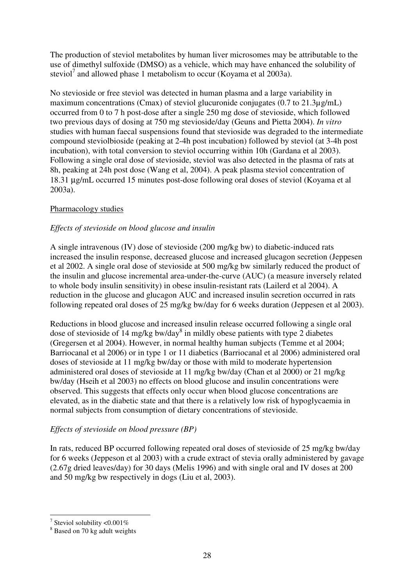The production of steviol metabolites by human liver microsomes may be attributable to the use of dimethyl sulfoxide (DMSO) as a vehicle, which may have enhanced the solubility of steviol<sup>7</sup> and allowed phase 1 metabolism to occur (Koyama et al 2003a).

No stevioside or free steviol was detected in human plasma and a large variability in maximum concentrations (Cmax) of steviol glucuronide conjugates (0.7 to 21.3µg/mL) occurred from 0 to 7 h post-dose after a single 250 mg dose of stevioside, which followed two previous days of dosing at 750 mg stevioside/day (Geuns and Pietta 2004). *In vitro* studies with human faecal suspensions found that stevioside was degraded to the intermediate compound steviolbioside (peaking at 2-4h post incubation) followed by steviol (at 3-4h post incubation), with total conversion to steviol occurring within 10h (Gardana et al 2003). Following a single oral dose of stevioside, steviol was also detected in the plasma of rats at 8h, peaking at 24h post dose (Wang et al, 2004). A peak plasma steviol concentration of 18.31 µg/mL occurred 15 minutes post-dose following oral doses of steviol (Koyama et al 2003a).

#### Pharmacology studies

#### *Effects of stevioside on blood glucose and insulin*

A single intravenous (IV) dose of stevioside (200 mg/kg bw) to diabetic-induced rats increased the insulin response, decreased glucose and increased glucagon secretion (Jeppesen et al 2002. A single oral dose of stevioside at 500 mg/kg bw similarly reduced the product of the insulin and glucose incremental area-under-the-curve (AUC) (a measure inversely related to whole body insulin sensitivity) in obese insulin-resistant rats (Lailerd et al 2004). A reduction in the glucose and glucagon AUC and increased insulin secretion occurred in rats following repeated oral doses of 25 mg/kg bw/day for 6 weeks duration (Jeppesen et al 2003).

Reductions in blood glucose and increased insulin release occurred following a single oral dose of stevioside of 14 mg/kg bw/day<sup>8</sup> in mildly obese patients with type 2 diabetes (Gregersen et al 2004). However, in normal healthy human subjects (Temme et al 2004; Barriocanal et al 2006) or in type 1 or 11 diabetics (Barriocanal et al 2006) administered oral doses of stevioside at 11 mg/kg bw/day or those with mild to moderate hypertension administered oral doses of stevioside at 11 mg/kg bw/day (Chan et al 2000) or 21 mg/kg bw/day (Hseih et al 2003) no effects on blood glucose and insulin concentrations were observed. This suggests that effects only occur when blood glucose concentrations are elevated, as in the diabetic state and that there is a relatively low risk of hypoglycaemia in normal subjects from consumption of dietary concentrations of stevioside.

#### *Effects of stevioside on blood pressure (BP)*

In rats, reduced BP occurred following repeated oral doses of stevioside of 25 mg/kg bw/day for 6 weeks (Jeppeson et al 2003) with a crude extract of stevia orally administered by gavage (2.67g dried leaves/day) for 30 days (Melis 1996) and with single oral and IV doses at 200 and 50 mg/kg bw respectively in dogs (Liu et al, 2003).

<sup>&</sup>lt;sup>7</sup> Steviol solubility <0.001%

<sup>8</sup> Based on 70 kg adult weights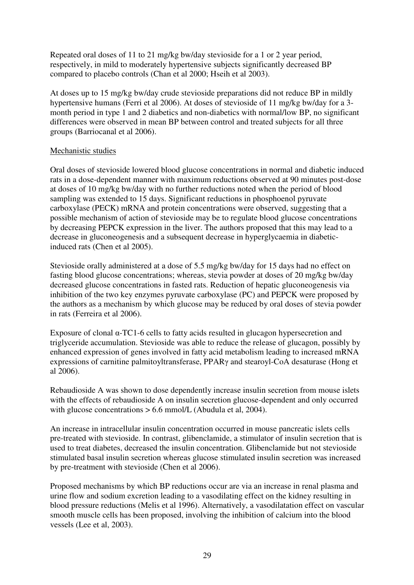Repeated oral doses of 11 to 21 mg/kg bw/day stevioside for a 1 or 2 year period, respectively, in mild to moderately hypertensive subjects significantly decreased BP compared to placebo controls (Chan et al 2000; Hseih et al 2003).

At doses up to 15 mg/kg bw/day crude stevioside preparations did not reduce BP in mildly hypertensive humans (Ferri et al 2006). At doses of stevioside of 11 mg/kg bw/day for a 3 month period in type 1 and 2 diabetics and non-diabetics with normal/low BP, no significant differences were observed in mean BP between control and treated subjects for all three groups (Barriocanal et al 2006).

#### Mechanistic studies

Oral doses of stevioside lowered blood glucose concentrations in normal and diabetic induced rats in a dose-dependent manner with maximum reductions observed at 90 minutes post-dose at doses of 10 mg/kg bw/day with no further reductions noted when the period of blood sampling was extended to 15 days. Significant reductions in phosphoenol pyruvate carboxylase (PECK) mRNA and protein concentrations were observed, suggesting that a possible mechanism of action of stevioside may be to regulate blood glucose concentrations by decreasing PEPCK expression in the liver. The authors proposed that this may lead to a decrease in gluconeogenesis and a subsequent decrease in hyperglycaemia in diabeticinduced rats (Chen et al 2005).

Stevioside orally administered at a dose of 5.5 mg/kg bw/day for 15 days had no effect on fasting blood glucose concentrations; whereas, stevia powder at doses of 20 mg/kg bw/day decreased glucose concentrations in fasted rats. Reduction of hepatic gluconeogenesis via inhibition of the two key enzymes pyruvate carboxylase (PC) and PEPCK were proposed by the authors as a mechanism by which glucose may be reduced by oral doses of stevia powder in rats (Ferreira et al 2006).

Exposure of clonal α-TC1-6 cells to fatty acids resulted in glucagon hypersecretion and triglyceride accumulation. Stevioside was able to reduce the release of glucagon, possibly by enhanced expression of genes involved in fatty acid metabolism leading to increased mRNA expressions of carnitine palmitoyltransferase, PPARγ and stearoyl-CoA desaturase (Hong et al 2006).

Rebaudioside A was shown to dose dependently increase insulin secretion from mouse islets with the effects of rebaudioside A on insulin secretion glucose-dependent and only occurred with glucose concentrations  $> 6.6$  mmol/L (Abudula et al, 2004).

An increase in intracellular insulin concentration occurred in mouse pancreatic islets cells pre-treated with stevioside. In contrast, glibenclamide, a stimulator of insulin secretion that is used to treat diabetes, decreased the insulin concentration. Glibenclamide but not stevioside stimulated basal insulin secretion whereas glucose stimulated insulin secretion was increased by pre-treatment with stevioside (Chen et al 2006).

Proposed mechanisms by which BP reductions occur are via an increase in renal plasma and urine flow and sodium excretion leading to a vasodilating effect on the kidney resulting in blood pressure reductions (Melis et al 1996). Alternatively, a vasodilatation effect on vascular smooth muscle cells has been proposed, involving the inhibition of calcium into the blood vessels (Lee et al, 2003).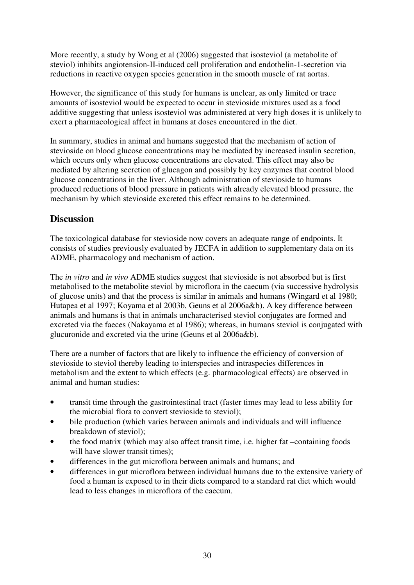More recently, a study by Wong et al (2006) suggested that isosteviol (a metabolite of steviol) inhibits angiotension-II-induced cell proliferation and endothelin-1-secretion via reductions in reactive oxygen species generation in the smooth muscle of rat aortas.

However, the significance of this study for humans is unclear, as only limited or trace amounts of isosteviol would be expected to occur in stevioside mixtures used as a food additive suggesting that unless isosteviol was administered at very high doses it is unlikely to exert a pharmacological affect in humans at doses encountered in the diet.

In summary, studies in animal and humans suggested that the mechanism of action of stevioside on blood glucose concentrations may be mediated by increased insulin secretion, which occurs only when glucose concentrations are elevated. This effect may also be mediated by altering secretion of glucagon and possibly by key enzymes that control blood glucose concentrations in the liver. Although administration of stevioside to humans produced reductions of blood pressure in patients with already elevated blood pressure, the mechanism by which stevioside excreted this effect remains to be determined.

### **Discussion**

The toxicological database for stevioside now covers an adequate range of endpoints. It consists of studies previously evaluated by JECFA in addition to supplementary data on its ADME, pharmacology and mechanism of action.

The *in vitro* and *in vivo* ADME studies suggest that stevioside is not absorbed but is first metabolised to the metabolite steviol by microflora in the caecum (via successive hydrolysis of glucose units) and that the process is similar in animals and humans (Wingard et al 1980; Hutapea et al 1997; Koyama et al 2003b, Geuns et al 2006a&b). A key difference between animals and humans is that in animals uncharacterised steviol conjugates are formed and excreted via the faeces (Nakayama et al 1986); whereas, in humans steviol is conjugated with glucuronide and excreted via the urine (Geuns et al 2006a&b).

There are a number of factors that are likely to influence the efficiency of conversion of stevioside to steviol thereby leading to interspecies and intraspecies differences in metabolism and the extent to which effects (e.g. pharmacological effects) are observed in animal and human studies:

- transit time through the gastrointestinal tract (faster times may lead to less ability for the microbial flora to convert stevioside to steviol);
- bile production (which varies between animals and individuals and will influence breakdown of steviol);
- the food matrix (which may also affect transit time, i.e. higher fat –containing foods will have slower transit times);
- differences in the gut microflora between animals and humans; and
- differences in gut microflora between individual humans due to the extensive variety of food a human is exposed to in their diets compared to a standard rat diet which would lead to less changes in microflora of the caecum.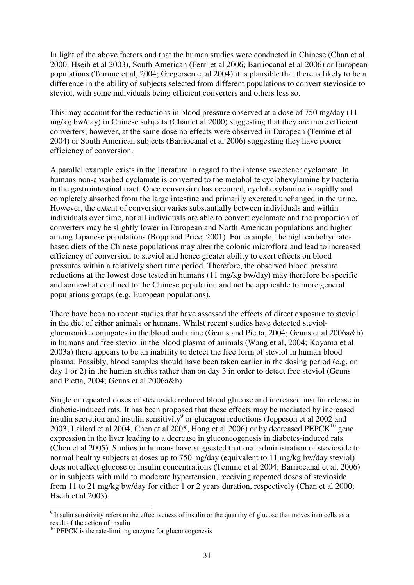In light of the above factors and that the human studies were conducted in Chinese (Chan et al, 2000; Hseih et al 2003), South American (Ferri et al 2006; Barriocanal et al 2006) or European populations (Temme et al, 2004; Gregersen et al 2004) it is plausible that there is likely to be a difference in the ability of subjects selected from different populations to convert stevioside to steviol, with some individuals being efficient converters and others less so.

This may account for the reductions in blood pressure observed at a dose of 750 mg/day (11 mg/kg bw/day) in Chinese subjects (Chan et al 2000) suggesting that they are more efficient converters; however, at the same dose no effects were observed in European (Temme et al 2004) or South American subjects (Barriocanal et al 2006) suggesting they have poorer efficiency of conversion.

A parallel example exists in the literature in regard to the intense sweetener cyclamate. In humans non-absorbed cyclamate is converted to the metabolite cyclohexylamine by bacteria in the gastrointestinal tract. Once conversion has occurred, cyclohexylamine is rapidly and completely absorbed from the large intestine and primarily excreted unchanged in the urine. However, the extent of conversion varies substantially between individuals and within individuals over time, not all individuals are able to convert cyclamate and the proportion of converters may be slightly lower in European and North American populations and higher among Japanese populations (Bopp and Price, 2001). For example, the high carbohydratebased diets of the Chinese populations may alter the colonic microflora and lead to increased efficiency of conversion to steviol and hence greater ability to exert effects on blood pressures within a relatively short time period. Therefore, the observed blood pressure reductions at the lowest dose tested in humans (11 mg/kg bw/day) may therefore be specific and somewhat confined to the Chinese population and not be applicable to more general populations groups (e.g. European populations).

There have been no recent studies that have assessed the effects of direct exposure to steviol in the diet of either animals or humans. Whilst recent studies have detected steviolglucuronide conjugates in the blood and urine (Geuns and Pietta, 2004; Geuns et al 2006a&b) in humans and free steviol in the blood plasma of animals (Wang et al, 2004; Koyama et al 2003a) there appears to be an inability to detect the free form of steviol in human blood plasma. Possibly, blood samples should have been taken earlier in the dosing period (e.g. on day 1 or 2) in the human studies rather than on day 3 in order to detect free steviol (Geuns and Pietta, 2004; Geuns et al 2006a&b).

Single or repeated doses of stevioside reduced blood glucose and increased insulin release in diabetic-induced rats. It has been proposed that these effects may be mediated by increased insulin secretion and insulin sensitivity<sup>9</sup> or glucagon reductions (Jeppeson et al 2002 and 2003; Lailerd et al 2004, Chen et al 2005, Hong et al 2006) or by decreased  $PEPCK<sup>10</sup>$  gene expression in the liver leading to a decrease in gluconeogenesis in diabetes-induced rats (Chen et al 2005). Studies in humans have suggested that oral administration of stevioside to normal healthy subjects at doses up to 750 mg/day (equivalent to 11 mg/kg bw/day steviol) does not affect glucose or insulin concentrations (Temme et al 2004; Barriocanal et al, 2006) or in subjects with mild to moderate hypertension, receiving repeated doses of stevioside from 11 to 21 mg/kg bw/day for either 1 or 2 years duration, respectively (Chan et al 2000; Hseih et al 2003).

 $\overline{a}$ 

 $9$  Insulin sensitivity refers to the effectiveness of insulin or the quantity of glucose that moves into cells as a result of the action of insulin

 $10$  PEPCK is the rate-limiting enzyme for gluconeogenesis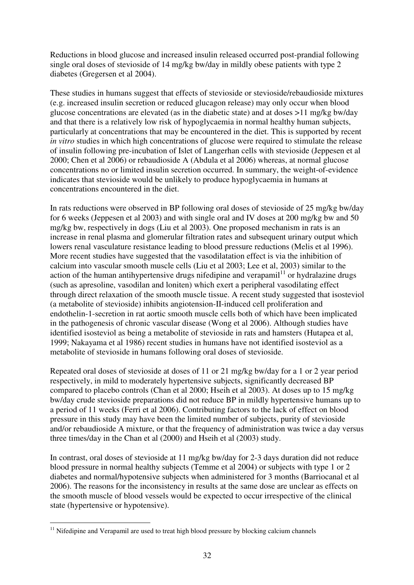Reductions in blood glucose and increased insulin released occurred post-prandial following single oral doses of stevioside of 14 mg/kg bw/day in mildly obese patients with type 2 diabetes (Gregersen et al 2004).

These studies in humans suggest that effects of stevioside or stevioside/rebaudioside mixtures (e.g. increased insulin secretion or reduced glucagon release) may only occur when blood glucose concentrations are elevated (as in the diabetic state) and at doses >11 mg/kg bw/day and that there is a relatively low risk of hypoglycaemia in normal healthy human subjects, particularly at concentrations that may be encountered in the diet. This is supported by recent *in vitro* studies in which high concentrations of glucose were required to stimulate the release of insulin following pre-incubation of Islet of Langerhan cells with stevioside (Jeppesen et al 2000; Chen et al 2006) or rebaudioside A (Abdula et al 2006) whereas, at normal glucose concentrations no or limited insulin secretion occurred. In summary, the weight-of-evidence indicates that stevioside would be unlikely to produce hypoglycaemia in humans at concentrations encountered in the diet.

In rats reductions were observed in BP following oral doses of stevioside of 25 mg/kg bw/day for 6 weeks (Jeppesen et al 2003) and with single oral and IV doses at 200 mg/kg bw and 50 mg/kg bw, respectively in dogs (Liu et al 2003). One proposed mechanism in rats is an increase in renal plasma and glomerular filtration rates and subsequent urinary output which lowers renal vasculature resistance leading to blood pressure reductions (Melis et al 1996). More recent studies have suggested that the vasodilatation effect is via the inhibition of calcium into vascular smooth muscle cells (Liu et al 2003; Lee et al, 2003) similar to the action of the human antihypertensive drugs nifedipine and verapamil $11$  or hydralazine drugs (such as apresoline, vasodilan and loniten) which exert a peripheral vasodilating effect through direct relaxation of the smooth muscle tissue. A recent study suggested that isosteviol (a metabolite of stevioside) inhibits angiotension-II-induced cell proliferation and endothelin-1-secretion in rat aortic smooth muscle cells both of which have been implicated in the pathogenesis of chronic vascular disease (Wong et al 2006). Although studies have identified isosteviol as being a metabolite of stevioside in rats and hamsters (Hutapea et al, 1999; Nakayama et al 1986) recent studies in humans have not identified isosteviol as a metabolite of stevioside in humans following oral doses of stevioside.

Repeated oral doses of stevioside at doses of 11 or 21 mg/kg bw/day for a 1 or 2 year period respectively, in mild to moderately hypertensive subjects, significantly decreased BP compared to placebo controls (Chan et al 2000; Hseih et al 2003). At doses up to 15 mg/kg bw/day crude stevioside preparations did not reduce BP in mildly hypertensive humans up to a period of 11 weeks (Ferri et al 2006). Contributing factors to the lack of effect on blood pressure in this study may have been the limited number of subjects, purity of stevioside and/or rebaudioside A mixture, or that the frequency of administration was twice a day versus three times/day in the Chan et al (2000) and Hseih et al (2003) study.

In contrast, oral doses of stevioside at 11 mg/kg bw/day for 2-3 days duration did not reduce blood pressure in normal healthy subjects (Temme et al 2004) or subjects with type 1 or 2 diabetes and normal/hypotensive subjects when administered for 3 months (Barriocanal et al 2006). The reasons for the inconsistency in results at the same dose are unclear as effects on the smooth muscle of blood vessels would be expected to occur irrespective of the clinical state (hypertensive or hypotensive).

 $\overline{a}$  $11$  Nifedipine and Verapamil are used to treat high blood pressure by blocking calcium channels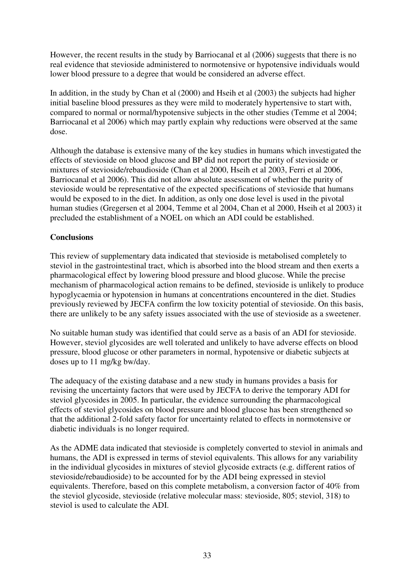However, the recent results in the study by Barriocanal et al (2006) suggests that there is no real evidence that stevioside administered to normotensive or hypotensive individuals would lower blood pressure to a degree that would be considered an adverse effect.

In addition, in the study by Chan et al (2000) and Hseih et al (2003) the subjects had higher initial baseline blood pressures as they were mild to moderately hypertensive to start with, compared to normal or normal/hypotensive subjects in the other studies (Temme et al 2004; Barriocanal et al 2006) which may partly explain why reductions were observed at the same dose.

Although the database is extensive many of the key studies in humans which investigated the effects of stevioside on blood glucose and BP did not report the purity of stevioside or mixtures of stevioside/rebaudioside (Chan et al 2000, Hseih et al 2003, Ferri et al 2006, Barriocanal et al 2006). This did not allow absolute assessment of whether the purity of stevioside would be representative of the expected specifications of stevioside that humans would be exposed to in the diet. In addition, as only one dose level is used in the pivotal human studies (Gregersen et al 2004, Temme et al 2004, Chan et al 2000, Hseih et al 2003) it precluded the establishment of a NOEL on which an ADI could be established.

#### **Conclusions**

This review of supplementary data indicated that stevioside is metabolised completely to steviol in the gastrointestinal tract, which is absorbed into the blood stream and then exerts a pharmacological effect by lowering blood pressure and blood glucose. While the precise mechanism of pharmacological action remains to be defined, stevioside is unlikely to produce hypoglycaemia or hypotension in humans at concentrations encountered in the diet. Studies previously reviewed by JECFA confirm the low toxicity potential of stevioside. On this basis, there are unlikely to be any safety issues associated with the use of stevioside as a sweetener.

No suitable human study was identified that could serve as a basis of an ADI for stevioside. However, steviol glycosides are well tolerated and unlikely to have adverse effects on blood pressure, blood glucose or other parameters in normal, hypotensive or diabetic subjects at doses up to 11 mg/kg bw/day.

The adequacy of the existing database and a new study in humans provides a basis for revising the uncertainty factors that were used by JECFA to derive the temporary ADI for steviol glycosides in 2005. In particular, the evidence surrounding the pharmacological effects of steviol glycosides on blood pressure and blood glucose has been strengthened so that the additional 2-fold safety factor for uncertainty related to effects in normotensive or diabetic individuals is no longer required.

As the ADME data indicated that stevioside is completely converted to steviol in animals and humans, the ADI is expressed in terms of steviol equivalents. This allows for any variability in the individual glycosides in mixtures of steviol glycoside extracts (e.g. different ratios of stevioside/rebaudioside) to be accounted for by the ADI being expressed in steviol equivalents. Therefore, based on this complete metabolism, a conversion factor of 40% from the steviol glycoside, stevioside (relative molecular mass: stevioside, 805; steviol, 318) to steviol is used to calculate the ADI.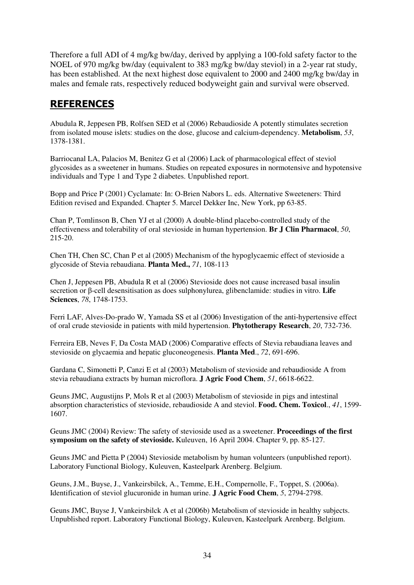Therefore a full ADI of 4 mg/kg bw/day, derived by applying a 100-fold safety factor to the NOEL of 970 mg/kg bw/day (equivalent to 383 mg/kg bw/day steviol) in a 2-year rat study, has been established. At the next highest dose equivalent to 2000 and 2400 mg/kg bw/day in males and female rats, respectively reduced bodyweight gain and survival were observed.

### **REFERENCES**

Abudula R, Jeppesen PB, Rolfsen SED et al (2006) Rebaudioside A potently stimulates secretion from isolated mouse islets: studies on the dose, glucose and calcium-dependency. **Metabolism**, *53*, 1378-1381.

Barriocanal LA, Palacios M, Benitez G et al (2006) Lack of pharmacological effect of steviol glycosides as a sweetener in humans. Studies on repeated exposures in normotensive and hypotensive individuals and Type 1 and Type 2 diabetes. Unpublished report.

Bopp and Price P (2001) Cyclamate: In: O-Brien Nabors L. eds. Alternative Sweeteners: Third Edition revised and Expanded. Chapter 5. Marcel Dekker Inc, New York, pp 63-85.

Chan P, Tomlinson B, Chen YJ et al (2000) A double-blind placebo-controlled study of the effectiveness and tolerability of oral stevioside in human hypertension. **Br J Clin Pharmacol**, *50*, 215-20.

Chen TH, Chen SC, Chan P et al (2005) Mechanism of the hypoglycaemic effect of stevioside a glycoside of Stevia rebaudiana. **Planta Med.,** *71*, 108-113

Chen J, Jeppesen PB, Abudula R et al (2006) Stevioside does not cause increased basal insulin secretion or β-cell desensitisation as does sulphonylurea, glibenclamide: studies in vitro. **Life Sciences**, *78*, 1748-1753.

Ferri LAF, Alves-Do-prado W, Yamada SS et al (2006) Investigation of the anti-hypertensive effect of oral crude stevioside in patients with mild hypertension. **Phytotherapy Research**, *20*, 732-736.

Ferreira EB, Neves F, Da Costa MAD (2006) Comparative effects of Stevia rebaudiana leaves and stevioside on glycaemia and hepatic gluconeogenesis. **Planta Med**., *72*, 691-696.

Gardana C, Simonetti P, Canzi E et al (2003) Metabolism of stevioside and rebaudioside A from stevia rebaudiana extracts by human microflora. **J Agric Food Chem**, *51*, 6618-6622.

Geuns JMC, Augustijns P, Mols R et al (2003) Metabolism of stevioside in pigs and intestinal absorption characteristics of stevioside, rebaudioside A and steviol. **Food. Chem. Toxicol**., *41*, 1599- 1607.

Geuns JMC (2004) Review: The safety of stevioside used as a sweetener. **Proceedings of the first symposium on the safety of stevioside.** Kuleuven, 16 April 2004. Chapter 9, pp. 85-127.

Geuns JMC and Pietta P (2004) Stevioside metabolism by human volunteers (unpublished report). Laboratory Functional Biology, Kuleuven, Kasteelpark Arenberg. Belgium.

Geuns, J.M., Buyse, J., Vankeirsbilck, A., Temme, E.H., Compernolle, F., Toppet, S. (2006a). Identification of steviol glucuronide in human urine. **J Agric Food Chem**, *5*, 2794-2798.

Geuns JMC, Buyse J, Vankeirsbilck A et al (2006b) Metabolism of stevioside in healthy subjects. Unpublished report. Laboratory Functional Biology, Kuleuven, Kasteelpark Arenberg. Belgium.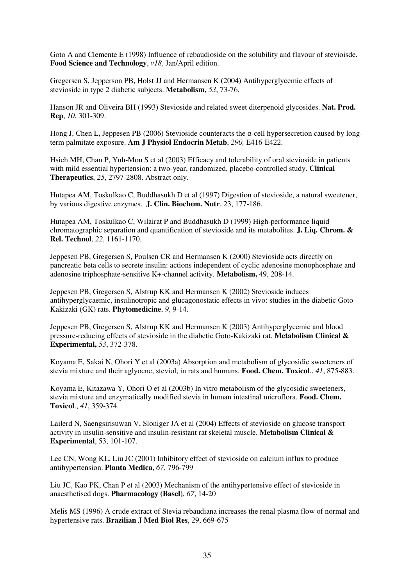Goto A and Clemente E (1998) Influence of rebaudioside on the solubility and flavour of stevioisde. **Food Science and Technology**, *v18*, Jan/April edition.

Gregersen S, Jepperson PB, Holst JJ and Hermansen K (2004) Antihyperglycemic effects of stevioside in type 2 diabetic subjects. **Metabolism,** *53*, 73-76.

Hanson JR and Oliveira BH (1993) Stevioside and related sweet diterpenoid glycosides. **Nat. Prod. Rep**, *10*, 301-309.

Hong J, Chen L, Jeppesen PB (2006) Stevioside counteracts the α-cell hypersecretion caused by longterm palmitate exposure. **Am J Physiol Endocrin Metab**, *290,* E416-E422.

Hsieh MH, Chan P, Yuh-Mou S et al (2003) Efficacy and tolerability of oral stevioside in patients with mild essential hypertension: a two-year, randomized, placebo-controlled study. **Clinical Therapeutics**, *25*, 2797-2808. Abstract only.

Hutapea AM, Toskulkao C, Buddhasukh D et al (1997) Digestion of stevioside, a natural sweetener, by various digestive enzymes. **J. Clin. Biochem. Nutr**. 23, 177-186.

Hutapea AM, Toskulkao C, Wilairat P and Buddhasukh D (1999) High-performance liquid chromatographic separation and quantification of stevioside and its metabolites. **J. Liq. Chrom. & Rel. Technol**, *22*, 1161-1170.

Jeppesen PB, Gregersen S, Poulsen CR and Hermansen K (2000) Stevioside acts directly on pancreatic beta cells to secrete insulin: actions independent of cyclic adenosine monophosphate and adenosine triphosphate-sensitive K+-channel activity. **Metabolism,** 49, 208-14.

Jeppesen PB, Gregersen S, Alstrup KK and Hermansen K (2002) Stevioside induces antihyperglycaemic, insulinotropic and glucagonostatic effects in vivo: studies in the diabetic Goto-Kakizaki (GK) rats. **Phytomedicine**, *9*, 9-14.

Jeppesen PB, Gregersen S, Alstrup KK and Hermansen K (2003) Antihyperglycemic and blood pressure-reducing effects of stevioside in the diabetic Goto-Kakizaki rat. **Metabolism Clinical & Experimental,** *53*, 372-378.

Koyama E, Sakai N, Ohori Y et al (2003a) Absorption and metabolism of glycosidic sweeteners of stevia mixture and their aglyocne, steviol, in rats and humans. **Food. Chem. Toxicol**., *41*, 875-883.

Koyama E, Kitazawa Y, Ohori O et al (2003b) In vitro metabolism of the glycosidic sweeteners, stevia mixture and enzymatically modified stevia in human intestinal microflora. **Food. Chem. Toxicol**., *41*, 359-374.

Lailerd N, Saengsirisuwan V, Sloniger JA et al (2004) Effects of stevioside on glucose transport activity in insulin-sensitive and insulin-resistant rat skeletal muscle. **Metabolism Clinical & Experimental**, 53, 101-107.

Lee CN, Wong KL, Liu JC (2001) Inhibitory effect of stevioside on calcium influx to produce antihypertension. **Planta Medica**, *67*, 796-799

Liu JC, Kao PK, Chan P et al (2003) Mechanism of the antihypertensive effect of stevioside in anaesthetised dogs. **Pharmacology (Basel)**, *67*, 14-20

Melis MS (1996) A crude extract of Stevia rebaudiana increases the renal plasma flow of normal and hypertensive rats. **Brazilian J Med Biol Res**, 29, 669-675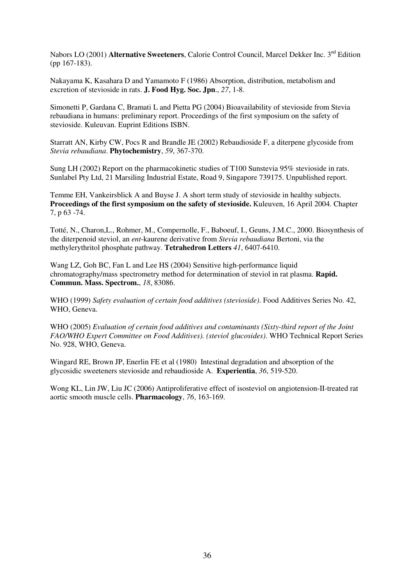Nabors LO (2001) **Alternative Sweeteners**, Calorie Control Council, Marcel Dekker Inc. 3<sup>nd</sup> Edition (pp 167-183).

Nakayama K, Kasahara D and Yamamoto F (1986) Absorption, distribution, metabolism and excretion of stevioside in rats. **J. Food Hyg. Soc. Jpn**., *27*, 1-8.

Simonetti P, Gardana C, Bramati L and Pietta PG (2004) Bioavailability of stevioside from Stevia rebaudiana in humans: preliminary report. Proceedings of the first symposium on the safety of stevioside. Kuleuvan. Euprint Editions ISBN.

Starratt AN, Kirby CW, Pocs R and Brandle JE (2002) Rebaudioside F, a diterpene glycoside from *Stevia rebaudiana*. **Phytochemistry**, *59*, 367-370.

Sung LH (2002) Report on the pharmacokinetic studies of T100 Sunstevia 95% stevioside in rats. Sunlabel Pty Ltd, 21 Marsiling Industrial Estate, Road 9, Singapore 739175. Unpublished report.

Temme EH, Vankeirsblick A and Buyse J. A short term study of stevioside in healthy subjects. **Proceedings of the first symposium on the safety of stevioside.** Kuleuven, 16 April 2004. Chapter 7, p 63 -74.

Totté, N., Charon,L., Rohmer, M., Compernolle, F., Baboeuf, I., Geuns, J.M.C., 2000. Biosynthesis of the diterpenoid steviol, an *ent*-kaurene derivative from *Stevia rebaudiana* Bertoni, via the methylerythritol phosphate pathway. **Tetrahedron Letters** *41*, 6407-6410.

Wang LZ, Goh BC, Fan L and Lee HS (2004) Sensitive high-performance liquid chromatography/mass spectrometry method for determination of steviol in rat plasma. **Rapid. Commun. Mass. Spectrom.**, *18*, 83086.

WHO (1999) *Safety evaluation of certain food additives (stevioside)*. Food Additives Series No. 42, WHO, Geneva.

WHO (2005) *Evaluation of certain food additives and contaminants (Sixty-third report of the Joint FAO/WHO Expert Committee on Food Additives). (steviol glucosides)*. WHO Technical Report Series No. 928, WHO, Geneva.

Wingard RE, Brown JP, Enerlin FE et al (1980) Intestinal degradation and absorption of the glycosidic sweeteners stevioside and rebaudioside A. **Experientia**, *36*, 519-520.

Wong KL, Lin JW, Liu JC (2006) Antiproliferative effect of isosteviol on angiotension-II-treated rat aortic smooth muscle cells. **Pharmacology**, *76*, 163-169.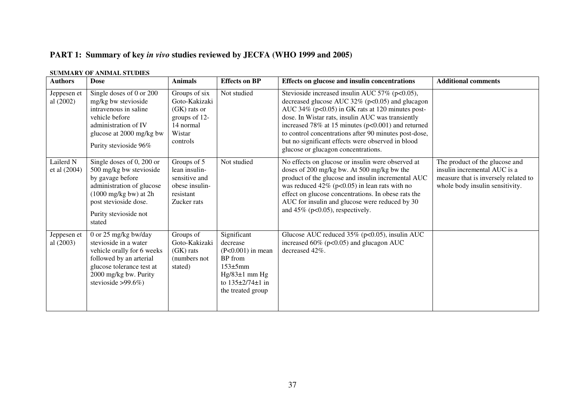# **PART 1: Summary of key** *in vivo* **studies reviewed by JECFA (WHO 1999 and 2005)**

#### **SUMMARY OF ANIMAL STUDIES**

| <b>Authors</b>             | <b>Dose</b>                                                                                                                                                                                          | <b>Animals</b>                                                                                       | <b>Effects on BP</b>                                                                                                                              | Effects on glucose and insulin concentrations                                                                                                                                                                                                                                                                                                                                                                                    | <b>Additional comments</b>                                                                                                                |
|----------------------------|------------------------------------------------------------------------------------------------------------------------------------------------------------------------------------------------------|------------------------------------------------------------------------------------------------------|---------------------------------------------------------------------------------------------------------------------------------------------------|----------------------------------------------------------------------------------------------------------------------------------------------------------------------------------------------------------------------------------------------------------------------------------------------------------------------------------------------------------------------------------------------------------------------------------|-------------------------------------------------------------------------------------------------------------------------------------------|
| Jeppesen et<br>al $(2002)$ | Single doses of 0 or 200<br>mg/kg bw stevioside<br>intravenous in saline<br>vehicle before<br>administration of IV<br>glucose at 2000 mg/kg bw<br>Purity stevioside 96%                              | Groups of six<br>Goto-Kakizaki<br>$(GK)$ rats or<br>groups of 12-<br>14 normal<br>Wistar<br>controls | Not studied                                                                                                                                       | Stevioside increased insulin AUC 57% (p<0.05),<br>decreased glucose AUC $32\%$ (p<0.05) and glucagon<br>AUC 34% ( $p<0.05$ ) in GK rats at 120 minutes post-<br>dose. In Wistar rats, insulin AUC was transiently<br>increased 78% at 15 minutes ( $p<0.001$ ) and returned<br>to control concentrations after 90 minutes post-dose,<br>but no significant effects were observed in blood<br>glucose or glucagon concentrations. |                                                                                                                                           |
| Lailerd N<br>et al (2004)  | Single doses of 0, 200 or<br>500 mg/kg bw stevioside<br>by gavage before<br>administration of glucose<br>$(1000 \text{ mg/kg bw})$ at 2h<br>post stevioside dose.<br>Purity stevioside not<br>stated | Groups of 5<br>lean insulin-<br>sensitive and<br>obese insulin-<br>resistant<br>Zucker rats          | Not studied                                                                                                                                       | No effects on glucose or insulin were observed at<br>doses of 200 mg/kg bw. At 500 mg/kg bw the<br>product of the glucose and insulin incremental AUC<br>was reduced $42\%$ (p<0.05) in lean rats with no<br>effect on glucose concentrations. In obese rats the<br>AUC for insulin and glucose were reduced by 30<br>and $45\%$ (p<0.05), respectively.                                                                         | The product of the glucose and<br>insulin incremental AUC is a<br>measure that is inversely related to<br>whole body insulin sensitivity. |
| Jeppesen et<br>al (2003)   | 0 or 25 mg/kg bw/day<br>stevioside in a water<br>vehicle orally for 6 weeks<br>followed by an arterial<br>glucose tolerance test at<br>2000 mg/kg bw. Purity<br>stevioside > $99.6\%$ )              | Groups of<br>Goto-Kakizaki<br>$(GK)$ rats<br>(numbers not<br>stated)                                 | Significant<br>decrease<br>$(P<0.001)$ in mean<br>BP from<br>$153\pm5$ mm<br>$Hg/83±1$ mm $Hg$<br>to $135 \pm 2/74 \pm 1$ in<br>the treated group | Glucose AUC reduced $35\%$ (p<0.05), insulin AUC<br>increased $60\%$ ( $p<0.05$ ) and glucagon AUC<br>decreased 42%.                                                                                                                                                                                                                                                                                                             |                                                                                                                                           |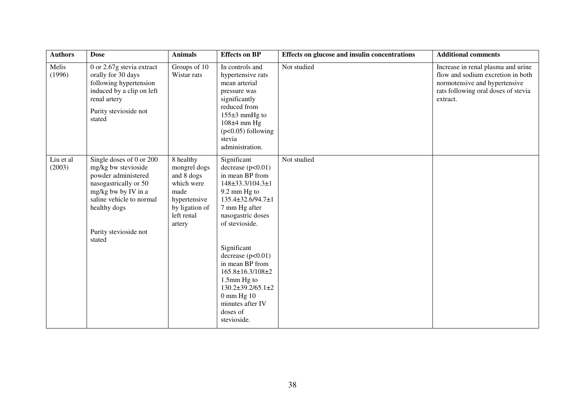| <b>Authors</b>      | <b>Dose</b>                                                                                                                                                                                           | <b>Animals</b>                                                                                                          | <b>Effects on BP</b>                                                                                                                                                                                                                                                                                                                                                         | Effects on glucose and insulin concentrations | <b>Additional comments</b>                                                                                                                                  |
|---------------------|-------------------------------------------------------------------------------------------------------------------------------------------------------------------------------------------------------|-------------------------------------------------------------------------------------------------------------------------|------------------------------------------------------------------------------------------------------------------------------------------------------------------------------------------------------------------------------------------------------------------------------------------------------------------------------------------------------------------------------|-----------------------------------------------|-------------------------------------------------------------------------------------------------------------------------------------------------------------|
| Melis<br>(1996)     | 0 or $2.67g$ stevia extract<br>orally for 30 days<br>following hypertension<br>induced by a clip on left<br>renal artery<br>Purity stevioside not<br>stated                                           | Groups of $\overline{10}$<br>Wistar rats                                                                                | In controls and<br>hypertensive rats<br>mean arterial<br>pressure was<br>significantly<br>reduced from<br>$155\pm3$ mmHg to<br>108±4 mm Hg<br>$(p<0.05)$ following<br>stevia<br>administration.                                                                                                                                                                              | Not studied                                   | Increase in renal plasma and urine<br>flow and sodium excretion in both<br>normotensive and hypertensive<br>rats following oral doses of stevia<br>extract. |
| Liu et al<br>(2003) | Single doses of 0 or 200<br>mg/kg bw stevioside<br>powder administered<br>nasogastrically or 50<br>mg/kg bw by IV in a<br>saline vehicle to normal<br>healthy dogs<br>Purity stevioside not<br>stated | 8 healthy<br>mongrel dogs<br>and 8 dogs<br>which were<br>made<br>hypertensive<br>by ligation of<br>left renal<br>artery | Significant<br>decrease $(p<0.01)$<br>in mean BP from<br>148±33.3/104.3±1<br>9.2 mm Hg to<br>135.4±32.6/94.7±1<br>7 mm Hg after<br>nasogastric doses<br>of stevioside.<br>Significant<br>decrease $(p<0.01)$<br>in mean BP from<br>$165.8 \pm 16.3/108 \pm 2$<br>1.5mm Hg to<br>$130.2 \pm 39.2/65.1 \pm 2$<br>$0$ mm Hg $10$<br>minutes after IV<br>doses of<br>stevioside. | Not studied                                   |                                                                                                                                                             |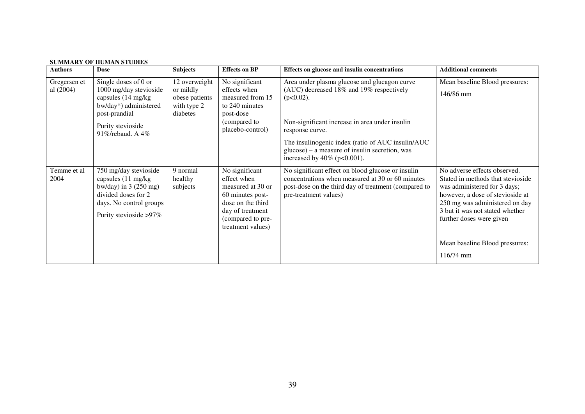| <b>Authors</b>              | <b>Dose</b>                                                                                                                                                | <b>Subjects</b>                                                         | <b>Effects on BP</b>                                                                                                                                      | Effects on glucose and insulin concentrations                                                                                                                                                                                                                                                                             | <b>Additional comments</b>                                                                                                                                                                                                                                                            |
|-----------------------------|------------------------------------------------------------------------------------------------------------------------------------------------------------|-------------------------------------------------------------------------|-----------------------------------------------------------------------------------------------------------------------------------------------------------|---------------------------------------------------------------------------------------------------------------------------------------------------------------------------------------------------------------------------------------------------------------------------------------------------------------------------|---------------------------------------------------------------------------------------------------------------------------------------------------------------------------------------------------------------------------------------------------------------------------------------|
| Gregersen et<br>al $(2004)$ | Single doses of 0 or<br>1000 mg/day stevioside<br>capsules (14 mg/kg)<br>bw/day*) administered<br>post-prandial<br>Purity stevioside<br>91%/rebaud. A 4%   | 12 overweight<br>or mildly<br>obese patients<br>with type 2<br>diabetes | No significant<br>effects when<br>measured from 15<br>to 240 minutes<br>post-dose<br>(compared to<br>placebo-control)                                     | Area under plasma glucose and glucagon curve<br>(AUC) decreased 18% and 19% respectively<br>$(p<0.02)$ .<br>Non-significant increase in area under insulin<br>response curve.<br>The insulinogenic index (ratio of AUC insulin/AUC<br>$glucose$ ) – a measure of insulin secretion, was<br>increased by $40\%$ (p<0.001). | Mean baseline Blood pressures:<br>146/86 mm                                                                                                                                                                                                                                           |
| Temme et al<br>2004         | 750 mg/day stevioside<br>capsules (11 mg/kg)<br>bw/day) in $3(250 \text{ mg})$<br>divided doses for 2<br>days. No control groups<br>Purity stevioside >97% | 9 normal<br>healthy<br>subjects                                         | No significant<br>effect when<br>measured at 30 or<br>60 minutes post-<br>dose on the third<br>day of treatment<br>(compared to pre-<br>treatment values) | No significant effect on blood glucose or insulin<br>concentrations when measured at 30 or 60 minutes<br>post-dose on the third day of treatment (compared to<br>pre-treatment values)                                                                                                                                    | No adverse effects observed.<br>Stated in methods that stevioside<br>was administered for 3 days;<br>however, a dose of stevioside at<br>250 mg was administered on day<br>3 but it was not stated whether<br>further doses were given<br>Mean baseline Blood pressures:<br>116/74 mm |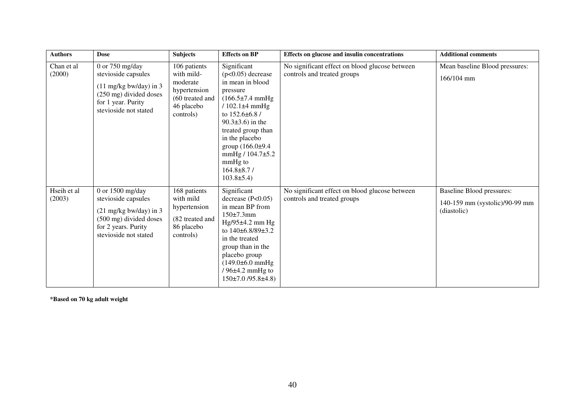| <b>Authors</b>        | <b>Dose</b>                                                                                                                                             | <b>Subjects</b>                                                                                      | <b>Effects on BP</b>                                                                                                                                                                                                                                                                                                | Effects on glucose and insulin concentrations                                 | <b>Additional comments</b>                                                        |
|-----------------------|---------------------------------------------------------------------------------------------------------------------------------------------------------|------------------------------------------------------------------------------------------------------|---------------------------------------------------------------------------------------------------------------------------------------------------------------------------------------------------------------------------------------------------------------------------------------------------------------------|-------------------------------------------------------------------------------|-----------------------------------------------------------------------------------|
| Chan et al<br>(2000)  | 0 or $750$ mg/day<br>stevioside capsules<br>$(11 \text{ mg/kg bw/day})$ in 3<br>(250 mg) divided doses<br>for 1 year. Purity<br>stevioside not stated   | 106 patients<br>with mild-<br>moderate<br>hypertension<br>(60 treated and<br>46 placebo<br>controls) | Significant<br>$(p<0.05)$ decrease<br>in mean in blood<br>pressure<br>$(166.5 \pm 7.4 \text{ mmHg})$<br>$/102.1\pm4$ mmHg<br>to 152.6±6.8 /<br>$90.3 \pm 3.6$ ) in the<br>treated group than<br>in the placebo<br>group $(166.0\pm9.4)$<br>mmHg $/ 104.7 \pm 5.2$<br>mmHg to<br>$164.8\pm8.7/$<br>$103.8 \pm 5.4$ ) | No significant effect on blood glucose between<br>controls and treated groups | Mean baseline Blood pressures:<br>$166/104$ mm                                    |
| Hseih et al<br>(2003) | 0 or $1500$ mg/day<br>stevioside capsules<br>$(21 \text{ mg/kg bw/day})$ in 3<br>(500 mg) divided doses<br>for 2 years. Purity<br>stevioside not stated | 168 patients<br>with mild<br>hypertension<br>(82 treated and<br>86 placebo<br>controls)              | Significant<br>decrease $(P<0.05)$<br>in mean BP from<br>150±7.3mm<br>$Hg/95\pm4.2$ mm $Hg$<br>to 140±6.8/89±3.2<br>in the treated<br>group than in the<br>placebo group<br>$(149.0 \pm 6.0 \text{ mmHg})$<br>$/96±4.2$ mmHg to<br>$150\pm7.0$ /95.8 $\pm4.8$ )                                                     | No significant effect on blood glucose between<br>controls and treated groups | <b>Baseline Blood pressures:</b><br>140-159 mm (systolic)/90-99 mm<br>(diastolic) |

**\*Based on 70 kg adult weight**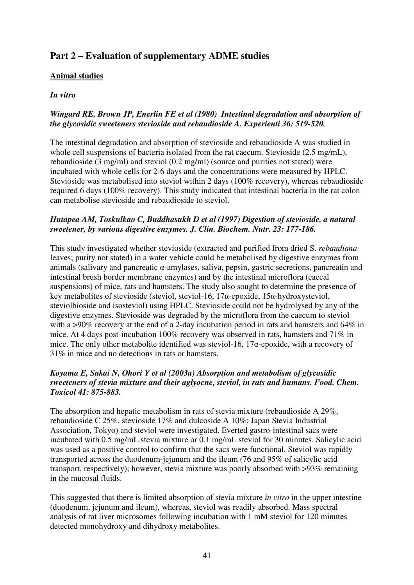# **Part 2 – Evaluation of supplementary ADME studies**

# **Animal studies**

# *In vitro*

# *Wingard RE, Brown JP, Enerlin FE et al (1980) Intestinal degradation and absorption of the glycosidic sweeteners stevioside and rebaudioside A. Experienti 36: 519-520.*

The intestinal degradation and absorption of stevioside and rebaudioside A was studied in whole cell suspensions of bacteria isolated from the rat caecum. Stevioside (2.5 mg/mL), rebaudioside (3 mg/ml) and steviol (0.2 mg/ml) (source and purities not stated) were incubated with whole cells for 2-6 days and the concentrations were measured by HPLC. Stevioside was metabolised into steviol within 2 days (100% recovery), whereas rebaudioside required 6 days (100% recovery). This study indicated that intestinal bacteria in the rat colon can metabolise stevioside and rebaudioside to steviol.

# *Hutapea AM, Toskulkao C, Buddhasukh D et al (1997) Digestion of stevioside, a natural sweetener, by various digestive enzymes. J. Clin. Biochem. Nutr. 23: 177-186.*

This study investigated whether stevioside (extracted and purified from dried S. *rebaudiana*  leaves; purity not stated) in a water vehicle could be metabolised by digestive enzymes from animals (salivary and pancreatic α-amylases, saliva, pepsin, gastric secretions, pancreatin and intestinal brush border membrane enzymes) and by the intestinal microflora (caecal suspensions) of mice, rats and hamsters. The study also sought to determine the presence of key metabolites of stevioside (steviol, steviol-16, 17α-epoxide, 15α-hydroxysteviol, steviolbioside and isosteviol) using HPLC. Stevioside could not be hydrolysed by any of the digestive enzymes. Stevioside was degraded by the microflora from the caecum to steviol with a >90% recovery at the end of a 2-day incubation period in rats and hamsters and 64% in mice. At 4 days post-incubation 100% recovery was observed in rats, hamsters and 71% in mice. The only other metabolite identified was steviol-16, 17α-epoxide, with a recovery of 31% in mice and no detections in rats or hamsters.

# *Koyama E, Sakai N, Ohori Y et al (2003a) Absorption and metabolism of glycosidic sweeteners of stevia mixture and their aglyocne, steviol, in rats and humans. Food. Chem. Toxicol 41: 875-883.*

The absorption and hepatic metabolism in rats of stevia mixture (rebaudioside A 29%, rebaudioside C 25%, stevioside 17% and dulcoside A 10%; Japan Stevia Industrial Association, Tokyo) and steviol were investigated. Everted gastro-intestinal sacs were incubated with 0.5 mg/mL stevia mixture or 0.1 mg/mL steviol for 30 minutes. Salicylic acid was used as a positive control to confirm that the sacs were functional. Steviol was rapidly transported across the duodenum-jejunum and the ileum (76 and 95% of salicylic acid transport, respectively); however, stevia mixture was poorly absorbed with >93% remaining in the mucosal fluids.

This suggested that there is limited absorption of stevia mixture *in vitro* in the upper intestine (duodenum, jejunum and ileum), whereas, steviol was readily absorbed. Mass spectral analysis of rat liver microsomes following incubation with 1 mM steviol for 120 minutes detected monohydroxy and dihydroxy metabolites.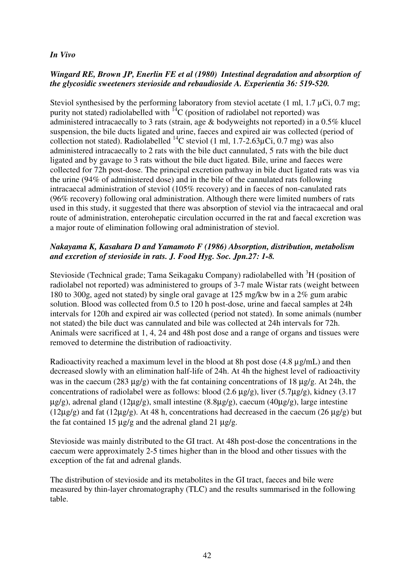## *In Vivo*

## *Wingard RE, Brown JP, Enerlin FE et al (1980) Intestinal degradation and absorption of the glycosidic sweeteners stevioside and rebaudioside A. Experientia 36: 519-520.*

Steviol synthesised by the performing laboratory from steviol acetate  $(1 \text{ ml}, 1.7 \mu\text{Ci}, 0.7 \text{ mg})$ ; purity not stated) radiolabelled with  ${}^{14}C$  (position of radiolabel not reported) was administered intracaecally to 3 rats (strain, age & bodyweights not reported) in a 0.5% klucel suspension, the bile ducts ligated and urine, faeces and expired air was collected (period of collection not stated). Radiolabelled <sup>14</sup>C steviol (1 ml, 1.7-2.63 $\mu$ Ci, 0.7 mg) was also administered intracaecally to 2 rats with the bile duct cannulated, 5 rats with the bile duct ligated and by gavage to 3 rats without the bile duct ligated. Bile, urine and faeces were collected for 72h post-dose. The principal excretion pathway in bile duct ligated rats was via the urine (94% of administered dose) and in the bile of the cannulated rats following intracaecal administration of steviol (105% recovery) and in faeces of non-canulated rats (96% recovery) following oral administration. Although there were limited numbers of rats used in this study, it suggested that there was absorption of steviol via the intracaecal and oral route of administration, enterohepatic circulation occurred in the rat and faecal excretion was a major route of elimination following oral administration of steviol.

# *Nakayama K, Kasahara D and Yamamoto F (1986) Absorption, distribution, metabolism and excretion of stevioside in rats. J. Food Hyg. Soc. Jpn.27: 1-8.*

Stevioside (Technical grade; Tama Seikagaku Company) radiolabelled with <sup>3</sup>H (position of radiolabel not reported) was administered to groups of 3-7 male Wistar rats (weight between 180 to 300g, aged not stated) by single oral gavage at 125 mg/kw bw in a 2% gum arabic solution. Blood was collected from 0.5 to 120 h post-dose, urine and faecal samples at 24h intervals for 120h and expired air was collected (period not stated). In some animals (number not stated) the bile duct was cannulated and bile was collected at 24h intervals for 72h. Animals were sacrificed at 1, 4, 24 and 48h post dose and a range of organs and tissues were removed to determine the distribution of radioactivity.

Radioactivity reached a maximum level in the blood at 8h post dose (4.8 ug/mL) and then decreased slowly with an elimination half-life of 24h. At 4h the highest level of radioactivity was in the caecum (283  $\mu$ g/g) with the fat containing concentrations of 18  $\mu$ g/g. At 24h, the concentrations of radiolabel were as follows: blood (2.6 µg/g), liver (5.7µg/g), kidney (3.17  $\mu$ g/g), adrenal gland (12 $\mu$ g/g), small intestine (8.8 $\mu$ g/g), caecum (40 $\mu$ g/g), large intestine  $(12\mu g/g)$  and fat  $(12\mu g/g)$ . At 48 h, concentrations had decreased in the caecum  $(26 \mu g/g)$  but the fat contained 15  $\mu$ g/g and the adrenal gland 21  $\mu$ g/g.

Stevioside was mainly distributed to the GI tract. At 48h post-dose the concentrations in the caecum were approximately 2-5 times higher than in the blood and other tissues with the exception of the fat and adrenal glands.

The distribution of stevioside and its metabolites in the GI tract, faeces and bile were measured by thin-layer chromatography (TLC) and the results summarised in the following table.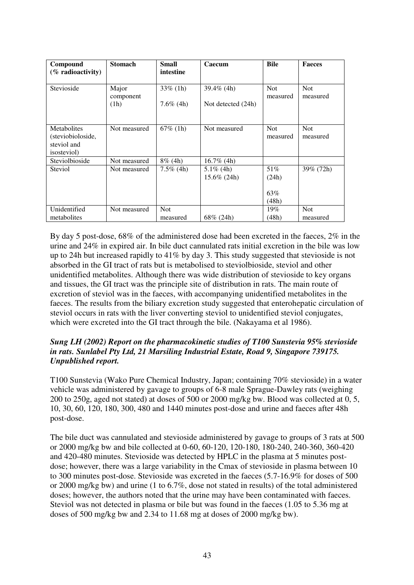| Compound<br>$(\%$ radioactivity)                                       | <b>Stomach</b>    | <b>Small</b><br>intestine | Caecum                         | <b>Bile</b>                  | <b>Faeces</b>          |
|------------------------------------------------------------------------|-------------------|---------------------------|--------------------------------|------------------------------|------------------------|
| Stevioside                                                             | Major             | $33\%$ (1h)               | $39.4\%$ (4h)                  | <b>Not</b><br>measured       | <b>Not</b><br>measured |
|                                                                        | component<br>(1h) | $7.6\%$ (4h)              | Not detected (24h)             |                              |                        |
| Metabolites<br>(steviobioloside,<br>steviol and<br><i>isosteviol</i> ) | Not measured      | $67\%$ (1h)               | Not measured                   | <b>Not</b><br>measured       | <b>Not</b><br>measured |
| Steviolbioside                                                         | Not measured      | $8\%$ (4h)                | $16.7\%$ (4h)                  |                              |                        |
| Steviol                                                                | Not measured      | $7.5\%$ (4h)              | $5.1\%$ (4h)<br>$15.6\%$ (24h) | 51%<br>(24h)<br>63%<br>(48h) | 39% (72h)              |
| Unidentified                                                           | Not measured      | <b>Not</b>                |                                | 19%                          | <b>Not</b>             |
| metabolites                                                            |                   | measured                  | $68\%$ (24h)                   | (48h)                        | measured               |

By day 5 post-dose, 68% of the administered dose had been excreted in the faeces, 2% in the urine and 24% in expired air. In bile duct cannulated rats initial excretion in the bile was low up to 24h but increased rapidly to 41% by day 3. This study suggested that stevioside is not absorbed in the GI tract of rats but is metabolised to steviolbioside, steviol and other unidentified metabolites. Although there was wide distribution of stevioside to key organs and tissues, the GI tract was the principle site of distribution in rats. The main route of excretion of steviol was in the faeces, with accompanying unidentified metabolites in the faeces. The results from the biliary excretion study suggested that enterohepatic circulation of steviol occurs in rats with the liver converting steviol to unidentified steviol conjugates, which were excreted into the GI tract through the bile. (Nakayama et al 1986).

#### *Sung LH (2002) Report on the pharmacokinetic studies of T100 Sunstevia 95% stevioside in rats. Sunlabel Pty Ltd, 21 Marsiling Industrial Estate, Road 9, Singapore 739175. Unpublished report.*

T100 Sunstevia (Wako Pure Chemical Industry, Japan; containing 70% stevioside) in a water vehicle was administered by gavage to groups of 6-8 male Sprague-Dawley rats (weighing 200 to 250g, aged not stated) at doses of 500 or 2000 mg/kg bw. Blood was collected at 0, 5, 10, 30, 60, 120, 180, 300, 480 and 1440 minutes post-dose and urine and faeces after 48h post-dose.

The bile duct was cannulated and stevioside administered by gavage to groups of 3 rats at 500 or 2000 mg/kg bw and bile collected at 0-60, 60-120, 120-180, 180-240, 240-360, 360-420 and 420-480 minutes. Stevioside was detected by HPLC in the plasma at 5 minutes postdose; however, there was a large variability in the Cmax of stevioside in plasma between 10 to 300 minutes post-dose. Stevioside was excreted in the faeces (5.7-16.9% for doses of 500 or 2000 mg/kg bw) and urine (1 to 6.7%, dose not stated in results) of the total administered doses; however, the authors noted that the urine may have been contaminated with faeces. Steviol was not detected in plasma or bile but was found in the faeces (1.05 to 5.36 mg at doses of 500 mg/kg bw and 2.34 to 11.68 mg at doses of 2000 mg/kg bw).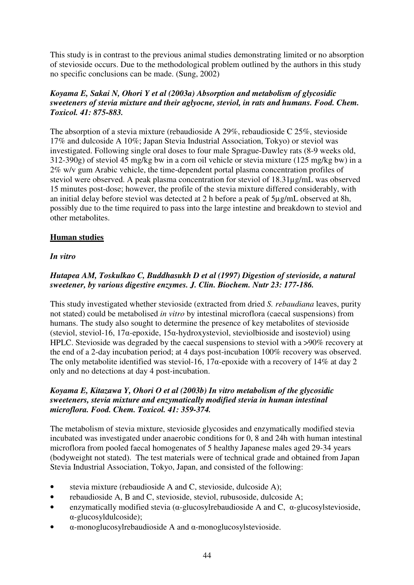This study is in contrast to the previous animal studies demonstrating limited or no absorption of stevioside occurs. Due to the methodological problem outlined by the authors in this study no specific conclusions can be made. (Sung, 2002)

# *Koyama E, Sakai N, Ohori Y et al (2003a) Absorption and metabolism of glycosidic sweeteners of stevia mixture and their aglyocne, steviol, in rats and humans. Food. Chem. Toxicol. 41: 875-883.*

The absorption of a stevia mixture (rebaudioside A 29%, rebaudioside C 25%, stevioside 17% and dulcoside A 10%; Japan Stevia Industrial Association, Tokyo) or steviol was investigated. Following single oral doses to four male Sprague-Dawley rats (8-9 weeks old, 312-390g) of steviol 45 mg/kg bw in a corn oil vehicle or stevia mixture (125 mg/kg bw) in a 2% w/v gum Arabic vehicle, the time-dependent portal plasma concentration profiles of steviol were observed. A peak plasma concentration for steviol of 18.31µg/mL was observed 15 minutes post-dose; however, the profile of the stevia mixture differed considerably, with an initial delay before steviol was detected at 2 h before a peak of 5µg/mL observed at 8h, possibly due to the time required to pass into the large intestine and breakdown to steviol and other metabolites.

# **Human studies**

# *In vitro*

# *Hutapea AM, Toskulkao C, Buddhasukh D et al (1997) Digestion of stevioside, a natural sweetener, by various digestive enzymes. J. Clin. Biochem. Nutr 23: 177-186.*

This study investigated whether stevioside (extracted from dried *S. rebaudiana* leaves, purity not stated) could be metabolised *in vitro* by intestinal microflora (caecal suspensions) from humans. The study also sought to determine the presence of key metabolites of stevioside (steviol, steviol-16, 17α-epoxide, 15α-hydroxysteviol, steviolbioside and isosteviol) using HPLC. Stevioside was degraded by the caecal suspensions to steviol with a >90% recovery at the end of a 2-day incubation period; at 4 days post-incubation 100% recovery was observed. The only metabolite identified was steviol-16, 17 $\alpha$ -epoxide with a recovery of 14% at day 2 only and no detections at day 4 post-incubation.

# *Koyama E, Kitazawa Y, Ohori O et al (2003b) In vitro metabolism of the glycosidic sweeteners, stevia mixture and enzymatically modified stevia in human intestinal microflora. Food. Chem. Toxicol. 41: 359-374.*

The metabolism of stevia mixture, stevioside glycosides and enzymatically modified stevia incubated was investigated under anaerobic conditions for 0, 8 and 24h with human intestinal microflora from pooled faecal homogenates of 5 healthy Japanese males aged 29-34 years (bodyweight not stated). The test materials were of technical grade and obtained from Japan Stevia Industrial Association, Tokyo, Japan, and consisted of the following:

- stevia mixture (rebaudioside A and C, stevioside, dulcoside A);
- rebaudioside A, B and C, stevioside, steviol, rubusoside, dulcoside A;
- enzymatically modified stevia ( $\alpha$ -glucosylrebaudioside A and C,  $\alpha$ -glucosylstevioside, α-glucosyldulcoside);
- α-monoglucosylrebaudioside A and α-monoglucosylstevioside.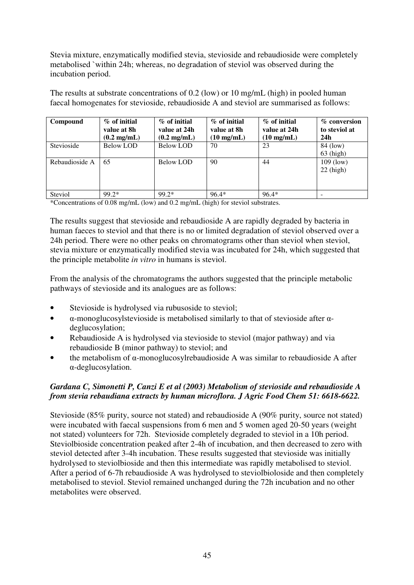Stevia mixture, enzymatically modified stevia, stevioside and rebaudioside were completely metabolised `within 24h; whereas, no degradation of steviol was observed during the incubation period.

The results at substrate concentrations of 0.2 (low) or 10 mg/mL (high) in pooled human faecal homogenates for stevioside, rebaudioside A and steviol are summarised as follows:

| Compound       | $\%$ of initial<br>value at 8h<br>$(0.2 \text{ mg/mL})$ | $\%$ of initial<br>value at 24h<br>$(0.2 \text{ mg/mL})$ | $\%$ of initial<br>value at 8h<br>$(10 \text{ mg/mL})$ | $\%$ of initial<br>value at 24h<br>$(10 \text{ mg/mL})$ | % conversion<br>to steviol at<br>24h |
|----------------|---------------------------------------------------------|----------------------------------------------------------|--------------------------------------------------------|---------------------------------------------------------|--------------------------------------|
| Stevioside     | Below LOD                                               | Below LOD                                                | 70                                                     | 23                                                      | 84 (low)<br>$63$ (high)              |
| Rebaudioside A | 65                                                      | Below LOD                                                | 90                                                     | 44                                                      | $109$ (low)<br>$22$ (high)           |
| Steviol        | $99.2*$                                                 | 99.2*                                                    | $96.4*$                                                | $96.4*$                                                 |                                      |

\*Concentrations of 0.08 mg/mL (low) and 0.2 mg/mL (high) for steviol substrates.

The results suggest that stevioside and rebaudioside A are rapidly degraded by bacteria in human faeces to steviol and that there is no or limited degradation of steviol observed over a 24h period. There were no other peaks on chromatograms other than steviol when steviol, stevia mixture or enzymatically modified stevia was incubated for 24h, which suggested that the principle metabolite *in vitro* in humans is steviol.

From the analysis of the chromatograms the authors suggested that the principle metabolic pathways of stevioside and its analogues are as follows:

- Stevioside is hydrolysed via rubusoside to steviol;
- $\alpha$ -monoglucosylstevioside is metabolised similarly to that of stevioside after  $\alpha$ deglucosylation;
- Rebaudioside A is hydrolysed via stevioside to steviol (major pathway) and via rebaudioside B (minor pathway) to steviol; and
- the metabolism of α-monoglucosylrebaudioside A was similar to rebaudioside A after α-deglucosylation.

# *Gardana C, Simonetti P, Canzi E et al (2003) Metabolism of stevioside and rebaudioside A from stevia rebaudiana extracts by human microflora. J Agric Food Chem 51: 6618-6622.*

Stevioside (85% purity, source not stated) and rebaudioside A (90% purity, source not stated) were incubated with faecal suspensions from 6 men and 5 women aged 20-50 years (weight not stated) volunteers for 72h. Stevioside completely degraded to steviol in a 10h period. Steviolbioside concentration peaked after 2-4h of incubation, and then decreased to zero with steviol detected after 3-4h incubation. These results suggested that stevioside was initially hydrolysed to steviolbioside and then this intermediate was rapidly metabolised to steviol. After a period of 6-7h rebaudioside A was hydrolysed to steviolbioloside and then completely metabolised to steviol. Steviol remained unchanged during the 72h incubation and no other metabolites were observed.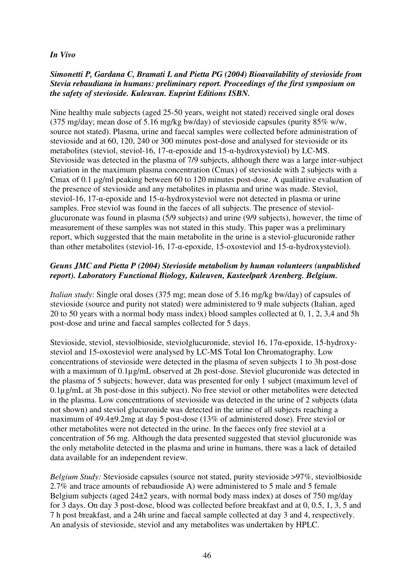#### *In Vivo*

#### *Simonetti P, Gardana C, Bramati L and Pietta PG (2004) Bioavailability of stevioside from Stevia rebaudiana in humans: preliminary report. Proceedings of the first symposium on the safety of stevioside. Kuleuvan. Euprint Editions ISBN.*

Nine healthy male subjects (aged 25-50 years, weight not stated) received single oral doses (375 mg/day; mean dose of 5.16 mg/kg bw/day) of stevioside capsules (purity 85% w/w, source not stated). Plasma, urine and faecal samples were collected before administration of stevioside and at 60, 120, 240 or 300 minutes post-dose and analysed for stevioside or its metabolites (steviol, steviol-16, 17-α-epoxide and 15-α-hydroxysteviol) by LC-MS. Stevioside was detected in the plasma of 7/9 subjects, although there was a large inter-subject variation in the maximum plasma concentration (Cmax) of stevioside with 2 subjects with a Cmax of 0.1 µg/ml peaking between 60 to 120 minutes post-dose. A qualitative evaluation of the presence of stevioside and any metabolites in plasma and urine was made. Steviol, steviol-16, 17-α-epoxide and 15-α-hydroxysteviol were not detected in plasma or urine samples. Free steviol was found in the faeces of all subjects. The presence of steviolglucuronate was found in plasma (5/9 subjects) and urine (9/9 subjects), however, the time of measurement of these samples was not stated in this study. This paper was a preliminary report, which suggested that the main metabolite in the urine is a steviol-glucuronide rather than other metabolites (steviol-16, 17-α-epoxide, 15-oxosteviol and 15-α-hydroxysteviol).

#### *Geuns JMC and Pietta P (2004) Stevioside metabolism by human volunteers (unpublished report). Laboratory Functional Biology, Kuleuven, Kasteelpark Arenberg. Belgium.*

*Italian study*: Single oral doses (375 mg; mean dose of 5.16 mg/kg bw/day) of capsules of stevioside (source and purity not stated) were administered to 9 male subjects (Italian, aged 20 to 50 years with a normal body mass index) blood samples collected at 0, 1, 2, 3,4 and 5h post-dose and urine and faecal samples collected for 5 days.

Stevioside, steviol, steviolbioside, steviolglucuronide, steviol 16, 17α-epoxide, 15-hydroxysteviol and 15-oxosteviol were analysed by LC-MS Total Ion Chromatography. Low concentrations of stevioside were detected in the plasma of seven subjects 1 to 3h post-dose with a maximum of  $0.1\mu$ g/mL observed at 2h post-dose. Steviol glucuronide was detected in the plasma of 5 subjects; however, data was presented for only 1 subject (maximum level of 0.1µg/mL at 3h post-dose in this subject). No free steviol or other metabolites were detected in the plasma. Low concentrations of stevioside was detected in the urine of 2 subjects (data not shown) and steviol glucuronide was detected in the urine of all subjects reaching a maximum of 49.4±9.2mg at day 5 post-dose (13% of administered dose). Free steviol or other metabolites were not detected in the urine. In the faeces only free steviol at a concentration of 56 mg. Although the data presented suggested that steviol glucuronide was the only metabolite detected in the plasma and urine in humans, there was a lack of detailed data available for an independent review.

*Belgium Study:* Stevioside capsules (source not stated, purity stevioside >97%, steviolbioside 2.7% and trace amounts of rebaudioside A) were administered to 5 male and 5 female Belgium subjects (aged 24±2 years, with normal body mass index) at doses of 750 mg/day for 3 days. On day 3 post-dose, blood was collected before breakfast and at 0, 0.5, 1, 3, 5 and 7 h post breakfast, and a 24h urine and faecal sample collected at day 3 and 4, respectively. An analysis of stevioside, steviol and any metabolites was undertaken by HPLC.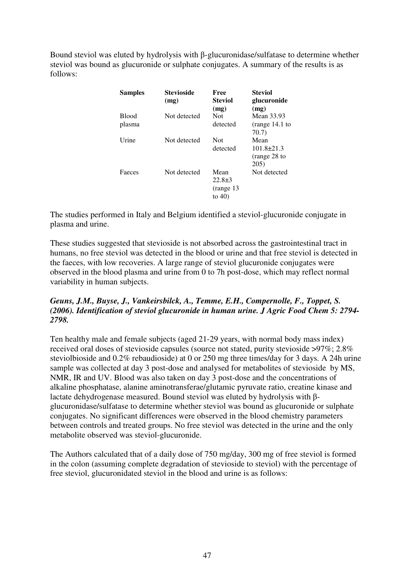Bound steviol was eluted by hydrolysis with β-glucuronidase/sulfatase to determine whether steviol was bound as glucuronide or sulphate conjugates. A summary of the results is as follows:

| <b>Samples</b>         | Stevioside<br>(mg) | Free<br><b>Steviol</b><br>(mg)               | <b>Steviol</b><br>glucuronide<br>(mg)            |
|------------------------|--------------------|----------------------------------------------|--------------------------------------------------|
| <b>Blood</b><br>plasma | Not detected       | Not<br>detected                              | Mean 33.93<br>(range 14.1 to<br>70.7)            |
| Urine                  | Not detected       | Not<br>detected                              | Mean<br>$101.8 \pm 21.3$<br>(range 28 to<br>205) |
| Faeces                 | Not detected       | Mean<br>$22.8 \pm 3$<br>(range 13<br>to $40$ | Not detected                                     |

The studies performed in Italy and Belgium identified a steviol-glucuronide conjugate in plasma and urine.

These studies suggested that stevioside is not absorbed across the gastrointestinal tract in humans, no free steviol was detected in the blood or urine and that free steviol is detected in the faeces, with low recoveries. A large range of steviol glucuronide conjugates were observed in the blood plasma and urine from 0 to 7h post-dose, which may reflect normal variability in human subjects.

#### *Geuns, J.M., Buyse, J., Vankeirsbilck, A., Temme, E.H., Compernolle, F., Toppet, S. (2006). Identification of steviol glucuronide in human urine. J Agric Food Chem 5: 2794- 2798.*

Ten healthy male and female subjects (aged 21-29 years, with normal body mass index) received oral doses of stevioside capsules (source not stated, purity stevioside >97%; 2.8% steviolbioside and 0.2% rebaudioside) at 0 or 250 mg three times/day for 3 days. A 24h urine sample was collected at day 3 post-dose and analysed for metabolites of stevioside by MS, NMR, IR and UV. Blood was also taken on day 3 post-dose and the concentrations of alkaline phosphatase, alanine aminotransferae/glutamic pyruvate ratio, creatine kinase and lactate dehydrogenase measured. Bound steviol was eluted by hydrolysis with βglucuronidase/sulfatase to determine whether steviol was bound as glucuronide or sulphate conjugates. No significant differences were observed in the blood chemistry parameters between controls and treated groups. No free steviol was detected in the urine and the only metabolite observed was steviol-glucuronide.

The Authors calculated that of a daily dose of 750 mg/day, 300 mg of free steviol is formed in the colon (assuming complete degradation of stevioside to steviol) with the percentage of free steviol, glucuronidated steviol in the blood and urine is as follows: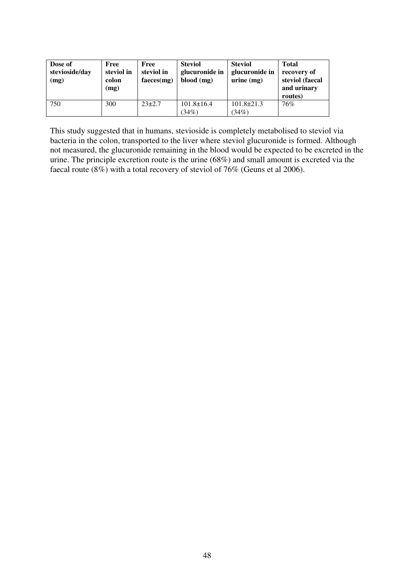| Dose of<br>stevioside/day<br>(mg) | Free<br>steviol in<br>colon<br>(mg) | Free<br>steviol in<br>faces(mg) | <b>Steviol</b><br>glucuronide in<br>blood (mg) | <b>Steviol</b><br>glucuronide in<br>$urine$ (mg) | <b>Total</b><br>recovery of<br>steviol (faecal<br>and urinary<br>routes) |
|-----------------------------------|-------------------------------------|---------------------------------|------------------------------------------------|--------------------------------------------------|--------------------------------------------------------------------------|
| 750                               | 300                                 | $23\pm2.7$                      | $101.8 \pm 16.4$<br>(34%)                      | $101.8 \pm 21.3$<br>(34%)                        | 76%                                                                      |

This study suggested that in humans, stevioside is completely metabolised to steviol via bacteria in the colon, transported to the liver where steviol glucuronide is formed. Although not measured, the glucuronide remaining in the blood would be expected to be excreted in the urine. The principle excretion route is the urine (68%) and small amount is excreted via the faecal route (8%) with a total recovery of steviol of 76% (Geuns et al 2006).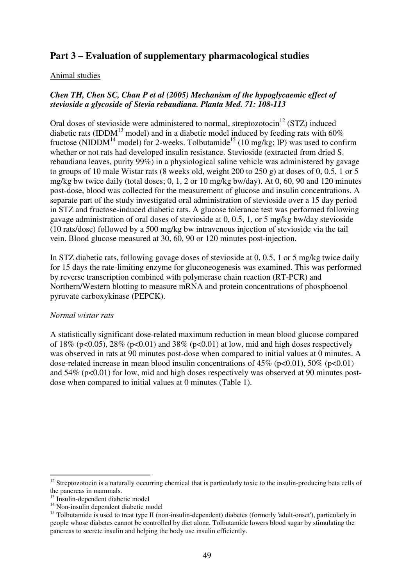# **Part 3 – Evaluation of supplementary pharmacological studies**

#### Animal studies

# *Chen TH, Chen SC, Chan P et al (2005) Mechanism of the hypoglycaemic effect of stevioside a glycoside of Stevia rebaudiana. Planta Med. 71: 108-113*

Oral doses of stevioside were administered to normal, streptozotocin<sup>12</sup> (STZ) induced diabetic rats (IDDM<sup>13</sup> model) and in a diabetic model induced by feeding rats with  $60\%$ fructose (NIDDM<sup>14</sup> model) for 2-weeks. Tolbutamide<sup>15</sup> (10 mg/kg; IP) was used to confirm whether or not rats had developed insulin resistance. Stevioside (extracted from dried S. rebaudiana leaves, purity 99%) in a physiological saline vehicle was administered by gavage to groups of 10 male Wistar rats (8 weeks old, weight 200 to 250 g) at doses of 0, 0.5, 1 or 5 mg/kg bw twice daily (total doses; 0, 1, 2 or 10 mg/kg bw/day). At 0, 60, 90 and 120 minutes post-dose, blood was collected for the measurement of glucose and insulin concentrations. A separate part of the study investigated oral administration of stevioside over a 15 day period in STZ and fructose-induced diabetic rats. A glucose tolerance test was performed following gavage administration of oral doses of stevioside at 0, 0.5, 1, or 5 mg/kg bw/day stevioside (10 rats/dose) followed by a 500 mg/kg bw intravenous injection of stevioside via the tail vein. Blood glucose measured at 30, 60, 90 or 120 minutes post-injection.

In STZ diabetic rats, following gavage doses of stevioside at 0, 0.5, 1 or 5 mg/kg twice daily for 15 days the rate-limiting enzyme for gluconeogenesis was examined. This was performed by reverse transcription combined with polymerase chain reaction (RT-PCR) and Northern/Western blotting to measure mRNA and protein concentrations of phosphoenol pyruvate carboxykinase (PEPCK).

#### *Normal wistar rats*

A statistically significant dose-related maximum reduction in mean blood glucose compared of 18% ( $p<0.05$ ), 28% ( $p<0.01$ ) and 38% ( $p<0.01$ ) at low, mid and high doses respectively was observed in rats at 90 minutes post-dose when compared to initial values at 0 minutes. A dose-related increase in mean blood insulin concentrations of  $45\%$  (p<0.01),  $50\%$  (p<0.01) and  $54\%$  ( $p<0.01$ ) for low, mid and high doses respectively was observed at 90 minutes postdose when compared to initial values at 0 minutes (Table 1).

 $\overline{a}$ 

<sup>&</sup>lt;sup>12</sup> Streptozotocin is a naturally occurring chemical that is particularly toxic to the insulin-producing beta cells of the pancreas in mammals.

 $13$  Insulin-dependent diabetic model

<sup>&</sup>lt;sup>14</sup> Non-insulin dependent diabetic model

<sup>&</sup>lt;sup>15</sup> Tolbutamide is used to treat type II (non-insulin-dependent) diabetes (formerly 'adult-onset'), particularly in people whose diabetes cannot be controlled by diet alone. Tolbutamide lowers blood sugar by stimulating the pancreas to secrete insulin and helping the body use insulin efficiently.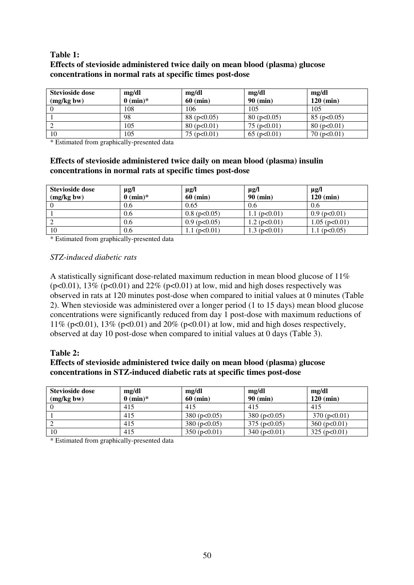#### **Table 1: Effects of stevioside administered twice daily on mean blood (plasma) glucose concentrations in normal rats at specific times post-dose**

| <b>Stevioside dose</b> | mg/dl               | mg/dl              | mg/dl              | mg/dl              |
|------------------------|---------------------|--------------------|--------------------|--------------------|
| (mg/kg bw)             | $0 \text{ (min)}^*$ | $60$ (min)         | $90$ (min)         | $120$ (min)        |
|                        | 108                 | 106                | 105                | 105                |
|                        | 98                  | 88 ( $p<0.05$ )    | 80(p<0.05)         | $85$ (p $< 0.05$ ) |
|                        | 105                 | $80$ (p $< 0.01$ ) | $75$ (p $< 0.01$ ) | 80(p<0.01)         |
| 10                     | 105                 | 75 ( $p<0.01$ )    | $65$ (p $< 0.01$ ) | 70(p<0.01)         |

\* Estimated from graphically-presented data

# **Effects of stevioside administered twice daily on mean blood (plasma) insulin concentrations in normal rats at specific times post-dose**

| Stevioside dose | $\mu$ g/l           | $\mu$ g/l           | $\mu$ g/l           | $\mu$ g/l            |
|-----------------|---------------------|---------------------|---------------------|----------------------|
| (mg/kg bw)      | $0 \text{ (min)}^*$ | $60$ (min)          | $90$ (min)          | $120$ (min)          |
|                 | 0.6                 | 0.65                | 0.6                 | 0.6                  |
|                 | 0.6                 | $0.8$ (p $< 0.05$ ) | 1.1 ( $p<0.01$ )    | $0.9$ (p $< 0.01$ )  |
|                 | 0.6                 | $0.9$ (p $< 0.05$ ) | $1.2$ (p $< 0.01$ ) | $1.05$ (p $< 0.01$ ) |
| 10              | 0.6                 | (p<0.01)            | 1.3 ( $p<0.01$ )    | 1.1 ( $p<0.05$ )     |

\* Estimated from graphically-presented data

#### *STZ-induced diabetic rats*

A statistically significant dose-related maximum reduction in mean blood glucose of 11% ( $p<0.01$ ), 13% ( $p<0.01$ ) and 22% ( $p<0.01$ ) at low, mid and high doses respectively was observed in rats at 120 minutes post-dose when compared to initial values at 0 minutes (Table 2). When stevioside was administered over a longer period (1 to 15 days) mean blood glucose concentrations were significantly reduced from day 1 post-dose with maximum reductions of 11% ( $p<0.01$ ), 13% ( $p<0.01$ ) and 20% ( $p<0.01$ ) at low, mid and high doses respectively, observed at day 10 post-dose when compared to initial values at 0 days (Table 3).

#### **Table 2:**

#### **Effects of stevioside administered twice daily on mean blood (plasma) glucose concentrations in STZ-induced diabetic rats at specific times post-dose**

| Stevioside dose<br>(mg/kg bw) | mg/dl<br>$0 \text{ (min)}^*$ | mg/dl<br>$60$ (min) | mg/dl<br>$90$ (min) | mg/dl<br>$120 \ (min)$ |
|-------------------------------|------------------------------|---------------------|---------------------|------------------------|
|                               | 415                          | 415                 | 415                 | 415                    |
|                               | 415                          | 380(p<0.05)         | 380(p<0.05)         | $370$ (p $< 0.01$ )    |
|                               | 415                          | 380(p<0.05)         | $375$ (p $< 0.05$ ) | 360 (p<0.01)           |
| 10                            | 415                          | 350(p<0.01)         | $340$ (p $< 0.01$ ) | 325(p<0.01)            |

\* Estimated from graphically-presented data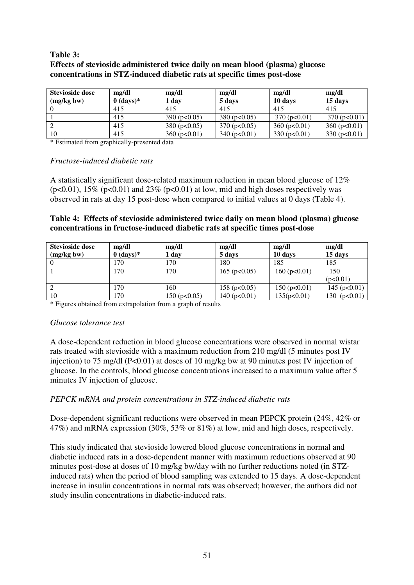#### **Table 3: Effects of stevioside administered twice daily on mean blood (plasma) glucose concentrations in STZ-induced diabetic rats at specific times post-dose**

| Stevioside dose | mg/dl       | mg/dl            | mg/dl               | mg/dl        | mg/dl            |
|-----------------|-------------|------------------|---------------------|--------------|------------------|
| (mg/kg bw)      | $0$ (days)* | 1 day            | 5 days              | 10 days      | 15 days          |
|                 | 415         | 415              | 415                 | 415          | 415              |
|                 | 415         | 390 (p<0.05)     | $380$ (p $< 0.05$ ) | 370(p<0.01)  | 370(p<0.01)      |
|                 | 415         | 380 ( $p<0.05$ ) | $370$ (p $< 0.05$ ) | 360 (p<0.01) | 360 ( $p<0.01$ ) |
| 10              | 415         | 360 ( $p<0.01$ ) | 340 (p<0.01)        | 330 (p<0.01) | 330 (p<0.01)     |

\* Estimated from graphically-presented data

#### *Fructose-induced diabetic rats*

A statistically significant dose-related maximum reduction in mean blood glucose of 12% ( $p<0.01$ ), 15% ( $p<0.01$ ) and 23% ( $p<0.01$ ) at low, mid and high doses respectively was observed in rats at day 15 post-dose when compared to initial values at 0 days (Table 4).

#### **Table 4: Effects of stevioside administered twice daily on mean blood (plasma) glucose concentrations in fructose-induced diabetic rats at specific times post-dose**

| <b>Stevioside dose</b> | mg/dl       | mg/dl               | mg/dl               | mg/dl            | mg/dl            |
|------------------------|-------------|---------------------|---------------------|------------------|------------------|
| (mg/kg bw)             | $0$ (days)* | 1 day               | 5 days              | 10 days          | 15 days          |
|                        | 170         | 170                 | 180                 | 185              | 185              |
|                        | 170         | 170                 | $165$ (p $< 0.05$ ) | 160 ( $p<0.01$ ) | 150              |
|                        |             |                     |                     |                  | (p<0.01)         |
|                        | 170         | 160                 | 158 ( $p<0.05$ )    | 150(p<0.01)      | 145 ( $p<0.01$ ) |
| 10                     | 170         | $150$ (p $< 0.05$ ) | 140 ( $p<0.01$ )    | 135(p<0.01)      | 130 $(p<0.01)$   |

\* Figures obtained from extrapolation from a graph of results

#### *Glucose tolerance test*

A dose-dependent reduction in blood glucose concentrations were observed in normal wistar rats treated with stevioside with a maximum reduction from 210 mg/dl (5 minutes post IV injection) to 75 mg/dl (P<0.01) at doses of 10 mg/kg bw at 90 minutes post IV injection of glucose. In the controls, blood glucose concentrations increased to a maximum value after 5 minutes IV injection of glucose.

# *PEPCK mRNA and protein concentrations in STZ-induced diabetic rats*

Dose-dependent significant reductions were observed in mean PEPCK protein (24%, 42% or 47%) and mRNA expression (30%, 53% or 81%) at low, mid and high doses, respectively.

This study indicated that stevioside lowered blood glucose concentrations in normal and diabetic induced rats in a dose-dependent manner with maximum reductions observed at 90 minutes post-dose at doses of 10 mg/kg bw/day with no further reductions noted (in STZinduced rats) when the period of blood sampling was extended to 15 days. A dose-dependent increase in insulin concentrations in normal rats was observed; however, the authors did not study insulin concentrations in diabetic-induced rats.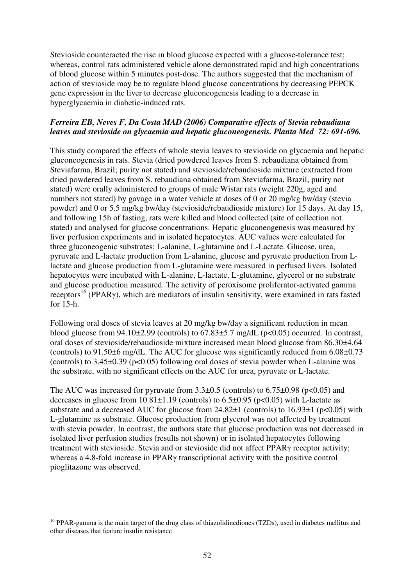Stevioside counteracted the rise in blood glucose expected with a glucose-tolerance test; whereas, control rats administered vehicle alone demonstrated rapid and high concentrations of blood glucose within 5 minutes post-dose. The authors suggested that the mechanism of action of stevioside may be to regulate blood glucose concentrations by decreasing PEPCK gene expression in the liver to decrease gluconeogenesis leading to a decrease in hyperglycaemia in diabetic-induced rats.

# *Ferreira EB, Neves F, Da Costa MAD (2006) Comparative effects of Stevia rebaudiana leaves and stevioside on glycaemia and hepatic gluconeogenesis. Planta Med 72: 691-696.*

This study compared the effects of whole stevia leaves to stevioside on glycaemia and hepatic gluconeogenesis in rats. Stevia (dried powdered leaves from S. rebaudiana obtained from Steviafarma, Brazil; purity not stated) and stevioside/rebaudioside mixture (extracted from dried powdered leaves from S. rebaudiana obtained from Steviafarma, Brazil, purity not stated) were orally administered to groups of male Wistar rats (weight 220g, aged and numbers not stated) by gavage in a water vehicle at doses of 0 or 20 mg/kg bw/day (stevia powder) and 0 or 5.5 mg/kg bw/day (stevioside/rebaudioside mixture) for 15 days. At day 15, and following 15h of fasting, rats were killed and blood collected (site of collection not stated) and analysed for glucose concentrations. Hepatic gluconeogenesis was measured by liver perfusion experiments and in isolated hepatocytes. AUC values were calculated for three gluconeogenic substrates; L-alanine, L-glutamine and L-Lactate. Glucose, urea, pyruvate and L-lactate production from L-alanine, glucose and pyruvate production from Llactate and glucose production from L-glutamine were measured in perfused livers. Isolated hepatocytes were incubated with L-alanine, L-lactate, L-glutamine, glycerol or no substrate and glucose production measured. The activity of peroxisome proliferator-activated gamma receptors<sup>16</sup> (PPAR $\gamma$ ), which are mediators of insulin sensitivity, were examined in rats fasted for 15-h.

Following oral doses of stevia leaves at 20 mg/kg bw/day a significant reduction in mean blood glucose from  $94.10\pm2.99$  (controls) to  $67.83\pm5.7$  mg/dL (p<0.05) occurred. In contrast, oral doses of stevioside/rebaudioside mixture increased mean blood glucose from 86.30±4.64 (controls) to 91.50±6 mg/dL. The AUC for glucose was significantly reduced from 6.08±0.73 (controls) to  $3.45\pm0.39$  (p<0.05) following oral doses of stevia powder when L-alanine was the substrate, with no significant effects on the AUC for urea, pyruvate or L-lactate.

The AUC was increased for pyruvate from  $3.3\pm0.5$  (controls) to  $6.75\pm0.98$  (p<0.05) and decreases in glucose from  $10.81 \pm 1.19$  (controls) to  $6.5 \pm 0.95$  (p $< 0.05$ ) with L-lactate as substrate and a decreased AUC for glucose from  $24.82\pm1$  (controls) to  $16.93\pm1$  (p<0.05) with L-glutamine as substrate. Glucose production from glycerol was not affected by treatment with stevia powder. In contrast, the authors state that glucose production was not decreased in isolated liver perfusion studies (results not shown) or in isolated hepatocytes following treatment with stevioside. Stevia and or stevioside did not affect PPARγ receptor activity; whereas a 4.8-fold increase in PPARγ transcriptional activity with the positive control pioglitazone was observed.

 $\overline{a}$ <sup>16</sup> PPAR-gamma is the main target of the drug class of thiazolidinediones (TZDs), used in diabetes mellitus and other diseases that feature insulin resistance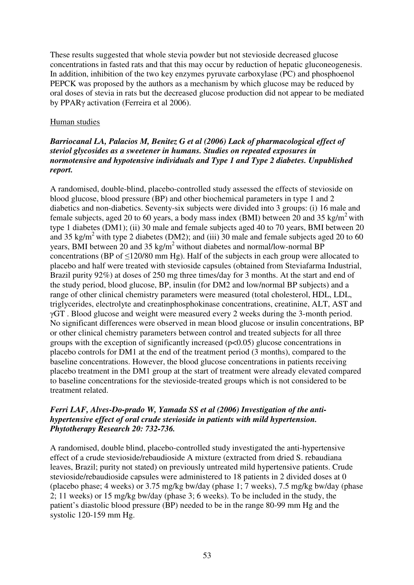These results suggested that whole stevia powder but not stevioside decreased glucose concentrations in fasted rats and that this may occur by reduction of hepatic gluconeogenesis. In addition, inhibition of the two key enzymes pyruvate carboxylase (PC) and phosphoenol PEPCK was proposed by the authors as a mechanism by which glucose may be reduced by oral doses of stevia in rats but the decreased glucose production did not appear to be mediated by PPARγ activation (Ferreira et al 2006).

# Human studies

# *Barriocanal LA, Palacios M, Benitez G et al (2006) Lack of pharmacological effect of steviol glycosides as a sweetener in humans. Studies on repeated exposures in normotensive and hypotensive individuals and Type 1 and Type 2 diabetes. Unpublished report.*

A randomised, double-blind, placebo-controlled study assessed the effects of stevioside on blood glucose, blood pressure (BP) and other biochemical parameters in type 1 and 2 diabetics and non-diabetics. Seventy-six subjects were divided into 3 groups: (i) 16 male and female subjects, aged 20 to 60 years, a body mass index (BMI) between 20 and 35 kg/m<sup>2</sup> with type 1 diabetes (DM1); (ii) 30 male and female subjects aged 40 to 70 years, BMI between 20 and 35 kg/m<sup>2</sup> with type 2 diabetes (DM2); and (iii) 30 male and female subjects aged 20 to 60 years, BMI between 20 and 35 kg/m<sup>2</sup> without diabetes and normal/low-normal BP concentrations (BP of ≤120/80 mm Hg). Half of the subjects in each group were allocated to placebo and half were treated with stevioside capsules (obtained from Steviafarma Industrial, Brazil purity 92%) at doses of 250 mg three times/day for 3 months. At the start and end of the study period, blood glucose, BP, insulin (for DM2 and low/normal BP subjects) and a range of other clinical chemistry parameters were measured (total cholesterol, HDL, LDL, triglycerides, electrolyte and creatinphosphokinase concentrations, creatinine, ALT, AST and γGT . Blood glucose and weight were measured every 2 weeks during the 3-month period. No significant differences were observed in mean blood glucose or insulin concentrations, BP or other clinical chemistry parameters between control and treated subjects for all three groups with the exception of significantly increased  $(p<0.05)$  glucose concentrations in placebo controls for DM1 at the end of the treatment period (3 months), compared to the baseline concentrations. However, the blood glucose concentrations in patients receiving placebo treatment in the DM1 group at the start of treatment were already elevated compared to baseline concentrations for the stevioside-treated groups which is not considered to be treatment related.

# *Ferri LAF, Alves-Do-prado W, Yamada SS et al (2006) Investigation of the antihypertensive effect of oral crude stevioside in patients with mild hypertension. Phytotherapy Research 20: 732-736.*

A randomised, double blind, placebo-controlled study investigated the anti-hypertensive effect of a crude stevioside/rebaudioside A mixture (extracted from dried S. rebaudiana leaves, Brazil; purity not stated) on previously untreated mild hypertensive patients. Crude stevioside/rebaudioside capsules were administered to 18 patients in 2 divided doses at 0 (placebo phase; 4 weeks) or 3.75 mg/kg bw/day (phase 1; 7 weeks), 7.5 mg/kg bw/day (phase 2; 11 weeks) or 15 mg/kg bw/day (phase 3; 6 weeks). To be included in the study, the patient's diastolic blood pressure (BP) needed to be in the range 80-99 mm Hg and the systolic 120-159 mm Hg.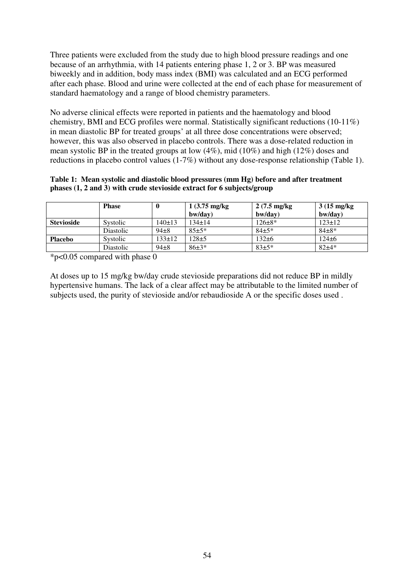Three patients were excluded from the study due to high blood pressure readings and one because of an arrhythmia, with 14 patients entering phase 1, 2 or 3. BP was measured biweekly and in addition, body mass index (BMI) was calculated and an ECG performed after each phase. Blood and urine were collected at the end of each phase for measurement of standard haematology and a range of blood chemistry parameters.

No adverse clinical effects were reported in patients and the haematology and blood chemistry, BMI and ECG profiles were normal. Statistically significant reductions (10-11%) in mean diastolic BP for treated groups' at all three dose concentrations were observed; however, this was also observed in placebo controls. There was a dose-related reduction in mean systolic BP in the treated groups at low (4%), mid (10%) and high (12%) doses and reductions in placebo control values (1-7%) without any dose-response relationship (Table 1).

#### **Table 1: Mean systolic and diastolic blood pressures (mm Hg) before and after treatment phases (1, 2 and 3) with crude stevioside extract for 6 subjects/group**

|                   | <b>Phase</b>     | $\mathbf{0}$ | $1(3.75 \text{ mg/kg})$<br>bw/day) | $2(7.5 \text{ mg/kg})$<br>bw/day) | $3(15 \text{ mg/kg})$<br>bw/day) |
|-------------------|------------------|--------------|------------------------------------|-----------------------------------|----------------------------------|
| <b>Stevioside</b> | Systolic         | 140±13       | $134 + 14$                         | $126 \pm 8*$                      | $123 \pm 12$                     |
|                   | <b>Diastolic</b> | $94 + 8$     | $85 + 5*$                          | $84 + 5*$                         | $84\pm8*$                        |
| <b>Placebo</b>    | Systolic         | $133 \pm 12$ | $128 + 5$                          | 132 $\pm 6$                       | $124\pm 6$                       |
|                   | Diastolic        | $94\pm8$     | $86\pm3*$                          | $83+5*$                           | $82+4*$                          |

\*p<0.05 compared with phase 0

At doses up to 15 mg/kg bw/day crude stevioside preparations did not reduce BP in mildly hypertensive humans. The lack of a clear affect may be attributable to the limited number of subjects used, the purity of stevioside and/or rebaudioside A or the specific doses used .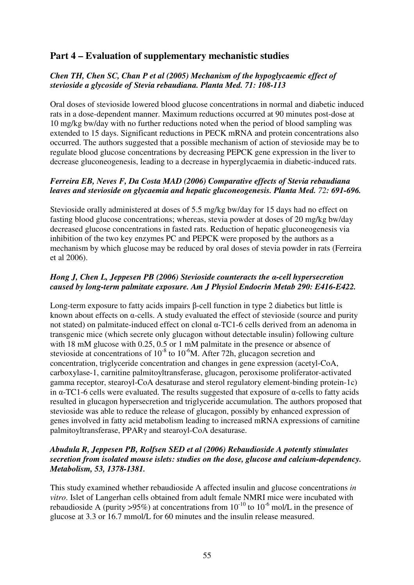# **Part 4 – Evaluation of supplementary mechanistic studies**

## *Chen TH, Chen SC, Chan P et al (2005) Mechanism of the hypoglycaemic effect of stevioside a glycoside of Stevia rebaudiana. Planta Med. 71: 108-113*

Oral doses of stevioside lowered blood glucose concentrations in normal and diabetic induced rats in a dose-dependent manner. Maximum reductions occurred at 90 minutes post-dose at 10 mg/kg bw/day with no further reductions noted when the period of blood sampling was extended to 15 days. Significant reductions in PECK mRNA and protein concentrations also occurred. The authors suggested that a possible mechanism of action of stevioside may be to regulate blood glucose concentrations by decreasing PEPCK gene expression in the liver to decrease gluconeogenesis, leading to a decrease in hyperglycaemia in diabetic-induced rats.

#### *Ferreira EB, Neves F, Da Costa MAD (2006) Comparative effects of Stevia rebaudiana leaves and stevioside on glycaemia and hepatic gluconeogenesis. Planta Med. 72: 691-696.*

Stevioside orally administered at doses of 5.5 mg/kg bw/day for 15 days had no effect on fasting blood glucose concentrations; whereas, stevia powder at doses of 20 mg/kg bw/day decreased glucose concentrations in fasted rats. Reduction of hepatic gluconeogenesis via inhibition of the two key enzymes PC and PEPCK were proposed by the authors as a mechanism by which glucose may be reduced by oral doses of stevia powder in rats (Ferreira et al 2006).

#### *Hong J, Chen L, Jeppesen PB (2006) Stevioside counteracts the* α*-cell hypersecretion caused by long-term palmitate exposure. Am J Physiol Endocrin Metab 290: E416-E422.*

Long-term exposure to fatty acids impairs β-cell function in type 2 diabetics but little is known about effects on α-cells. A study evaluated the effect of stevioside (source and purity not stated) on palmitate-induced effect on clonal α-TC1-6 cells derived from an adenoma in transgenic mice (which secrete only glucagon without detectable insulin) following culture with 18 mM glucose with 0.25, 0.5 or 1 mM palmitate in the presence or absence of stevioside at concentrations of  $10^{-8}$  to  $10^{-6}$ M. After 72h, glucagon secretion and concentration, triglyceride concentration and changes in gene expression (acetyl-CoA, carboxylase-1, carnitine palmitoyltransferase, glucagon, peroxisome proliferator-activated gamma receptor, stearoyl-CoA desaturase and sterol regulatory element-binding protein-1c) in  $\alpha$ -TC1-6 cells were evaluated. The results suggested that exposure of  $\alpha$ -cells to fatty acids resulted in glucagon hypersecretion and triglyceride accumulation. The authors proposed that stevioside was able to reduce the release of glucagon, possibly by enhanced expression of genes involved in fatty acid metabolism leading to increased mRNA expressions of carnitine palmitoyltransferase, PPARγ and stearoyl-CoA desaturase.

# *Abudula R, Jeppesen PB, Rolfsen SED et al (2006) Rebaudioside A potently stimulates secretion from isolated mouse islets: studies on the dose, glucose and calcium-dependency. Metabolism, 53, 1378-1381.*

This study examined whether rebaudioside A affected insulin and glucose concentrations *in vitro*. Islet of Langerhan cells obtained from adult female NMRI mice were incubated with rebaudioside A (purity >95%) at concentrations from  $10^{-10}$  to  $10^{-6}$  mol/L in the presence of glucose at 3.3 or 16.7 mmol/L for 60 minutes and the insulin release measured.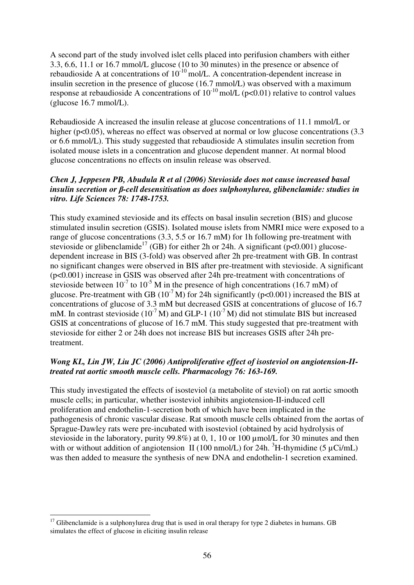A second part of the study involved islet cells placed into perifusion chambers with either 3.3, 6.6, 11.1 or 16.7 mmol/L glucose (10 to 30 minutes) in the presence or absence of rebaudioside A at concentrations of  $10^{-10}$  mol/L. A concentration-dependent increase in insulin secretion in the presence of glucose (16.7 mmol/L) was observed with a maximum response at rebaudioside A concentrations of  $10^{-10}$  mol/L (p<0.01) relative to control values (glucose 16.7 mmol/L).

Rebaudioside A increased the insulin release at glucose concentrations of 11.1 mmol/L or higher (p<0.05), whereas no effect was observed at normal or low glucose concentrations (3.3) or 6.6 mmol/L). This study suggested that rebaudioside A stimulates insulin secretion from isolated mouse islets in a concentration and glucose dependent manner. At normal blood glucose concentrations no effects on insulin release was observed.

#### *Chen J, Jeppesen PB, Abudula R et al (2006) Stevioside does not cause increased basal insulin secretion or* β*-cell desensitisation as does sulphonylurea, glibenclamide: studies in vitro. Life Sciences 78: 1748-1753.*

This study examined stevioside and its effects on basal insulin secretion (BIS) and glucose stimulated insulin secretion (GSIS). Isolated mouse islets from NMRI mice were exposed to a range of glucose concentrations (3.3, 5.5 or 16.7 mM) for 1h following pre-treatment with stevioside or glibenclamide<sup>17</sup> (GB) for either 2h or 24h. A significant ( $p<0.001$ ) glucosedependent increase in BIS (3-fold) was observed after 2h pre-treatment with GB. In contrast no significant changes were observed in BIS after pre-treatment with stevioside. A significant (p<0.001) increase in GSIS was observed after 24h pre-treatment with concentrations of stevioside between  $10^{-7}$  to  $10^{-5}$  M in the presence of high concentrations (16.7 mM) of glucose. Pre-treatment with GB  $(10^{-7} M)$  for 24h significantly (p<0.001) increased the BIS at concentrations of glucose of 3.3 mM but decreased GSIS at concentrations of glucose of 16.7 mM. In contrast stevioside ( $10^{-7}$  M) and GLP-1 ( $10^{-7}$  M) did not stimulate BIS but increased GSIS at concentrations of glucose of 16.7 mM. This study suggested that pre-treatment with stevioside for either 2 or 24h does not increase BIS but increases GSIS after 24h pretreatment.

#### *Wong KL, Lin JW, Liu JC (2006) Antiproliferative effect of isosteviol on angiotension-IItreated rat aortic smooth muscle cells. Pharmacology 76: 163-169.*

This study investigated the effects of isosteviol (a metabolite of steviol) on rat aortic smooth muscle cells; in particular, whether isosteviol inhibits angiotension-II-induced cell proliferation and endothelin-1-secretion both of which have been implicated in the pathogenesis of chronic vascular disease. Rat smooth muscle cells obtained from the aortas of Sprague-Dawley rats were pre-incubated with isosteviol (obtained by acid hydrolysis of stevioside in the laboratory, purity 99.8%) at 0, 1, 10 or 100 µmol/L for 30 minutes and then with or without addition of angiotension II (100 nmol/L) for 24h.  ${}^{3}H$ -thymidine (5 µCi/mL) was then added to measure the synthesis of new DNA and endothelin-1 secretion examined.

 $\overline{a}$  $17$  Glibenclamide is a sulphonylurea drug that is used in oral therapy for type 2 diabetes in humans. GB simulates the effect of glucose in eliciting insulin release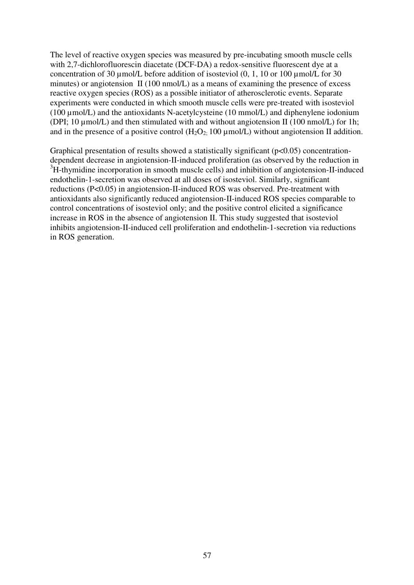The level of reactive oxygen species was measured by pre-incubating smooth muscle cells with 2,7-dichlorofluorescin diacetate (DCF-DA) a redox-sensitive fluorescent dye at a concentration of 30  $\mu$ mol/L before addition of isosteviol (0, 1, 10 or 100  $\mu$ mol/L for 30 minutes) or angiotension II (100 nmol/L) as a means of examining the presence of excess reactive oxygen species (ROS) as a possible initiator of atherosclerotic events. Separate experiments were conducted in which smooth muscle cells were pre-treated with isosteviol (100  $\mu$ mol/L) and the antioxidants N-acetylcysteine (10 mmol/L) and diphenylene iodonium (DPI; 10 µmol/L) and then stimulated with and without angiotension II (100 nmol/L) for 1h; and in the presence of a positive control  $(H_2O_2, 100 \mu \text{mol/L})$  without angiotension II addition.

Graphical presentation of results showed a statistically significant ( $p<0.05$ ) concentrationdependent decrease in angiotension-II-induced proliferation (as observed by the reduction in <sup>3</sup>H-thymidine incorporation in smooth muscle cells) and inhibition of angiotension-II-induced endothelin-1-secretion was observed at all doses of isosteviol. Similarly, significant reductions (P<0.05) in angiotension-II-induced ROS was observed. Pre-treatment with antioxidants also significantly reduced angiotension-II-induced ROS species comparable to control concentrations of isosteviol only; and the positive control elicited a significance increase in ROS in the absence of angiotension II. This study suggested that isosteviol inhibits angiotension-II-induced cell proliferation and endothelin-1-secretion via reductions in ROS generation.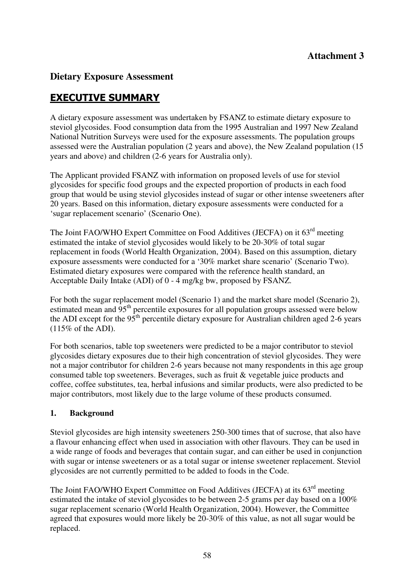# **Dietary Exposure Assessment**

# EXECUTIVE SUMMARY

A dietary exposure assessment was undertaken by FSANZ to estimate dietary exposure to steviol glycosides. Food consumption data from the 1995 Australian and 1997 New Zealand National Nutrition Surveys were used for the exposure assessments. The population groups assessed were the Australian population (2 years and above), the New Zealand population (15 years and above) and children (2-6 years for Australia only).

The Applicant provided FSANZ with information on proposed levels of use for steviol glycosides for specific food groups and the expected proportion of products in each food group that would be using steviol glycosides instead of sugar or other intense sweeteners after 20 years. Based on this information, dietary exposure assessments were conducted for a 'sugar replacement scenario' (Scenario One).

The Joint FAO/WHO Expert Committee on Food Additives (JECFA) on it 63<sup>rd</sup> meeting estimated the intake of steviol glycosides would likely to be 20-30% of total sugar replacement in foods (World Health Organization, 2004). Based on this assumption, dietary exposure assessments were conducted for a '30% market share scenario' (Scenario Two). Estimated dietary exposures were compared with the reference health standard, an Acceptable Daily Intake (ADI) of 0 - 4 mg/kg bw, proposed by FSANZ.

For both the sugar replacement model (Scenario 1) and the market share model (Scenario 2), estimated mean and  $95<sup>th</sup>$  percentile exposures for all population groups assessed were below the ADI except for the  $95<sup>th</sup>$  percentile dietary exposure for Australian children aged 2-6 years  $(115\% \text{ of the ADI}).$ 

For both scenarios, table top sweeteners were predicted to be a major contributor to steviol glycosides dietary exposures due to their high concentration of steviol glycosides. They were not a major contributor for children 2-6 years because not many respondents in this age group consumed table top sweeteners. Beverages, such as fruit & vegetable juice products and coffee, coffee substitutes, tea, herbal infusions and similar products, were also predicted to be major contributors, most likely due to the large volume of these products consumed.

# **1. Background**

Steviol glycosides are high intensity sweeteners 250-300 times that of sucrose, that also have a flavour enhancing effect when used in association with other flavours. They can be used in a wide range of foods and beverages that contain sugar, and can either be used in conjunction with sugar or intense sweeteners or as a total sugar or intense sweetener replacement. Steviol glycosides are not currently permitted to be added to foods in the Code.

The Joint FAO/WHO Expert Committee on Food Additives (JECFA) at its 63<sup>rd</sup> meeting estimated the intake of steviol glycosides to be between 2-5 grams per day based on a 100% sugar replacement scenario (World Health Organization, 2004). However, the Committee agreed that exposures would more likely be 20-30% of this value, as not all sugar would be replaced.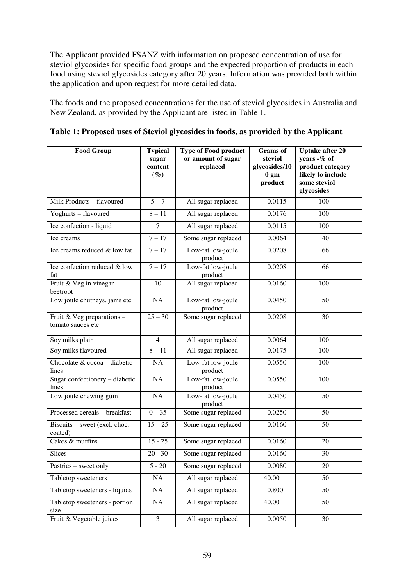The Applicant provided FSANZ with information on proposed concentration of use for steviol glycosides for specific food groups and the expected proportion of products in each food using steviol glycosides category after 20 years. Information was provided both within the application and upon request for more detailed data.

The foods and the proposed concentrations for the use of steviol glycosides in Australia and New Zealand, as provided by the Applicant are listed in Table 1.

| <b>Food Group</b>                               | <b>Typical</b><br>sugar<br>content<br>$(\%)$ | <b>Type of Food product</b><br>or amount of sugar<br>replaced | <b>Grams</b> of<br>steviol<br>glycosides/10<br>0 <sub>gm</sub><br>product | <b>Uptake after 20</b><br>years $-$ % of<br>product category<br>likely to include<br>some steviol<br>glycosides |
|-------------------------------------------------|----------------------------------------------|---------------------------------------------------------------|---------------------------------------------------------------------------|-----------------------------------------------------------------------------------------------------------------|
| Milk Products - flavoured                       | $5 - 7$                                      | All sugar replaced                                            | 0.0115                                                                    | 100                                                                                                             |
| Yoghurts - flavoured                            | $8 - 11$                                     | All sugar replaced                                            | 0.0176                                                                    | 100                                                                                                             |
| Ice confection - liquid                         | $\overline{7}$                               | All sugar replaced                                            | 0.0115                                                                    | 100                                                                                                             |
| Ice creams                                      | $7 - 17$                                     | Some sugar replaced                                           | 0.0064                                                                    | 40                                                                                                              |
| Ice creams reduced & low fat                    | $7 - 17$                                     | Low-fat low-joule<br>product                                  | 0.0208                                                                    | 66                                                                                                              |
| Ice confection reduced & low<br>fat             | $7 - 17$                                     | Low-fat low-joule<br>product                                  | 0.0208                                                                    | 66                                                                                                              |
| Fruit & Veg in vinegar -<br>beetroot            | 10                                           | All sugar replaced                                            | 0.0160                                                                    | 100                                                                                                             |
| Low joule chutneys, jams etc                    | NA                                           | Low-fat low-joule<br>product                                  | 0.0450                                                                    | 50                                                                                                              |
| Fruit & Veg preparations -<br>tomato sauces etc | $25 - 30$                                    | Some sugar replaced                                           | 0.0208                                                                    | 30                                                                                                              |
| Soy milks plain                                 | $\overline{4}$                               | All sugar replaced                                            | 0.0064                                                                    | 100                                                                                                             |
| Soy milks flavoured                             | $8 - 11$                                     | All sugar replaced                                            | 0.0175                                                                    | 100                                                                                                             |
| Chocolate & cocoa - diabetic<br>lines           | NA                                           | Low-fat low-joule<br>product                                  | 0.0550                                                                    | 100                                                                                                             |
| Sugar confectionery - diabetic<br>lines         | NA                                           | Low-fat low-joule<br>product                                  | 0.0550                                                                    | 100                                                                                                             |
| Low joule chewing gum                           | NA                                           | Low-fat low-joule<br>product                                  | 0.0450                                                                    | 50                                                                                                              |
| Processed cereals - breakfast                   | $0 - 35$                                     | Some sugar replaced                                           | 0.0250                                                                    | 50                                                                                                              |
| Biscuits - sweet (excl. choc.<br>coated)        | $15 - 25$                                    | Some sugar replaced                                           | 0.0160                                                                    | 50                                                                                                              |
| Cakes & muffins                                 | $15 - 25$                                    | Some sugar replaced                                           | 0.0160                                                                    | 20                                                                                                              |
| Slices                                          | $20 - 30$                                    | Some sugar replaced                                           | 0.0160                                                                    | 30                                                                                                              |
| Pastries - sweet only                           | $5 - 20$                                     | Some sugar replaced                                           | 0.0080                                                                    | 20                                                                                                              |
| Tabletop sweeteners                             | NA                                           | All sugar replaced                                            | 40.00                                                                     | 50                                                                                                              |
| Tabletop sweeteners - liquids                   | $\rm NA$                                     | All sugar replaced                                            | 0.800                                                                     | 50                                                                                                              |
| Tabletop sweeteners - portion<br>size           | $\rm NA$                                     | All sugar replaced                                            | 40.00                                                                     | 50                                                                                                              |
| Fruit & Vegetable juices                        | $\overline{\mathbf{3}}$                      | All sugar replaced                                            | 0.0050                                                                    | 30                                                                                                              |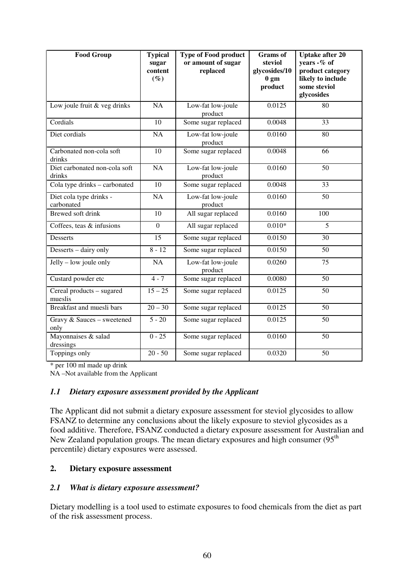| <b>Food Group</b>                       | <b>Typical</b><br>sugar<br>content<br>$(\%)$ | <b>Type of Food product</b><br>or amount of sugar<br>replaced | <b>Grams</b> of<br>steviol<br>glycosides/10<br>0 <sub>gm</sub><br>product | Uptake after 20<br>years -% of<br>product category<br>likely to include<br>some steviol<br>glycosides |
|-----------------------------------------|----------------------------------------------|---------------------------------------------------------------|---------------------------------------------------------------------------|-------------------------------------------------------------------------------------------------------|
| Low joule fruit & veg drinks            | <b>NA</b>                                    | Low-fat low-joule<br>product                                  | 0.0125                                                                    | 80                                                                                                    |
| Cordials                                | 10                                           | Some sugar replaced                                           | 0.0048                                                                    | 33                                                                                                    |
| Diet cordials                           | <b>NA</b>                                    | Low-fat low-joule<br>product                                  | $\overline{0.0160}$                                                       | 80                                                                                                    |
| Carbonated non-cola soft<br>drinks      | 10                                           | Some sugar replaced                                           | 0.0048                                                                    | 66                                                                                                    |
| Diet carbonated non-cola soft<br>drinks | $\overline{NA}$                              | Low-fat low-joule<br>product                                  | 0.0160                                                                    | 50                                                                                                    |
| Cola type drinks - carbonated           | 10                                           | Some sugar replaced                                           | 0.0048                                                                    | 33                                                                                                    |
| Diet cola type drinks -<br>carbonated   | NA                                           | Low-fat low-joule<br>product                                  | 0.0160                                                                    | 50                                                                                                    |
| Brewed soft drink                       | 10                                           | All sugar replaced                                            | 0.0160                                                                    | 100                                                                                                   |
| Coffees, teas & infusions               | $\mathbf{0}$                                 | All sugar replaced                                            | $0.010*$                                                                  | 5                                                                                                     |
| Desserts                                | 15                                           | Some sugar replaced                                           | 0.0150                                                                    | 30                                                                                                    |
| Desserts - dairy only                   | $8 - 12$                                     | Some sugar replaced                                           | 0.0150                                                                    | 50                                                                                                    |
| $Jelly - low$ joule only                | <b>NA</b>                                    | Low-fat low-joule<br>product                                  | 0.0260                                                                    | 75                                                                                                    |
| Custard powder etc                      | $4 - 7$                                      | Some sugar replaced                                           | 0.0080                                                                    | 50                                                                                                    |
| Cereal products - sugared<br>mueslis    | $15 - 25$                                    | Some sugar replaced                                           | 0.0125                                                                    | 50                                                                                                    |
| Breakfast and muesli bars               | $20 - 30$                                    | Some sugar replaced                                           | 0.0125                                                                    | 50                                                                                                    |
| Gravy & Sauces - sweetened<br>only      | $5 - 20$                                     | Some sugar replaced                                           | 0.0125                                                                    | 50                                                                                                    |
| Mayonnaises & salad<br>dressings        | $0 - 25$                                     | Some sugar replaced                                           | 0.0160                                                                    | 50                                                                                                    |
| Toppings only                           | $20 - 50$                                    | Some sugar replaced                                           | 0.0320                                                                    | 50                                                                                                    |

\* per 100 ml made up drink

NA –Not available from the Applicant

#### *1.1 Dietary exposure assessment provided by the Applicant*

The Applicant did not submit a dietary exposure assessment for steviol glycosides to allow FSANZ to determine any conclusions about the likely exposure to steviol glycosides as a food additive. Therefore, FSANZ conducted a dietary exposure assessment for Australian and New Zealand population groups. The mean dietary exposures and high consumer (95<sup>th</sup>) percentile) dietary exposures were assessed.

# **2. Dietary exposure assessment**

#### *2.1 What is dietary exposure assessment?*

Dietary modelling is a tool used to estimate exposures to food chemicals from the diet as part of the risk assessment process.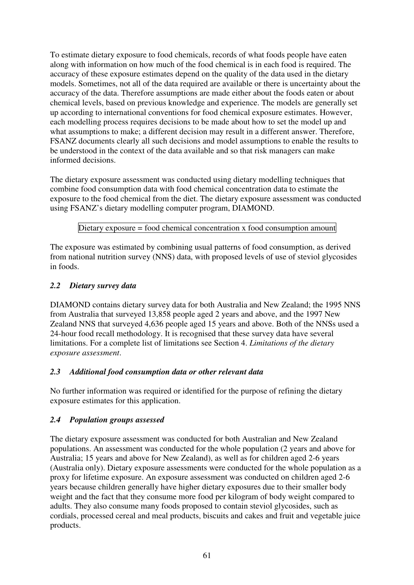To estimate dietary exposure to food chemicals, records of what foods people have eaten along with information on how much of the food chemical is in each food is required. The accuracy of these exposure estimates depend on the quality of the data used in the dietary models. Sometimes, not all of the data required are available or there is uncertainty about the accuracy of the data. Therefore assumptions are made either about the foods eaten or about chemical levels, based on previous knowledge and experience. The models are generally set up according to international conventions for food chemical exposure estimates. However, each modelling process requires decisions to be made about how to set the model up and what assumptions to make; a different decision may result in a different answer. Therefore, FSANZ documents clearly all such decisions and model assumptions to enable the results to be understood in the context of the data available and so that risk managers can make informed decisions.

The dietary exposure assessment was conducted using dietary modelling techniques that combine food consumption data with food chemical concentration data to estimate the exposure to the food chemical from the diet. The dietary exposure assessment was conducted using FSANZ's dietary modelling computer program, DIAMOND.

# Dietary exposure = food chemical concentration x food consumption amount

The exposure was estimated by combining usual patterns of food consumption, as derived from national nutrition survey (NNS) data, with proposed levels of use of steviol glycosides in foods.

#### *2.2 Dietary survey data*

DIAMOND contains dietary survey data for both Australia and New Zealand; the 1995 NNS from Australia that surveyed 13,858 people aged 2 years and above, and the 1997 New Zealand NNS that surveyed 4,636 people aged 15 years and above. Both of the NNSs used a 24-hour food recall methodology. It is recognised that these survey data have several limitations. For a complete list of limitations see Section 4. *Limitations of the dietary exposure assessment*.

# *2.3 Additional food consumption data or other relevant data*

No further information was required or identified for the purpose of refining the dietary exposure estimates for this application.

# *2.4 Population groups assessed*

The dietary exposure assessment was conducted for both Australian and New Zealand populations. An assessment was conducted for the whole population (2 years and above for Australia; 15 years and above for New Zealand), as well as for children aged 2-6 years (Australia only). Dietary exposure assessments were conducted for the whole population as a proxy for lifetime exposure. An exposure assessment was conducted on children aged 2-6 years because children generally have higher dietary exposures due to their smaller body weight and the fact that they consume more food per kilogram of body weight compared to adults. They also consume many foods proposed to contain steviol glycosides, such as cordials, processed cereal and meal products, biscuits and cakes and fruit and vegetable juice products.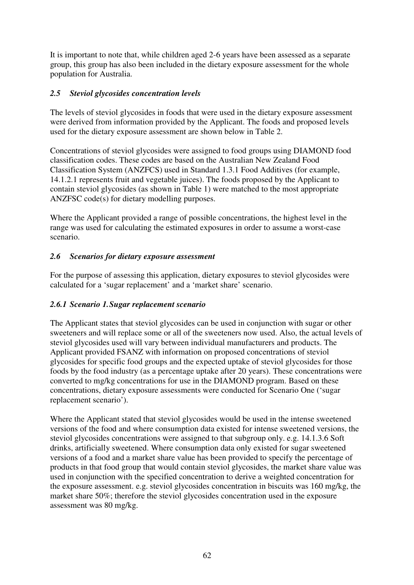It is important to note that, while children aged 2-6 years have been assessed as a separate group, this group has also been included in the dietary exposure assessment for the whole population for Australia.

# *2.5 Steviol glycosides concentration levels*

The levels of steviol glycosides in foods that were used in the dietary exposure assessment were derived from information provided by the Applicant. The foods and proposed levels used for the dietary exposure assessment are shown below in Table 2.

Concentrations of steviol glycosides were assigned to food groups using DIAMOND food classification codes. These codes are based on the Australian New Zealand Food Classification System (ANZFCS) used in Standard 1.3.1 Food Additives (for example, 14.1.2.1 represents fruit and vegetable juices). The foods proposed by the Applicant to contain steviol glycosides (as shown in Table 1) were matched to the most appropriate ANZFSC code(s) for dietary modelling purposes.

Where the Applicant provided a range of possible concentrations, the highest level in the range was used for calculating the estimated exposures in order to assume a worst-case scenario.

# *2.6 Scenarios for dietary exposure assessment*

For the purpose of assessing this application, dietary exposures to steviol glycosides were calculated for a 'sugar replacement' and a 'market share' scenario.

# *2.6.1 Scenario 1. Sugar replacement scenario*

The Applicant states that steviol glycosides can be used in conjunction with sugar or other sweeteners and will replace some or all of the sweeteners now used. Also, the actual levels of steviol glycosides used will vary between individual manufacturers and products. The Applicant provided FSANZ with information on proposed concentrations of steviol glycosides for specific food groups and the expected uptake of steviol glycosides for those foods by the food industry (as a percentage uptake after 20 years). These concentrations were converted to mg/kg concentrations for use in the DIAMOND program. Based on these concentrations, dietary exposure assessments were conducted for Scenario One ('sugar replacement scenario').

Where the Applicant stated that steviol glycosides would be used in the intense sweetened versions of the food and where consumption data existed for intense sweetened versions, the steviol glycosides concentrations were assigned to that subgroup only. e.g. 14.1.3.6 Soft drinks, artificially sweetened. Where consumption data only existed for sugar sweetened versions of a food and a market share value has been provided to specify the percentage of products in that food group that would contain steviol glycosides, the market share value was used in conjunction with the specified concentration to derive a weighted concentration for the exposure assessment. e.g. steviol glycosides concentration in biscuits was 160 mg/kg, the market share 50%; therefore the steviol glycosides concentration used in the exposure assessment was 80 mg/kg.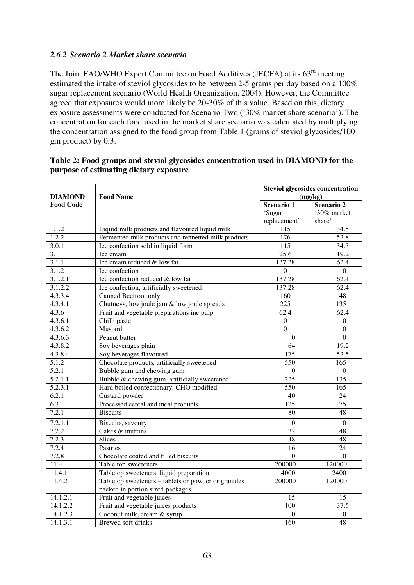## *2.6.2 Scenario 2. Market share scenario*

The Joint FAO/WHO Expert Committee on Food Additives (JECFA) at its 63<sup>rd</sup> meeting estimated the intake of steviol glycosides to be between 2-5 grams per day based on a 100% sugar replacement scenario (World Health Organization, 2004). However, the Committee agreed that exposures would more likely be 20-30% of this value. Based on this, dietary exposure assessments were conducted for Scenario Two ('30% market share scenario'). The concentration for each food used in the market share scenario was calculated by multiplying the concentration assigned to the food group from Table 1 (grams of steviol glycosides/100 gm product) by 0.3.

| <b>DIAMOND</b>   | <b>Food Name</b>                                    | <b>Steviol glycosides concentration</b><br>(mg/kg) |                  |  |
|------------------|-----------------------------------------------------|----------------------------------------------------|------------------|--|
| <b>Food Code</b> |                                                     | Scenario 1                                         | Scenario 2       |  |
|                  |                                                     | 'Sugar                                             | '30% market      |  |
|                  |                                                     | replacement'                                       | share'           |  |
| 1.1.2            | Liquid milk products and flavoured liquid milk      | 115                                                | 34.5             |  |
| 1.2.2            | Fermented milk products and rennetted milk products | 176                                                | 52.8             |  |
| 3.0.1            | Ice confection sold in liquid form                  | 115                                                | 34.5             |  |
| 3.1              | Ice cream                                           | 25.6                                               | 19.2             |  |
| 3.1.1            | Ice cream reduced & low fat                         | 137.28                                             | 62.4             |  |
| 3.1.2            | Ice confection                                      | $\boldsymbol{0}$                                   | $\boldsymbol{0}$ |  |
| 3.1.2.1          | Ice confection reduced & low fat                    | 137.28                                             | 62.4             |  |
| 3.1.2.2          | Ice confection, artificially sweetened              | 137.28                                             | 62.4             |  |
| 4.3.3.4          | Canned Beetroot only                                | 160                                                | 48               |  |
| 4.3.4.1          | Chutneys, low joule jam & low joule spreads         | 225                                                | 135              |  |
| 4.3.6            | Fruit and vegetable preparations inc pulp           | 62.4                                               | 62.4             |  |
| 4.3.6.1          | Chilli paste                                        | $\boldsymbol{0}$                                   | $\boldsymbol{0}$ |  |
| 4.3.6.2          | Mustard                                             | $\overline{0}$                                     | $\boldsymbol{0}$ |  |
| 4.3.6.3          | Peanut butter                                       | $\Omega$                                           | $\overline{0}$   |  |
| 4.3.8.2          | Soy beverages plain                                 | 64                                                 | 19.2             |  |
| 4.3.8.4          | Soy beverages flavoured                             | 175                                                | 52.5             |  |
| 5.1.2            | Chocolate products, artificially sweetened          | 550                                                | 165              |  |
| 5.2.1            | Bubble gum and chewing gum                          | $\boldsymbol{0}$                                   | $\boldsymbol{0}$ |  |
| 5.2.1.1          | Bubble & chewing gum, artificially sweetened        | $\overline{225}$                                   | 135              |  |
| 5.2.3.1          | Hard boiled confectionary, CHO modified             | 550                                                | $\overline{165}$ |  |
| 6.2.1            | Custard powder                                      | 40                                                 | 24               |  |
| 6.3              | Processed cereal and meal products.                 | 125                                                | 75               |  |
| 7.2.1            | <b>Biscuits</b>                                     | 80                                                 | 48               |  |
| 7.2.1.1          | Biscuits, savoury                                   | $\theta$                                           | $\theta$         |  |
| 7.2.2            | Cakes & muffins                                     | 32                                                 | 48               |  |
| 7.2.3            | Slices                                              | $\overline{48}$                                    | $\overline{48}$  |  |
| 7.2.4            | Pastries                                            | 16                                                 | 24               |  |
| 7.2.8            | Chocolate coated and filled biscuits                | $\Omega$                                           | $\overline{0}$   |  |
| 11.4             | Table top sweeteners                                | 200000                                             | 120000           |  |
| 11.4.1           | Tabletop sweeteners, liquid preparation             | 4000                                               | 2400             |  |
| 11.4.2           | Tabletop sweeteners - tablets or powder or granules | 200000                                             | 120000           |  |
|                  | packed in portion sized packages                    |                                                    |                  |  |
| 14.1.2.1         | Fruit and vegetable juices                          | 15                                                 | 15               |  |
| 14.1.2.2         | Fruit and vegetable juices products                 | 100                                                | 37.5             |  |
| 14.1.2.3         | Coconut milk, cream & syrup                         | $\boldsymbol{0}$                                   | $\boldsymbol{0}$ |  |
| 14.1.3.1         | <b>Brewed soft drinks</b>                           | 160                                                | 48               |  |

#### **Table 2: Food groups and steviol glycosides concentration used in DIAMOND for the purpose of estimating dietary exposure**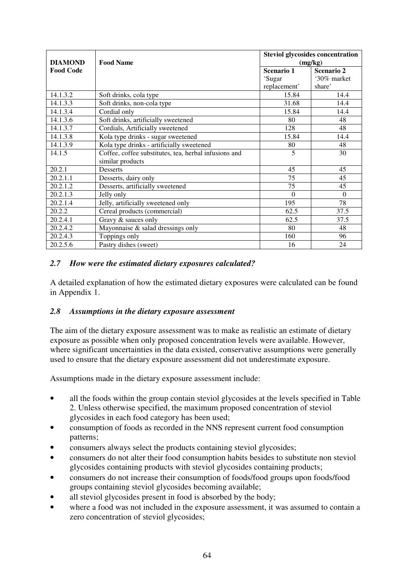|                  |                                                       | <b>Steviol glycosides concentration</b> |             |  |
|------------------|-------------------------------------------------------|-----------------------------------------|-------------|--|
| <b>DIAMOND</b>   | <b>Food Name</b>                                      | (mg/kg)                                 |             |  |
| <b>Food Code</b> |                                                       | Scenario 1                              | Scenario 2  |  |
|                  |                                                       | 'Sugar                                  | '30% market |  |
|                  |                                                       | replacement'                            | share'      |  |
| 14.1.3.2         | Soft drinks, cola type                                | 15.84                                   | 14.4        |  |
| 14.1.3.3         | Soft drinks, non-cola type                            | 31.68                                   | 14.4        |  |
| 14.1.3.4         | Cordial only                                          | 15.84                                   | 14.4        |  |
| 14.1.3.6         | Soft drinks, artificially sweetened                   | 80                                      | 48          |  |
| 14.1.3.7         | Cordials, Artificially sweetened                      | 128                                     | 48          |  |
| 14.1.3.8         | Kola type drinks - sugar sweetened                    | 15.84                                   | 14.4        |  |
| 14.1.3.9         | Kola type drinks - artificially sweetened             | 80                                      | 48          |  |
| 14.1.5           | Coffee, coffee substitutes, tea, herbal infusions and | 5                                       | 30          |  |
|                  | similar products                                      |                                         |             |  |
| 20.2.1           | <b>Desserts</b>                                       | 45                                      | 45          |  |
| 20.2.1.1         | Desserts, dairy only                                  | 75                                      | 45          |  |
| 20.2.1.2         | Desserts, artificially sweetened                      | 75                                      | 45          |  |
| 20.2.1.3         | Jelly only                                            | $\Omega$                                | $\Omega$    |  |
| 20.2.1.4         | Jelly, artificially sweetened only                    | 195                                     | 78          |  |
| 20.2.2           | Cereal products (commercial)                          | 62.5                                    | 37.5        |  |
| 20.2.4.1         | Gravy & sauces only                                   | 62.5                                    | 37.5        |  |
| 20.2.4.2         | Mayonnaise & salad dressings only                     | 80                                      | 48          |  |
| 20.2.4.3         | Toppings only                                         | 160                                     | 96          |  |
| 20.2.5.6         | Pastry dishes (sweet)                                 | 16                                      | 24          |  |

# *2.7 How were the estimated dietary exposures calculated?*

A detailed explanation of how the estimated dietary exposures were calculated can be found in Appendix 1.

# *2.8 Assumptions in the dietary exposure assessment*

The aim of the dietary exposure assessment was to make as realistic an estimate of dietary exposure as possible when only proposed concentration levels were available. However, where significant uncertainties in the data existed, conservative assumptions were generally used to ensure that the dietary exposure assessment did not underestimate exposure.

Assumptions made in the dietary exposure assessment include:

- all the foods within the group contain steviol glycosides at the levels specified in Table 2. Unless otherwise specified, the maximum proposed concentration of steviol glycosides in each food category has been used;
- consumption of foods as recorded in the NNS represent current food consumption patterns;
- consumers always select the products containing steviol glycosides;
- consumers do not alter their food consumption habits besides to substitute non steviol glycosides containing products with steviol glycosides containing products;
- consumers do not increase their consumption of foods/food groups upon foods/food groups containing steviol glycosides becoming available;
- all steviol glycosides present in food is absorbed by the body;
- where a food was not included in the exposure assessment, it was assumed to contain a zero concentration of steviol glycosides;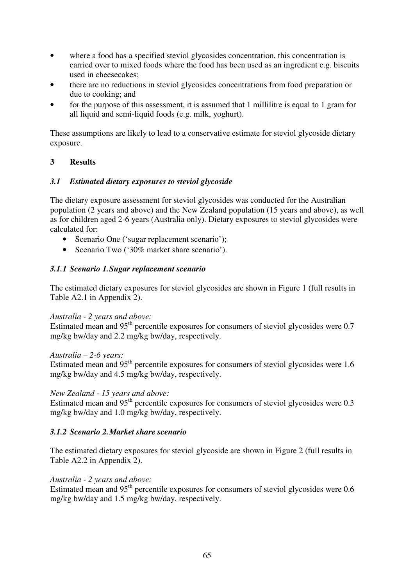- where a food has a specified steviol glycosides concentration, this concentration is carried over to mixed foods where the food has been used as an ingredient e.g. biscuits used in cheesecakes;
- there are no reductions in steviol glycosides concentrations from food preparation or due to cooking; and
- for the purpose of this assessment, it is assumed that 1 millilitre is equal to 1 gram for all liquid and semi-liquid foods (e.g. milk, yoghurt).

These assumptions are likely to lead to a conservative estimate for steviol glycoside dietary exposure.

# **3 Results**

# *3.1 Estimated dietary exposures to steviol glycoside*

The dietary exposure assessment for steviol glycosides was conducted for the Australian population (2 years and above) and the New Zealand population (15 years and above), as well as for children aged 2-6 years (Australia only). Dietary exposures to steviol glycosides were calculated for:

- Scenario One ('sugar replacement scenario');
- Scenario Two ('30% market share scenario').

#### *3.1.1 Scenario 1. Sugar replacement scenario*

The estimated dietary exposures for steviol glycosides are shown in Figure 1 (full results in Table A2.1 in Appendix 2).

#### *Australia - 2 years and above:*

Estimated mean and 95<sup>th</sup> percentile exposures for consumers of steviol glycosides were 0.7 mg/kg bw/day and 2.2 mg/kg bw/day, respectively.

#### *Australia – 2-6 years:*

Estimated mean and 95<sup>th</sup> percentile exposures for consumers of steviol glycosides were 1.6 mg/kg bw/day and 4.5 mg/kg bw/day, respectively.

#### *New Zealand - 15 years and above:*

Estimated mean and  $95<sup>th</sup>$  percentile exposures for consumers of steviol glycosides were 0.3 mg/kg bw/day and 1.0 mg/kg bw/day, respectively.

#### *3.1.2 Scenario 2. Market share scenario*

The estimated dietary exposures for steviol glycoside are shown in Figure 2 (full results in Table A2.2 in Appendix 2).

#### *Australia - 2 years and above:*

Estimated mean and  $95<sup>th</sup>$  percentile exposures for consumers of steviol glycosides were 0.6 mg/kg bw/day and 1.5 mg/kg bw/day, respectively.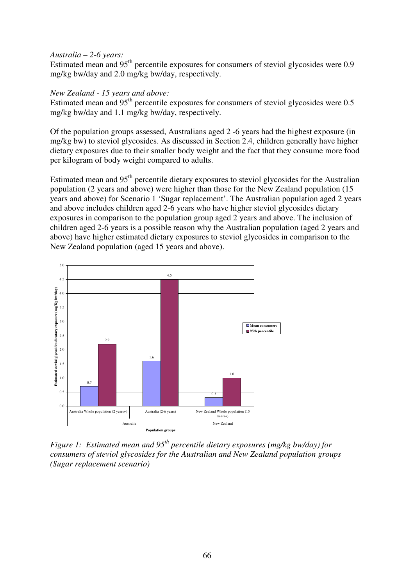#### *Australia – 2-6 years:*

Estimated mean and  $95<sup>th</sup>$  percentile exposures for consumers of steviol glycosides were 0.9 mg/kg bw/day and 2.0 mg/kg bw/day, respectively.

#### *New Zealand - 15 years and above:*

Estimated mean and  $95<sup>th</sup>$  percentile exposures for consumers of steviol glycosides were 0.5 mg/kg bw/day and 1.1 mg/kg bw/day, respectively.

Of the population groups assessed, Australians aged 2 -6 years had the highest exposure (in mg/kg bw) to steviol glycosides. As discussed in Section 2.4, children generally have higher dietary exposures due to their smaller body weight and the fact that they consume more food per kilogram of body weight compared to adults.

Estimated mean and 95<sup>th</sup> percentile dietary exposures to steviol glycosides for the Australian population (2 years and above) were higher than those for the New Zealand population (15 years and above) for Scenario 1 'Sugar replacement'. The Australian population aged 2 years and above includes children aged 2-6 years who have higher steviol glycosides dietary exposures in comparison to the population group aged 2 years and above. The inclusion of children aged 2-6 years is a possible reason why the Australian population (aged 2 years and above) have higher estimated dietary exposures to steviol glycosides in comparison to the New Zealand population (aged 15 years and above).



*Figure 1: Estimated mean and 95th percentile dietary exposures (mg/kg bw/day) for consumers of steviol glycosides for the Australian and New Zealand population groups (Sugar replacement scenario)*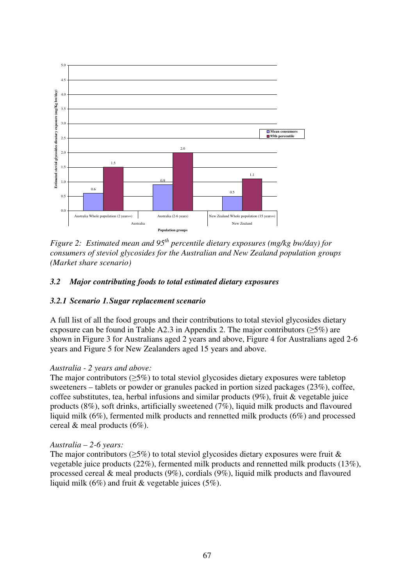

*Figure 2: Estimated mean and 95th percentile dietary exposures (mg/kg bw/day) for consumers of steviol glycosides for the Australian and New Zealand population groups (Market share scenario)* 

# *3.2 Major contributing foods to total estimated dietary exposures*

# *3.2.1 Scenario 1. Sugar replacement scenario*

A full list of all the food groups and their contributions to total steviol glycosides dietary exposure can be found in Table A2.3 in Appendix 2. The major contributors ( $\geq$ 5%) are shown in Figure 3 for Australians aged 2 years and above, Figure 4 for Australians aged 2-6 years and Figure 5 for New Zealanders aged 15 years and above.

# *Australia - 2 years and above:*

The major contributors ( $>5\%$ ) to total steviol glycosides dietary exposures were tabletop sweeteners – tablets or powder or granules packed in portion sized packages (23%), coffee, coffee substitutes, tea, herbal infusions and similar products (9%), fruit & vegetable juice products (8%), soft drinks, artificially sweetened (7%), liquid milk products and flavoured liquid milk (6%), fermented milk products and rennetted milk products (6%) and processed cereal & meal products (6%).

# *Australia – 2-6 years:*

The major contributors ( $>5\%$ ) to total steviol glycosides dietary exposures were fruit & vegetable juice products (22%), fermented milk products and rennetted milk products (13%), processed cereal & meal products (9%), cordials (9%), liquid milk products and flavoured liquid milk (6%) and fruit & vegetable juices (5%).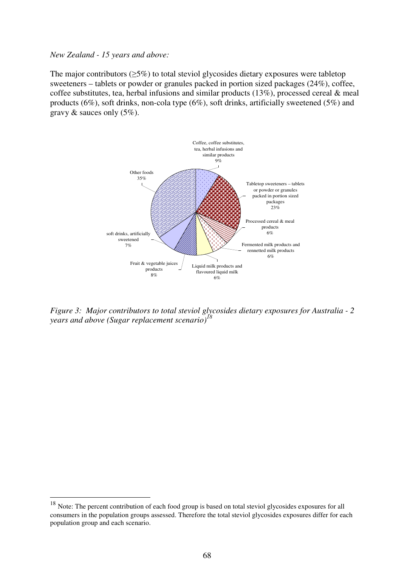#### *New Zealand - 15 years and above:*

 $\overline{a}$ 

The major contributors  $(\geq 5\%)$  to total steviol glycosides dietary exposures were tabletop sweeteners – tablets or powder or granules packed in portion sized packages (24%), coffee, coffee substitutes, tea, herbal infusions and similar products (13%), processed cereal & meal products (6%), soft drinks, non-cola type (6%), soft drinks, artificially sweetened (5%) and gravy  $\&$  sauces only  $(5\%)$ .



*Figure 3: Major contributors to total steviol glycosides dietary exposures for Australia - 2 years and above (Sugar replacement scenario)<sup>18</sup>*

<sup>&</sup>lt;sup>18</sup> Note: The percent contribution of each food group is based on total steviol glycosides exposures for all consumers in the population groups assessed. Therefore the total steviol glycosides exposures differ for each population group and each scenario.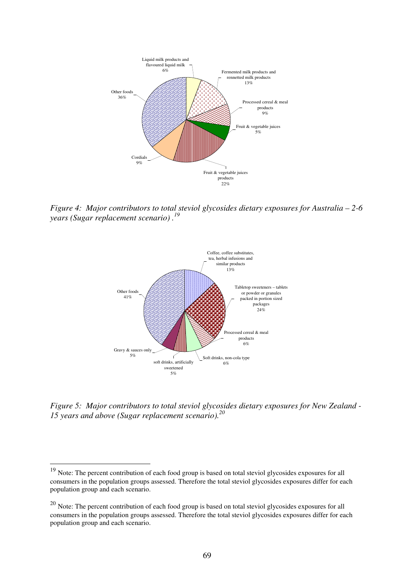

*Figure 4: Major contributors to total steviol glycosides dietary exposures for Australia – 2-6 years (Sugar replacement scenario) .<sup>19</sup>*



*Figure 5: Major contributors to total steviol glycosides dietary exposures for New Zealand - 15 years and above (Sugar replacement scenario).<sup>20</sup>*

 $\overline{\phantom{a}}$ 

<sup>&</sup>lt;sup>19</sup> Note: The percent contribution of each food group is based on total steviol glycosides exposures for all consumers in the population groups assessed. Therefore the total steviol glycosides exposures differ for each population group and each scenario.

 $20$  Note: The percent contribution of each food group is based on total steviol glycosides exposures for all consumers in the population groups assessed. Therefore the total steviol glycosides exposures differ for each population group and each scenario.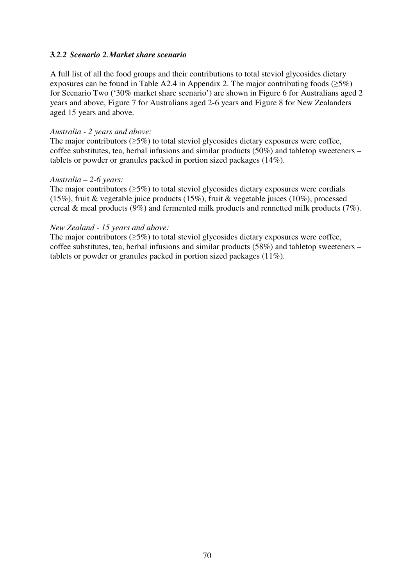#### **3***.2.2 Scenario 2. Market share scenario*

A full list of all the food groups and their contributions to total steviol glycosides dietary exposures can be found in Table A2.4 in Appendix 2. The major contributing foods ( $\geq 5\%$ ) for Scenario Two ('30% market share scenario') are shown in Figure 6 for Australians aged 2 years and above, Figure 7 for Australians aged 2-6 years and Figure 8 for New Zealanders aged 15 years and above.

#### *Australia - 2 years and above:*

The major contributors ( $>5\%$ ) to total steviol glycosides dietary exposures were coffee, coffee substitutes, tea, herbal infusions and similar products (50%) and tabletop sweeteners – tablets or powder or granules packed in portion sized packages (14%).

#### *Australia – 2-6 years:*

The major contributors  $(\geq 5\%)$  to total steviol glycosides dietary exposures were cordials (15%), fruit & vegetable juice products (15%), fruit & vegetable juices (10%), processed cereal & meal products (9%) and fermented milk products and rennetted milk products (7%).

#### *New Zealand - 15 years and above:*

The major contributors ( $\geq$ 5%) to total steviol glycosides dietary exposures were coffee, coffee substitutes, tea, herbal infusions and similar products (58%) and tabletop sweeteners – tablets or powder or granules packed in portion sized packages (11%).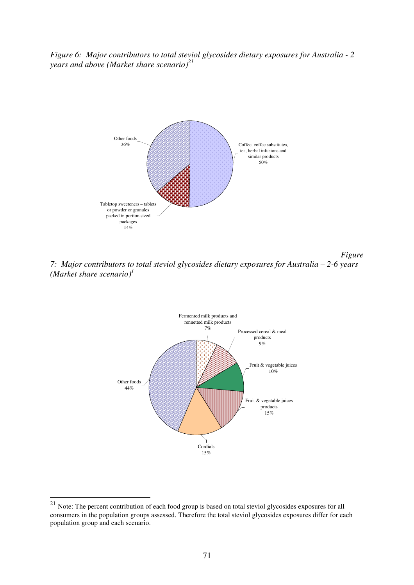*Figure 6: Major contributors to total steviol glycosides dietary exposures for Australia - 2 years and above (Market share scenario)<sup>21</sup>*



*Figure 7: Major contributors to total steviol glycosides dietary exposures for Australia – 2-6 years (Market share scenario)<sup>1</sup>*



 $\overline{a}$ 

 $21$  Note: The percent contribution of each food group is based on total steviol glycosides exposures for all consumers in the population groups assessed. Therefore the total steviol glycosides exposures differ for each population group and each scenario.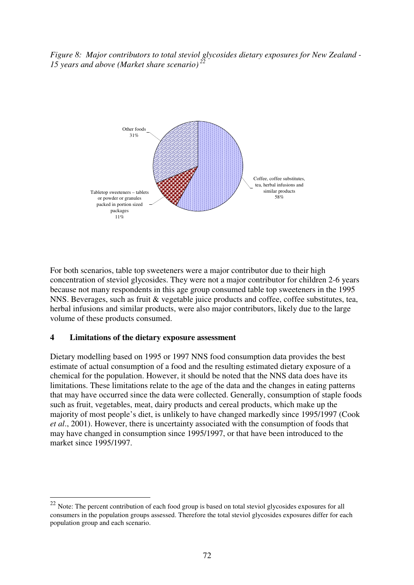*Figure 8: Major contributors to total steviol glycosides dietary exposures for New Zealand - 15 years and above (Market share scenario)<sup>22</sup>*



For both scenarios, table top sweeteners were a major contributor due to their high concentration of steviol glycosides. They were not a major contributor for children 2-6 years because not many respondents in this age group consumed table top sweeteners in the 1995 NNS. Beverages, such as fruit & vegetable juice products and coffee, coffee substitutes, tea, herbal infusions and similar products, were also major contributors, likely due to the large volume of these products consumed.

#### **4 Limitations of the dietary exposure assessment**

 $\overline{a}$ 

Dietary modelling based on 1995 or 1997 NNS food consumption data provides the best estimate of actual consumption of a food and the resulting estimated dietary exposure of a chemical for the population. However, it should be noted that the NNS data does have its limitations. These limitations relate to the age of the data and the changes in eating patterns that may have occurred since the data were collected. Generally, consumption of staple foods such as fruit, vegetables, meat, dairy products and cereal products, which make up the majority of most people's diet, is unlikely to have changed markedly since 1995/1997 (Cook *et al*., 2001). However, there is uncertainty associated with the consumption of foods that may have changed in consumption since 1995/1997, or that have been introduced to the market since 1995/1997.

 $22$  Note: The percent contribution of each food group is based on total steviol glycosides exposures for all consumers in the population groups assessed. Therefore the total steviol glycosides exposures differ for each population group and each scenario.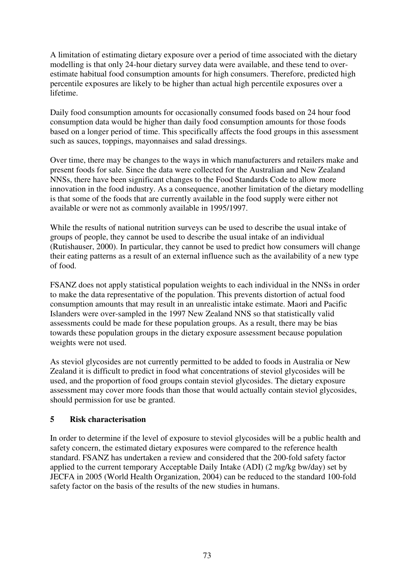A limitation of estimating dietary exposure over a period of time associated with the dietary modelling is that only 24-hour dietary survey data were available, and these tend to overestimate habitual food consumption amounts for high consumers. Therefore, predicted high percentile exposures are likely to be higher than actual high percentile exposures over a lifetime.

Daily food consumption amounts for occasionally consumed foods based on 24 hour food consumption data would be higher than daily food consumption amounts for those foods based on a longer period of time. This specifically affects the food groups in this assessment such as sauces, toppings, mayonnaises and salad dressings.

Over time, there may be changes to the ways in which manufacturers and retailers make and present foods for sale. Since the data were collected for the Australian and New Zealand NNSs, there have been significant changes to the Food Standards Code to allow more innovation in the food industry. As a consequence, another limitation of the dietary modelling is that some of the foods that are currently available in the food supply were either not available or were not as commonly available in 1995/1997.

While the results of national nutrition surveys can be used to describe the usual intake of groups of people, they cannot be used to describe the usual intake of an individual (Rutishauser, 2000). In particular, they cannot be used to predict how consumers will change their eating patterns as a result of an external influence such as the availability of a new type of food.

FSANZ does not apply statistical population weights to each individual in the NNSs in order to make the data representative of the population. This prevents distortion of actual food consumption amounts that may result in an unrealistic intake estimate. Maori and Pacific Islanders were over-sampled in the 1997 New Zealand NNS so that statistically valid assessments could be made for these population groups. As a result, there may be bias towards these population groups in the dietary exposure assessment because population weights were not used.

As steviol glycosides are not currently permitted to be added to foods in Australia or New Zealand it is difficult to predict in food what concentrations of steviol glycosides will be used, and the proportion of food groups contain steviol glycosides. The dietary exposure assessment may cover more foods than those that would actually contain steviol glycosides, should permission for use be granted.

# **5 Risk characterisation**

In order to determine if the level of exposure to steviol glycosides will be a public health and safety concern, the estimated dietary exposures were compared to the reference health standard. FSANZ has undertaken a review and considered that the 200-fold safety factor applied to the current temporary Acceptable Daily Intake (ADI) (2 mg/kg bw/day) set by JECFA in 2005 (World Health Organization, 2004) can be reduced to the standard 100-fold safety factor on the basis of the results of the new studies in humans.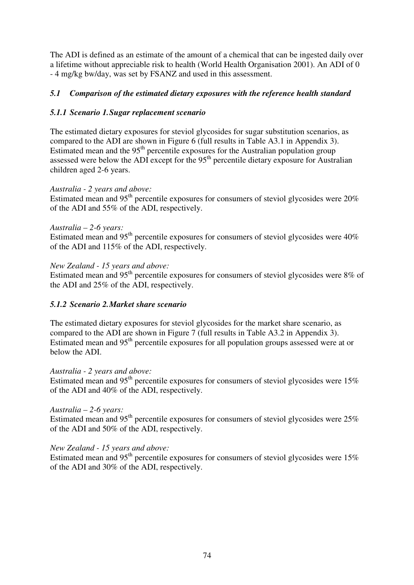The ADI is defined as an estimate of the amount of a chemical that can be ingested daily over a lifetime without appreciable risk to health (World Health Organisation 2001). An ADI of 0 - 4 mg/kg bw/day, was set by FSANZ and used in this assessment.

# *5.1 Comparison of the estimated dietary exposures with the reference health standard*

# *5.1.1 Scenario 1. Sugar replacement scenario*

The estimated dietary exposures for steviol glycosides for sugar substitution scenarios, as compared to the ADI are shown in Figure 6 (full results in Table A3.1 in Appendix 3). Estimated mean and the  $95<sup>th</sup>$  percentile exposures for the Australian population group assessed were below the ADI except for the  $95<sup>th</sup>$  percentile dietary exposure for Australian children aged 2-6 years.

### *Australia - 2 years and above:*

Estimated mean and  $95<sup>th</sup>$  percentile exposures for consumers of steviol glycosides were 20% of the ADI and 55% of the ADI, respectively.

### *Australia – 2-6 years:*

Estimated mean and  $95<sup>th</sup>$  percentile exposures for consumers of steviol glycosides were  $40\%$ of the ADI and 115% of the ADI, respectively.

### *New Zealand - 15 years and above:*

Estimated mean and 95th percentile exposures for consumers of steviol glycosides were 8% of the ADI and 25% of the ADI, respectively.

# *5.1.2 Scenario 2. Market share scenario*

The estimated dietary exposures for steviol glycosides for the market share scenario, as compared to the ADI are shown in Figure 7 (full results in Table A3.2 in Appendix 3). Estimated mean and  $95<sup>th</sup>$  percentile exposures for all population groups assessed were at or below the ADI.

#### *Australia - 2 years and above:*

Estimated mean and  $95<sup>th</sup>$  percentile exposures for consumers of steviol glycosides were 15% of the ADI and 40% of the ADI, respectively.

# *Australia – 2-6 years:*

Estimated mean and 95<sup>th</sup> percentile exposures for consumers of steviol glycosides were  $25\%$ of the ADI and 50% of the ADI, respectively.

#### *New Zealand - 15 years and above:*

Estimated mean and 95<sup>th</sup> percentile exposures for consumers of steviol glycosides were 15% of the ADI and 30% of the ADI, respectively.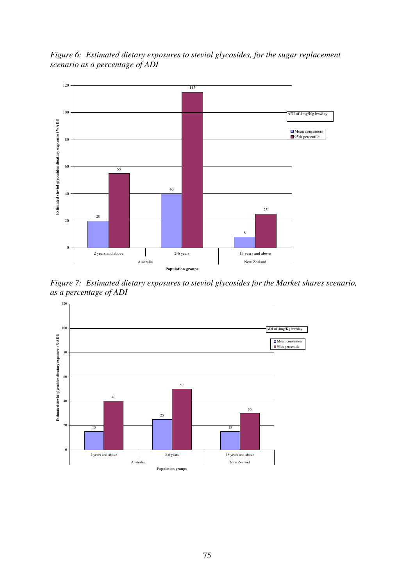*Figure 6: Estimated dietary exposures to steviol glycosides, for the sugar replacement scenario as a percentage of ADI* 



*Figure 7: Estimated dietary exposures to steviol glycosides for the Market shares scenario, as a percentage of ADI* 

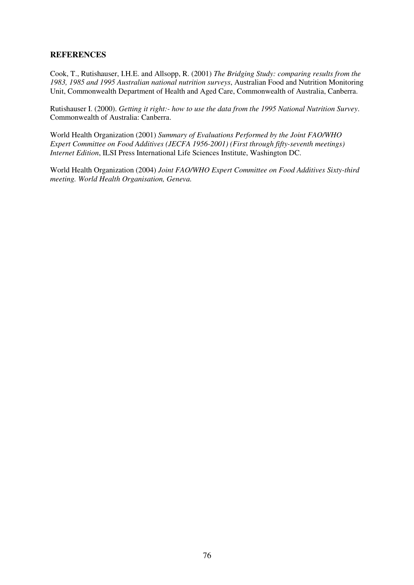### **REFERENCES**

Cook, T., Rutishauser, I.H.E. and Allsopp, R. (2001) *The Bridging Study: comparing results from the 1983, 1985 and 1995 Australian national nutrition surveys*, Australian Food and Nutrition Monitoring Unit, Commonwealth Department of Health and Aged Care, Commonwealth of Australia, Canberra.

Rutishauser I. (2000). *Getting it right:- how to use the data from the 1995 National Nutrition Survey*. Commonwealth of Australia: Canberra.

World Health Organization (2001) *Summary of Evaluations Performed by the Joint FAO/WHO Expert Committee on Food Additives (JECFA 1956-2001) (First through fifty-seventh meetings) Internet Edition*, ILSI Press International Life Sciences Institute, Washington DC.

World Health Organization (2004) *Joint FAO/WHO Expert Committee on Food Additives Sixty-third meeting. World Health Organisation, Geneva.*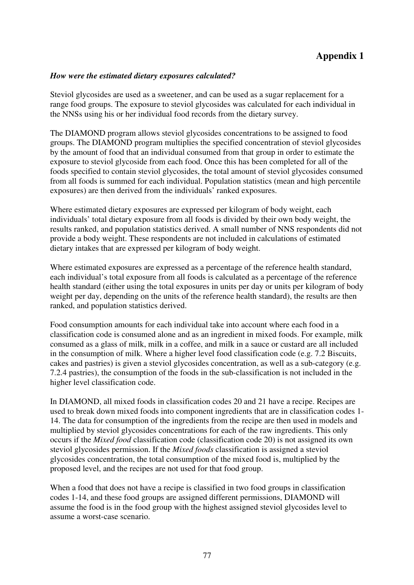# **Appendix 1**

#### *How were the estimated dietary exposures calculated?*

Steviol glycosides are used as a sweetener, and can be used as a sugar replacement for a range food groups. The exposure to steviol glycosides was calculated for each individual in the NNSs using his or her individual food records from the dietary survey.

The DIAMOND program allows steviol glycosides concentrations to be assigned to food groups. The DIAMOND program multiplies the specified concentration of steviol glycosides by the amount of food that an individual consumed from that group in order to estimate the exposure to steviol glycoside from each food. Once this has been completed for all of the foods specified to contain steviol glycosides, the total amount of steviol glycosides consumed from all foods is summed for each individual. Population statistics (mean and high percentile exposures) are then derived from the individuals' ranked exposures.

Where estimated dietary exposures are expressed per kilogram of body weight, each individuals' total dietary exposure from all foods is divided by their own body weight, the results ranked, and population statistics derived. A small number of NNS respondents did not provide a body weight. These respondents are not included in calculations of estimated dietary intakes that are expressed per kilogram of body weight.

Where estimated exposures are expressed as a percentage of the reference health standard, each individual's total exposure from all foods is calculated as a percentage of the reference health standard (either using the total exposures in units per day or units per kilogram of body weight per day, depending on the units of the reference health standard), the results are then ranked, and population statistics derived.

Food consumption amounts for each individual take into account where each food in a classification code is consumed alone and as an ingredient in mixed foods. For example, milk consumed as a glass of milk, milk in a coffee, and milk in a sauce or custard are all included in the consumption of milk. Where a higher level food classification code (e.g. 7.2 Biscuits, cakes and pastries) is given a steviol glycosides concentration, as well as a sub-category (e.g. 7.2.4 pastries), the consumption of the foods in the sub-classification is not included in the higher level classification code.

In DIAMOND, all mixed foods in classification codes 20 and 21 have a recipe. Recipes are used to break down mixed foods into component ingredients that are in classification codes 1- 14. The data for consumption of the ingredients from the recipe are then used in models and multiplied by steviol glycosides concentrations for each of the raw ingredients. This only occurs if the *Mixed food* classification code (classification code 20) is not assigned its own steviol glycosides permission. If the *Mixed foods* classification is assigned a steviol glycosides concentration, the total consumption of the mixed food is, multiplied by the proposed level, and the recipes are not used for that food group.

When a food that does not have a recipe is classified in two food groups in classification codes 1-14, and these food groups are assigned different permissions, DIAMOND will assume the food is in the food group with the highest assigned steviol glycosides level to assume a worst-case scenario.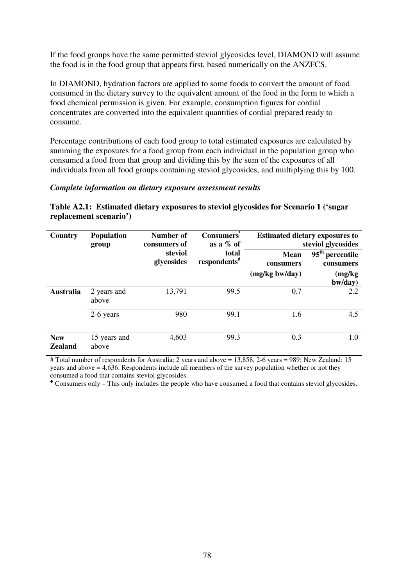If the food groups have the same permitted steviol glycosides level, DIAMOND will assume the food is in the food group that appears first, based numerically on the ANZFCS.

In DIAMOND, hydration factors are applied to some foods to convert the amount of food consumed in the dietary survey to the equivalent amount of the food in the form to which a food chemical permission is given. For example, consumption figures for cordial concentrates are converted into the equivalent quantities of cordial prepared ready to consume.

Percentage contributions of each food group to total estimated exposures are calculated by summing the exposures for a food group from each individual in the population group who consumed a food from that group and dividing this by the sum of the exposures of all individuals from all food groups containing steviol glycosides, and multiplying this by 100.

#### *Complete information on dietary exposure assessment results*

|                        | Table A2.1: Estimated dietary exposures to steviol glycosides for Scenario 1 ('sugar |  |
|------------------------|--------------------------------------------------------------------------------------|--|
| replacement scenario') |                                                                                      |  |

| Country                      | <b>Population</b><br>Number of<br><b>Consumers</b><br>as a $%$ of<br>consumers of<br>group |                       | <b>Estimated dietary exposures to</b><br>steviol glycosides |                          |                                                       |
|------------------------------|--------------------------------------------------------------------------------------------|-----------------------|-------------------------------------------------------------|--------------------------|-------------------------------------------------------|
|                              |                                                                                            | steviol<br>glycosides | total<br>respondents <sup>#</sup>                           | <b>Mean</b><br>consumers | $\overline{95}$ <sup>th</sup> percentile<br>consumers |
|                              |                                                                                            |                       |                                                             | $(mg/kg$ bw/day)         | (mg/kg)<br>bw/day)                                    |
| <b>Australia</b>             | 2 years and<br>above                                                                       | 13,791                | 99.5                                                        | 0.7                      | 2.2                                                   |
|                              | 2-6 years                                                                                  | 980                   | 99.1                                                        | 1.6                      | 4.5                                                   |
| <b>New</b><br><b>Zealand</b> | 15 years and<br>above                                                                      | 4,603                 | 99.3                                                        | 0.3                      | 1.0                                                   |

# Total number of respondents for Australia: 2 years and above = 13,858, 2-6 years = 989; New Zealand: 15 years and above = 4,636. Respondents include all members of the survey population whether or not they consumed a food that contains steviol glycosides.

Consumers only – This only includes the people who have consumed a food that contains steviol glycosides.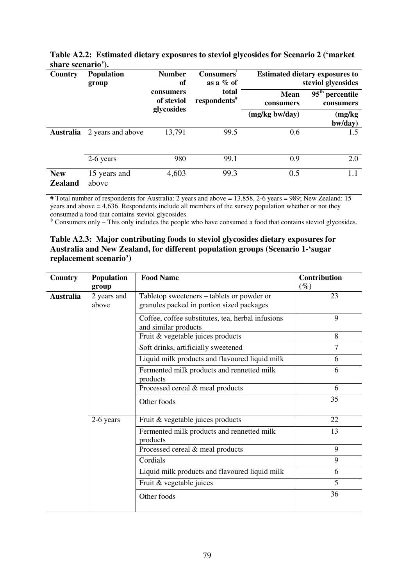| Country                      | <b>Population</b><br><b>Number</b><br>of<br>group<br>consumers<br>of steviol |                                   | <b>Consumers</b><br>as a $\%$ of |                                             | <b>Estimated dietary exposures to</b><br>steviol glycosides |
|------------------------------|------------------------------------------------------------------------------|-----------------------------------|----------------------------------|---------------------------------------------|-------------------------------------------------------------|
|                              |                                                                              | total<br>respondents <sup>#</sup> | <b>Mean</b><br>consumers         | $95^{\text{th}}$<br>percentile<br>consumers |                                                             |
|                              |                                                                              | glycosides                        |                                  | (mg/kg bw/day)                              | (mg/kg)<br>bw/day)                                          |
| <b>Australia</b>             | 2 years and above                                                            | 13,791                            | 99.5                             | 0.6                                         | 1.5                                                         |
|                              | 2-6 years                                                                    | 980                               | 99.1                             | 0.9                                         | 2.0                                                         |
| <b>New</b><br><b>Zealand</b> | 15 years and<br>above                                                        | 4,603                             | 99.3                             | 0.5                                         | $1.1\,$                                                     |

**Table A2.2: Estimated dietary exposures to steviol glycosides for Scenario 2 ('market share scenario').** 

# Total number of respondents for Australia: 2 years and above = 13,858, 2-6 years = 989; New Zealand: 15 years and above = 4,636. Respondents include all members of the survey population whether or not they

consumed a food that contains steviol glycosides. Consumers only – This only includes the people who have consumed a food that contains steviol glycosides.

#### **Table A2.3: Major contributing foods to steviol glycosides dietary exposures for Australia and New Zealand, for different population groups (Scenario 1-'sugar replacement scenario')**

| Country          | Population<br>group  | <b>Food Name</b>                                                                        | Contribution<br>$(\%)$ |
|------------------|----------------------|-----------------------------------------------------------------------------------------|------------------------|
| <b>Australia</b> | 2 years and<br>above | Tabletop sweeteners – tablets or powder or<br>granules packed in portion sized packages | 23                     |
|                  |                      | Coffee, coffee substitutes, tea, herbal infusions<br>and similar products               | 9                      |
|                  |                      | Fruit & vegetable juices products                                                       | 8                      |
|                  |                      | Soft drinks, artificially sweetened                                                     | $\tau$                 |
|                  |                      | Liquid milk products and flavoured liquid milk                                          | 6                      |
|                  |                      | Fermented milk products and rennetted milk<br>products                                  | 6                      |
|                  |                      | Processed cereal & meal products                                                        | 6                      |
|                  |                      | Other foods                                                                             | 35                     |
|                  | 2-6 years            | Fruit & vegetable juices products                                                       | 22                     |
|                  |                      | Fermented milk products and rennetted milk<br>products                                  | 13                     |
|                  |                      | Processed cereal & meal products                                                        | 9                      |
|                  |                      | Cordials                                                                                | 9                      |
|                  |                      | Liquid milk products and flavoured liquid milk                                          | 6                      |
|                  |                      | Fruit & vegetable juices                                                                | 5                      |
|                  |                      | Other foods                                                                             | 36                     |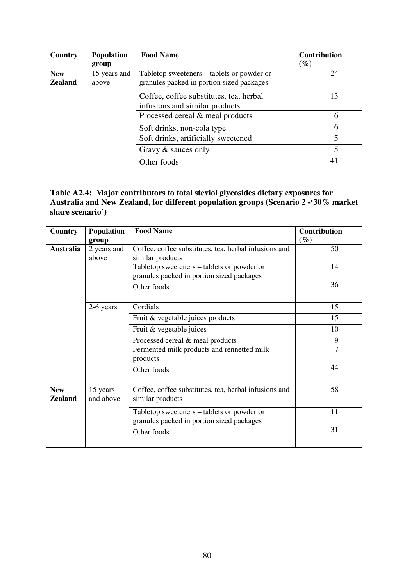| Country                      | <b>Population</b><br>group | <b>Food Name</b>                                                                        | <b>Contribution</b><br>$(\%)$ |
|------------------------------|----------------------------|-----------------------------------------------------------------------------------------|-------------------------------|
| <b>New</b><br><b>Zealand</b> | 15 years and<br>above      | Tabletop sweeteners – tablets or powder or<br>granules packed in portion sized packages | 24                            |
|                              |                            | Coffee, coffee substitutes, tea, herbal<br>infusions and similar products               | 13                            |
|                              |                            | Processed cereal & meal products                                                        | 6                             |
|                              |                            | Soft drinks, non-cola type                                                              | 6                             |
|                              |                            | Soft drinks, artificially sweetened                                                     | 5                             |
|                              |                            | Gravy & sauces only                                                                     | 5                             |
|                              |                            | Other foods                                                                             | 41                            |

# **Table A2.4: Major contributors to total steviol glycosides dietary exposures for Australia and New Zealand, for different population groups (Scenario 2 -'30% market share scenario')**

| Country                      | <b>Population</b>     | <b>Food Name</b>                                                                        | Contribution   |
|------------------------------|-----------------------|-----------------------------------------------------------------------------------------|----------------|
|                              | group                 |                                                                                         | $(\%)$         |
| <b>Australia</b>             | 2 years and           | Coffee, coffee substitutes, tea, herbal infusions and                                   | 50             |
|                              | above                 | similar products                                                                        |                |
|                              |                       | Tabletop sweeteners – tablets or powder or                                              | 14             |
|                              |                       | granules packed in portion sized packages                                               |                |
|                              |                       | Other foods                                                                             | 36             |
|                              |                       |                                                                                         |                |
|                              | 2-6 years             | Cordials                                                                                | 15             |
|                              |                       | Fruit & vegetable juices products                                                       | 15             |
|                              |                       | Fruit & vegetable juices                                                                | 10             |
|                              |                       | Processed cereal & meal products                                                        | 9              |
|                              |                       | Fermented milk products and rennetted milk<br>products                                  | $\overline{7}$ |
|                              |                       | Other foods                                                                             | 44             |
| <b>New</b><br><b>Zealand</b> | 15 years<br>and above | Coffee, coffee substitutes, tea, herbal infusions and<br>similar products               | 58             |
|                              |                       | Tabletop sweeteners – tablets or powder or<br>granules packed in portion sized packages | 11             |
|                              |                       | Other foods                                                                             | 31             |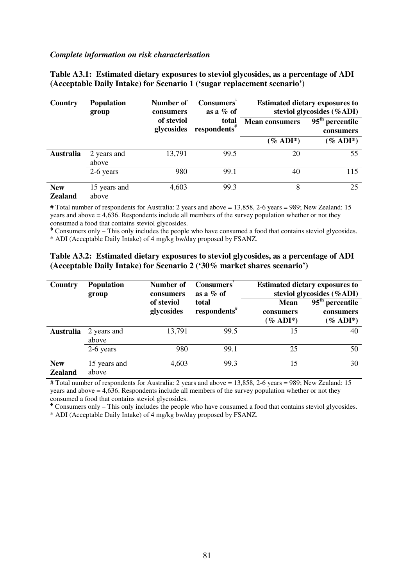#### *Complete information on risk characterisation*

| Country                      | <b>Population</b><br>group | <b>Number of</b><br>consumers | <b>Consumers</b><br>as a $%$ of   |                       | <b>Estimated dietary exposures to</b><br>steviol glycosides (%ADI) |
|------------------------------|----------------------------|-------------------------------|-----------------------------------|-----------------------|--------------------------------------------------------------------|
|                              |                            | of steviol<br>glycosides      | total<br>respondents <sup>#</sup> | <b>Mean consumers</b> | $\overline{95^{th}$ percentile<br>consumers                        |
|                              |                            |                               |                                   | $(\%$ ADI*)           | $\mathscr{C}$ ADI <sup>*</sup> )                                   |
| <b>Australia</b>             | 2 years and<br>above       | 13,791                        | 99.5                              | 20                    | 55                                                                 |
|                              | 2-6 years                  | 980                           | 99.1                              | 40                    | 115                                                                |
| <b>New</b><br><b>Zealand</b> | 15 years and<br>above      | 4,603                         | 99.3                              | 8                     | 25                                                                 |

**Table A3.1: Estimated dietary exposures to steviol glycosides, as a percentage of ADI (Acceptable Daily Intake) for Scenario 1 ('sugar replacement scenario')** 

# Total number of respondents for Australia: 2 years and above = 13,858, 2-6 years = 989; New Zealand: 15 years and above = 4,636. Respondents include all members of the survey population whether or not they consumed a food that contains steviol glycosides.

Consumers only – This only includes the people who have consumed a food that contains steviol glycosides.

\* ADI (Acceptable Daily Intake) of 4 mg/kg bw/day proposed by FSANZ.

|                                                                         |  | Table A3.2: Estimated dietary exposures to steviol glycosides, as a percentage of ADI |  |
|-------------------------------------------------------------------------|--|---------------------------------------------------------------------------------------|--|
| (Acceptable Daily Intake) for Scenario 2 ('30% market shares scenario') |  |                                                                                       |  |

| Country                      | <b>Population</b><br>group | Number of<br>consumers   | <b>Consumers</b><br>as a $%$ of   |                          | <b>Estimated dietary exposures to</b><br>steviol glycosides (%ADI) |
|------------------------------|----------------------------|--------------------------|-----------------------------------|--------------------------|--------------------------------------------------------------------|
|                              |                            | of steviol<br>glycosides | total<br>respondents <sup>#</sup> | <b>Mean</b><br>consumers | $\overline{95}$ <sup>th</sup> percentile<br>consumers              |
|                              |                            |                          |                                   | $(\%$ ADI <sup>*</sup> ) | $(\%$ ADI <sup>*</sup> )                                           |
| <b>Australia</b>             | 2 years and<br>above       | 13,791                   | 99.5                              | 15                       | 40                                                                 |
|                              | 2-6 years                  | 980                      | 99.1                              | 25                       | 50                                                                 |
| <b>New</b><br><b>Zealand</b> | 15 years and<br>above      | 4,603                    | 99.3                              | 15                       | 30                                                                 |

# Total number of respondents for Australia: 2 years and above = 13,858, 2-6 years = 989; New Zealand: 15 years and above = 4,636. Respondents include all members of the survey population whether or not they consumed a food that contains steviol glycosides.

Consumers only – This only includes the people who have consumed a food that contains steviol glycosides.

\* ADI (Acceptable Daily Intake) of 4 mg/kg bw/day proposed by FSANZ.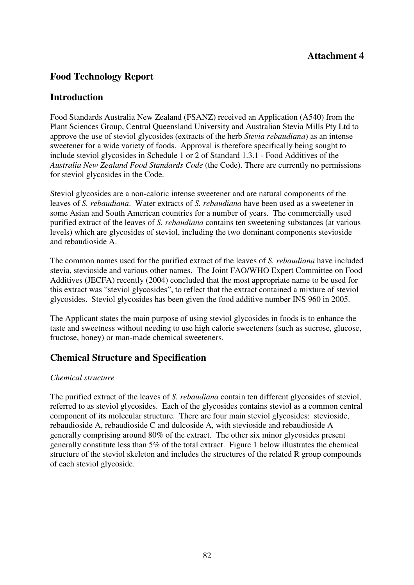# **Food Technology Report**

# **Introduction**

Food Standards Australia New Zealand (FSANZ) received an Application (A540) from the Plant Sciences Group, Central Queensland University and Australian Stevia Mills Pty Ltd to approve the use of steviol glycosides (extracts of the herb *Stevia rebaudiana*) as an intense sweetener for a wide variety of foods. Approval is therefore specifically being sought to include steviol glycosides in Schedule 1 or 2 of Standard 1.3.1 - Food Additives of the *Australia New Zealand Food Standards Code* (the Code). There are currently no permissions for steviol glycosides in the Code.

Steviol glycosides are a non-caloric intense sweetener and are natural components of the leaves of *S. rebaudiana*. Water extracts of *S. rebaudiana* have been used as a sweetener in some Asian and South American countries for a number of years. The commercially used purified extract of the leaves of *S. rebaudiana* contains ten sweetening substances (at various levels) which are glycosides of steviol, including the two dominant components stevioside and rebaudioside A.

The common names used for the purified extract of the leaves of *S. rebaudiana* have included stevia, stevioside and various other names. The Joint FAO/WHO Expert Committee on Food Additives (JECFA) recently (2004) concluded that the most appropriate name to be used for this extract was "steviol glycosides", to reflect that the extract contained a mixture of steviol glycosides. Steviol glycosides has been given the food additive number INS 960 in 2005.

The Applicant states the main purpose of using steviol glycosides in foods is to enhance the taste and sweetness without needing to use high calorie sweeteners (such as sucrose, glucose, fructose, honey) or man-made chemical sweeteners.

# **Chemical Structure and Specification**

# *Chemical structure*

The purified extract of the leaves of *S. rebaudiana* contain ten different glycosides of steviol, referred to as steviol glycosides. Each of the glycosides contains steviol as a common central component of its molecular structure. There are four main steviol glycosides: stevioside, rebaudioside A, rebaudioside C and dulcoside A, with stevioside and rebaudioside A generally comprising around 80% of the extract. The other six minor glycosides present generally constitute less than 5% of the total extract. Figure 1 below illustrates the chemical structure of the steviol skeleton and includes the structures of the related R group compounds of each steviol glycoside.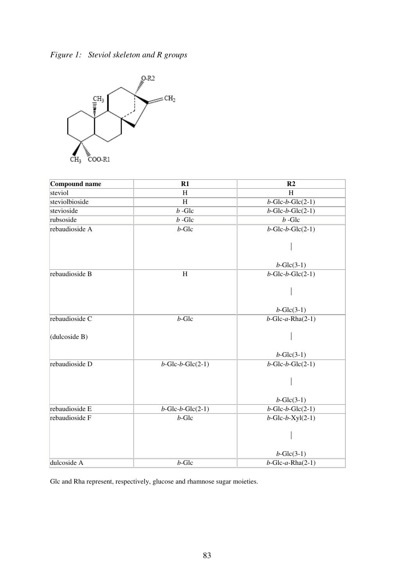



| <b>Compound name</b> | R1                         | R <sub>2</sub>             |
|----------------------|----------------------------|----------------------------|
| steviol              | H                          | H                          |
| steviolbioside       | H                          | $b$ -Glc- $b$ -Glc $(2-1)$ |
| stevioside           | $b - Glc$                  | $b$ -Glc- $b$ -Glc $(2-1)$ |
| rubsoside            | $b$ -Glc                   | $b - Glc$                  |
| rebaudioside A       | $b$ -Glc                   | $b$ -Glc- $b$ -Glc $(2-1)$ |
|                      |                            |                            |
|                      |                            | $b$ -Glc $(3-1)$           |
| rebaudioside B       | $\overline{H}$             | $b$ -Glc- $b$ -Glc $(2-1)$ |
|                      |                            |                            |
|                      |                            | $b$ -Glc $(3-1)$           |
| rebaudioside C       | $b$ -Glc                   | $b$ -Glc-a-Rha $(2-1)$     |
| (dulcoside B)        |                            |                            |
|                      |                            | $b$ -Glc $(3-1)$           |
| rebaudioside D       | $b$ -Glc- $b$ -Glc $(2-1)$ | $b$ -Glc- $b$ -Glc $(2-1)$ |
|                      |                            |                            |
|                      |                            | $b$ -Glc $(3-1)$           |
| rebaudioside E       | $b$ -Glc- $b$ -Glc $(2-1)$ | $b$ -Glc- $b$ -Glc $(2-1)$ |
| rebaudioside F       | $b$ -Glc                   | $b$ -Glc- $b$ -Xyl $(2-1)$ |
|                      |                            |                            |
|                      |                            | $b$ -Glc $(3-1)$           |
| dulcoside A          | $b$ -Glc                   | $b$ -Glc-a-Rha $(2-1)$     |

Glc and Rha represent, respectively, glucose and rhamnose sugar moieties.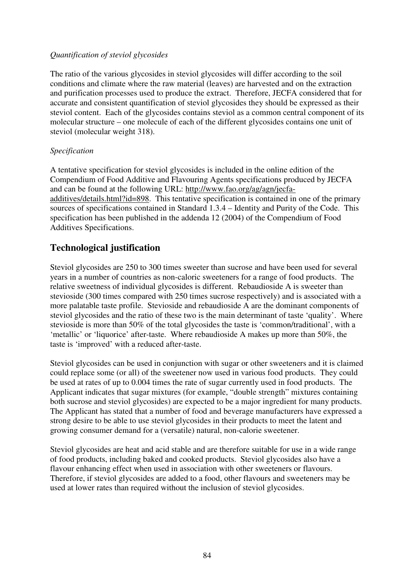# *Quantification of steviol glycosides*

The ratio of the various glycosides in steviol glycosides will differ according to the soil conditions and climate where the raw material (leaves) are harvested and on the extraction and purification processes used to produce the extract. Therefore, JECFA considered that for accurate and consistent quantification of steviol glycosides they should be expressed as their steviol content. Each of the glycosides contains steviol as a common central component of its molecular structure – one molecule of each of the different glycosides contains one unit of steviol (molecular weight 318).

### *Specification*

A tentative specification for steviol glycosides is included in the online edition of the Compendium of Food Additive and Flavouring Agents specifications produced by JECFA and can be found at the following URL: http://www.fao.org/ag/agn/jecfaadditives/details.html?id=898. This tentative specification is contained in one of the primary sources of specifications contained in Standard 1.3.4 – Identity and Purity of the Code. This specification has been published in the addenda 12 (2004) of the Compendium of Food Additives Specifications.

# **Technological justification**

Steviol glycosides are 250 to 300 times sweeter than sucrose and have been used for several years in a number of countries as non-caloric sweeteners for a range of food products. The relative sweetness of individual glycosides is different. Rebaudioside A is sweeter than stevioside (300 times compared with 250 times sucrose respectively) and is associated with a more palatable taste profile. Stevioside and rebaudioside A are the dominant components of steviol glycosides and the ratio of these two is the main determinant of taste 'quality'. Where stevioside is more than 50% of the total glycosides the taste is 'common/traditional', with a 'metallic' or 'liquorice' after-taste. Where rebaudioside A makes up more than 50%, the taste is 'improved' with a reduced after-taste.

Steviol glycosides can be used in conjunction with sugar or other sweeteners and it is claimed could replace some (or all) of the sweetener now used in various food products. They could be used at rates of up to 0.004 times the rate of sugar currently used in food products. The Applicant indicates that sugar mixtures (for example, "double strength" mixtures containing both sucrose and steviol glycosides) are expected to be a major ingredient for many products. The Applicant has stated that a number of food and beverage manufacturers have expressed a strong desire to be able to use steviol glycosides in their products to meet the latent and growing consumer demand for a (versatile) natural, non-calorie sweetener.

Steviol glycosides are heat and acid stable and are therefore suitable for use in a wide range of food products, including baked and cooked products. Steviol glycosides also have a flavour enhancing effect when used in association with other sweeteners or flavours. Therefore, if steviol glycosides are added to a food, other flavours and sweeteners may be used at lower rates than required without the inclusion of steviol glycosides.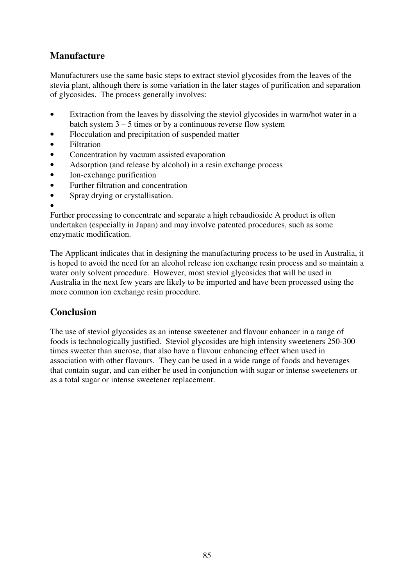# **Manufacture**

Manufacturers use the same basic steps to extract steviol glycosides from the leaves of the stevia plant, although there is some variation in the later stages of purification and separation of glycosides. The process generally involves:

- Extraction from the leaves by dissolving the steviol glycosides in warm/hot water in a batch system  $3 - 5$  times or by a continuous reverse flow system
- Flocculation and precipitation of suspended matter
- Filtration
- Concentration by vacuum assisted evaporation
- Adsorption (and release by alcohol) in a resin exchange process
- Ion-exchange purification
- Further filtration and concentration
- Spray drying or crystallisation.
- •

Further processing to concentrate and separate a high rebaudioside A product is often undertaken (especially in Japan) and may involve patented procedures, such as some enzymatic modification.

The Applicant indicates that in designing the manufacturing process to be used in Australia, it is hoped to avoid the need for an alcohol release ion exchange resin process and so maintain a water only solvent procedure. However, most steviol glycosides that will be used in Australia in the next few years are likely to be imported and have been processed using the more common ion exchange resin procedure.

# **Conclusion**

The use of steviol glycosides as an intense sweetener and flavour enhancer in a range of foods is technologically justified. Steviol glycosides are high intensity sweeteners 250-300 times sweeter than sucrose, that also have a flavour enhancing effect when used in association with other flavours. They can be used in a wide range of foods and beverages that contain sugar, and can either be used in conjunction with sugar or intense sweeteners or as a total sugar or intense sweetener replacement.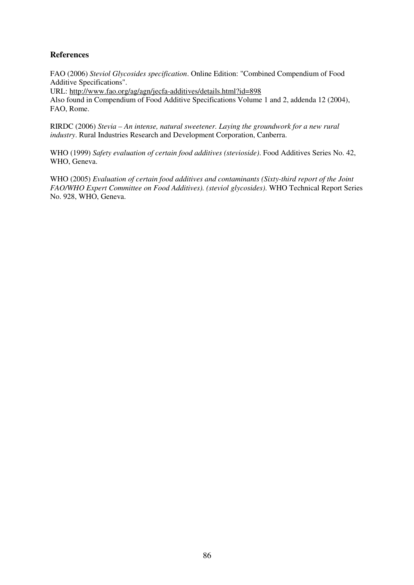### **References**

FAO (2006) *Steviol Glycosides specification*. Online Edition: "Combined Compendium of Food Additive Specifications".

URL: http://www.fao.org/ag/agn/jecfa-additives/details.html?id=898

Also found in Compendium of Food Additive Specifications Volume 1 and 2, addenda 12 (2004), FAO, Rome.

RIRDC (2006) *Stevia – An intense, natural sweetener. Laying the groundwork for a new rural industry*. Rural Industries Research and Development Corporation, Canberra.

WHO (1999) *Safety evaluation of certain food additives (stevioside)*. Food Additives Series No. 42, WHO, Geneva.

WHO (2005) *Evaluation of certain food additives and contaminants (Sixty-third report of the Joint FAO/WHO Expert Committee on Food Additives). (steviol glycosides)*. WHO Technical Report Series No. 928, WHO, Geneva.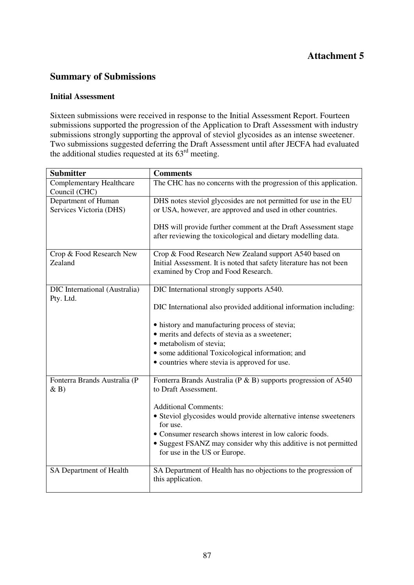# **Summary of Submissions**

# **Initial Assessment**

Sixteen submissions were received in response to the Initial Assessment Report. Fourteen submissions supported the progression of the Application to Draft Assessment with industry submissions strongly supporting the approval of steviol glycosides as an intense sweetener. Two submissions suggested deferring the Draft Assessment until after JECFA had evaluated the additional studies requested at its  $63<sup>rd</sup>$  meeting.

| <b>Submitter</b>                                 | <b>Comments</b>                                                                                                                 |
|--------------------------------------------------|---------------------------------------------------------------------------------------------------------------------------------|
| <b>Complementary Healthcare</b><br>Council (CHC) | The CHC has no concerns with the progression of this application.                                                               |
| Department of Human                              | DHS notes steviol glycosides are not permitted for use in the EU                                                                |
| Services Victoria (DHS)                          | or USA, however, are approved and used in other countries.                                                                      |
|                                                  | DHS will provide further comment at the Draft Assessment stage<br>after reviewing the toxicological and dietary modelling data. |
| Crop & Food Research New                         | Crop & Food Research New Zealand support A540 based on                                                                          |
| Zealand                                          | Initial Assessment. It is noted that safety literature has not been<br>examined by Crop and Food Research.                      |
| DIC International (Australia)                    | DIC International strongly supports A540.                                                                                       |
| Pty. Ltd.                                        |                                                                                                                                 |
|                                                  | DIC International also provided additional information including:                                                               |
|                                                  | • history and manufacturing process of stevia;                                                                                  |
|                                                  | • merits and defects of stevia as a sweetener;                                                                                  |
|                                                  | • metabolism of stevia;                                                                                                         |
|                                                  | • some additional Toxicological information; and<br>• countries where stevia is approved for use.                               |
|                                                  |                                                                                                                                 |
| Fonterra Brands Australia (P<br>$\& B)$          | Fonterra Brands Australia (P & B) supports progression of A540<br>to Draft Assessment.                                          |
|                                                  | <b>Additional Comments:</b>                                                                                                     |
|                                                  | • Steviol glycosides would provide alternative intense sweeteners                                                               |
|                                                  | for use.                                                                                                                        |
|                                                  | • Consumer research shows interest in low caloric foods.                                                                        |
|                                                  | • Suggest FSANZ may consider why this additive is not permitted<br>for use in the US or Europe.                                 |
| SA Department of Health                          | SA Department of Health has no objections to the progression of                                                                 |
|                                                  | this application.                                                                                                               |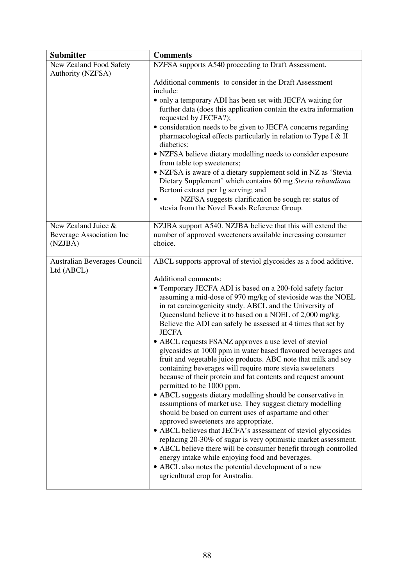| <b>Submitter</b>                                           | <b>Comments</b>                                                                                                                                                                                                                                                                                                                                                                                                                                                                                                                                                                                                                                                                                                                                                                                                                                                                                                                                                                                                                                                                                                                                                                                                                                                                                                                                                           |
|------------------------------------------------------------|---------------------------------------------------------------------------------------------------------------------------------------------------------------------------------------------------------------------------------------------------------------------------------------------------------------------------------------------------------------------------------------------------------------------------------------------------------------------------------------------------------------------------------------------------------------------------------------------------------------------------------------------------------------------------------------------------------------------------------------------------------------------------------------------------------------------------------------------------------------------------------------------------------------------------------------------------------------------------------------------------------------------------------------------------------------------------------------------------------------------------------------------------------------------------------------------------------------------------------------------------------------------------------------------------------------------------------------------------------------------------|
| New Zealand Food Safety<br>Authority (NZFSA)               | NZFSA supports A540 proceeding to Draft Assessment.                                                                                                                                                                                                                                                                                                                                                                                                                                                                                                                                                                                                                                                                                                                                                                                                                                                                                                                                                                                                                                                                                                                                                                                                                                                                                                                       |
|                                                            | Additional comments to consider in the Draft Assessment<br>include:                                                                                                                                                                                                                                                                                                                                                                                                                                                                                                                                                                                                                                                                                                                                                                                                                                                                                                                                                                                                                                                                                                                                                                                                                                                                                                       |
|                                                            | • only a temporary ADI has been set with JECFA waiting for<br>further data (does this application contain the extra information<br>requested by JECFA?);<br>· consideration needs to be given to JECFA concerns regarding<br>pharmacological effects particularly in relation to Type I & II<br>diabetics;<br>• NZFSA believe dietary modelling needs to consider exposure<br>from table top sweeteners;<br>• NZFSA is aware of a dietary supplement sold in NZ as 'Stevia<br>Dietary Supplement' which contains 60 mg Stevia rebaudiana<br>Bertoni extract per 1g serving; and<br>NZFSA suggests clarification be sough re: status of<br>stevia from the Novel Foods Reference Group.                                                                                                                                                                                                                                                                                                                                                                                                                                                                                                                                                                                                                                                                                    |
| New Zealand Juice &<br>Beverage Association Inc<br>(NZJBA) | NZJBA support A540. NZJBA believe that this will extend the<br>number of approved sweeteners available increasing consumer<br>choice.                                                                                                                                                                                                                                                                                                                                                                                                                                                                                                                                                                                                                                                                                                                                                                                                                                                                                                                                                                                                                                                                                                                                                                                                                                     |
| Australian Beverages Council<br>Ltd (ABCL)                 | ABCL supports approval of steviol glycosides as a food additive.<br>Additional comments:<br>• Temporary JECFA ADI is based on a 200-fold safety factor<br>assuming a mid-dose of 970 mg/kg of stevioside was the NOEL<br>in rat carcinogenicity study. ABCL and the University of<br>Queensland believe it to based on a NOEL of 2,000 mg/kg.<br>Believe the ADI can safely be assessed at 4 times that set by<br><b>JECFA</b><br>• ABCL requests FSANZ approves a use level of steviol<br>glycosides at 1000 ppm in water based flavoured beverages and<br>fruit and vegetable juice products. ABC note that milk and soy<br>containing beverages will require more stevia sweeteners<br>because of their protein and fat contents and request amount<br>permitted to be 1000 ppm.<br>• ABCL suggests dietary modelling should be conservative in<br>assumptions of market use. They suggest dietary modelling<br>should be based on current uses of aspartame and other<br>approved sweeteners are appropriate.<br>• ABCL believes that JECFA's assessment of steviol glycosides<br>replacing 20-30% of sugar is very optimistic market assessment.<br>• ABCL believe there will be consumer benefit through controlled<br>energy intake while enjoying food and beverages.<br>• ABCL also notes the potential development of a new<br>agricultural crop for Australia. |